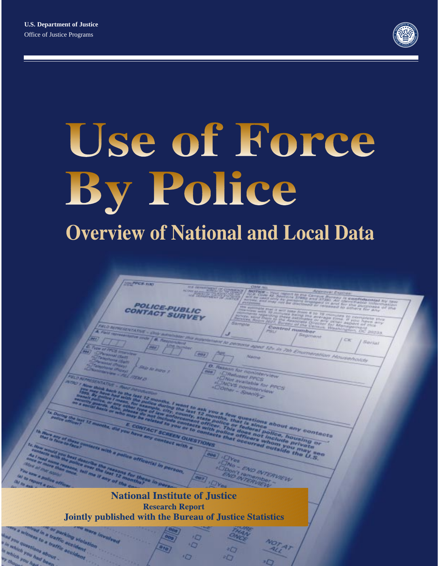**The at Darking Violation**<br>The a traffic accidents<br>The a traffic accidents 

ou questions do a traffi Fin Which You had been<br>in Which You had been<br>Y Thour You had been is which you ha

**Irking Violation** 



thorida

# Use of Force **By Police**

**Overview of National and Local Data** 

**Bean for nonis CIRefused Poninte Division PROGRESS** MCVS honinterview Ther - Specific

about any

**END INTERVIEW** 

contacta

**National Institute of Justice Research Report Jointly published with the Bureau of Justice Statistics** 

**CE KNI** 

POLICE-PUBLIC TACT SURVEY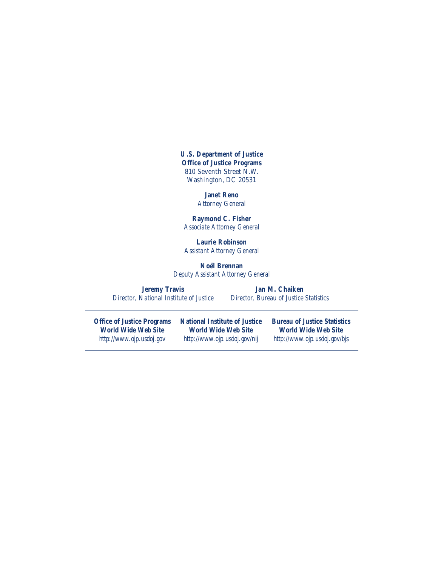**U.S. Department of Justice Office of Justice Programs** 810 Seventh Street N.W. Washington, DC 20531

> **Janet Reno** *Attorney General*

**Raymond C. Fisher** *Associate Attorney General*

**Laurie Robinson** *Assistant Attorney General*

**Noël Brennan** *Deputy Assistant Attorney General*

**Jeremy Travis Jan M. Chaiken**

*Director, National Institute of Justice Director, Bureau of Justice Statistics*

**Office of Justice Programs National Institute of Justice Bureau of Justice Statistics**

**World Wide Web Site World Wide Web Site World Wide Web Site**  *http://www.ojp.usdoj.gov http://www.ojp.usdoj.gov/nij http://www.ojp.usdoj.gov/bjs*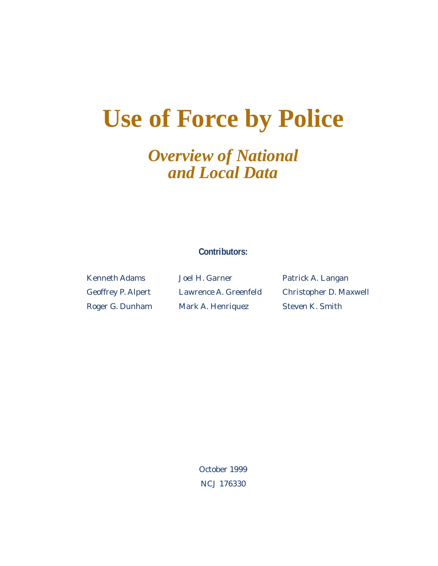## **Use of Force by Police**

## *Overview of National and Local Data*

#### **Contributors:**

Kenneth Adams Geoffrey P. Alpert Roger G. Dunham

Joel H. Garner Lawrence A. Greenfeld Mark A. Henriquez

Patrick A. Langan Christopher D. Maxwell Steven K. Smith

October 1999 NCJ 176330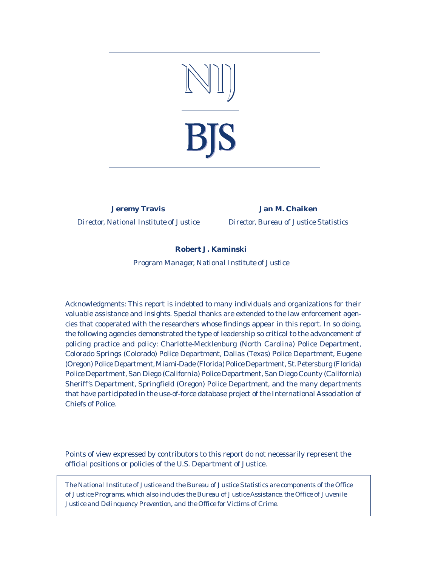

**Jeremy Travis Jan M. Chaiken** *Director, National Institute of Justice Director, Bureau of Justice Statistics*

#### **Robert J. Kaminski**

*Program Manager, National Institute of Justice*

Acknowledgments: This report is indebted to many individuals and organizations for their valuable assistance and insights. Special thanks are extended to the law enforcement agencies that cooperated with the researchers whose findings appear in this report. In so doing, the following agencies demonstrated the type of leadership so critical to the advancement of policing practice and policy: Charlotte-Mecklenburg (North Carolina) Police Department, Colorado Springs (Colorado) Police Department, Dallas (Texas) Police Department, Eugene (Oregon) Police Department, Miami-Dade (Florida) Police Department, St. Petersburg (Florida) Police Department, San Diego (California) Police Department, San Diego County (California) Sheriff's Department, Springfield (Oregon) Police Department, and the many departments that have participated in the use-of-force database project of the International Association of Chiefs of Police.

Points of view expressed by contributors to this report do not necessarily represent the official positions or policies of the U.S. Department of Justice.

*The National Institute of Justice and the Bureau of Justice Statistics are components of the Office of Justice Programs, which also includes the Bureau of Justice Assistance, the Office of Juvenile Justice and Delinquency Prevention, and the Office for Victims of Crime.*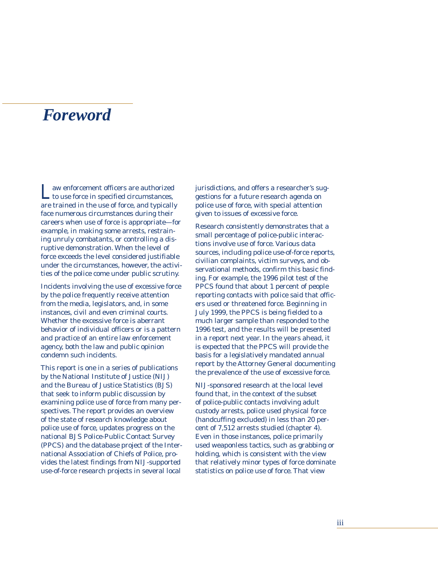### *Foreword*

Law enforcement officers are authorized to use force in specified circumstances, are trained in the use of force, and typically face numerous circumstances during their careers when use of force is appropriate—for example, in making some arrests, restraining unruly combatants, or controlling a disruptive demonstration. When the level of force exceeds the level considered justifiable under the circumstances, however, the activities of the police come under public scrutiny.

Incidents involving the use of excessive force by the police frequently receive attention from the media, legislators, and, in some instances, civil and even criminal courts. Whether the excessive force is aberrant behavior of individual officers or is a pattern and practice of an entire law enforcement agency, both the law and public opinion condemn such incidents.

This report is one in a series of publications by the National Institute of Justice (NIJ) and the Bureau of Justice Statistics (BJS) that seek to inform public discussion by examining police use of force from many perspectives. The report provides an overview of the state of research knowledge about police use of force, updates progress on the national BJS Police-Public Contact Survey (PPCS) and the database project of the International Association of Chiefs of Police, provides the latest findings from NIJ-supported use-of-force research projects in several local

jurisdictions, and offers a researcher's suggestions for a future research agenda on police use of force, with special attention given to issues of excessive force.

Research consistently demonstrates that a small percentage of police-public interactions involve use of force. Various data sources, including police use-of-force reports, civilian complaints, victim surveys, and observational methods, confirm this basic finding. For example, the 1996 pilot test of the PPCS found that about 1 percent of people reporting contacts with police said that officers used or threatened force. Beginning in July 1999, the PPCS is being fielded to a much larger sample than responded to the 1996 test, and the results will be presented in a report next year. In the years ahead, it is expected that the PPCS will provide the basis for a legislatively mandated annual report by the Attorney General documenting the prevalence of the use of excessive force.

NIJ-sponsored research at the local level found that, in the context of the subset of police-public contacts involving adult custody arrests, police used physical force (handcuffing excluded) in less than 20 percent of 7,512 arrests studied (chapter 4). Even in those instances, police primarily used weaponless tactics, such as grabbing or holding, which is consistent with the view that relatively minor types of force dominate statistics on police use of force. That view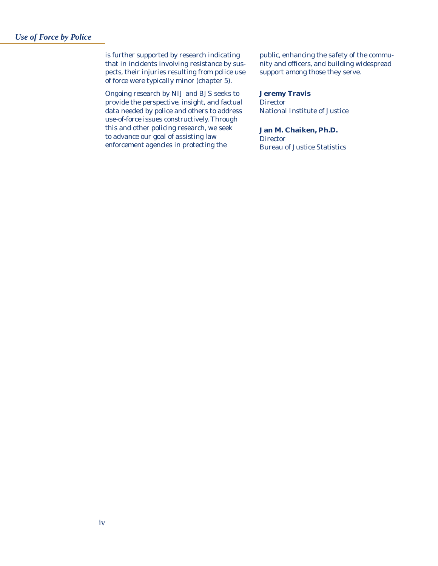is further supported by research indicating that in incidents involving resistance by suspects, their injuries resulting from police use of force were typically minor (chapter 5).

Ongoing research by NIJ and BJS seeks to provide the perspective, insight, and factual data needed by police and others to address use-of-force issues constructively. Through this and other policing research, we seek to advance our goal of assisting law enforcement agencies in protecting the

public, enhancing the safety of the community and officers, and building widespread support among those they serve.

**Jeremy Travis Director** National Institute of Justice

**Jan M. Chaiken, Ph.D. Director** Bureau of Justice Statistics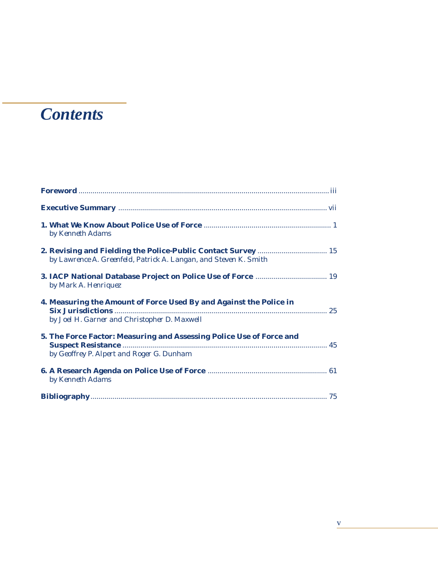## *Contents*

| by Kenneth Adams                                                                                                  |  |
|-------------------------------------------------------------------------------------------------------------------|--|
| by Lawrence A. Greenfeld, Patrick A. Langan, and Steven K. Smith                                                  |  |
| by Mark A. Henriquez                                                                                              |  |
| 4. Measuring the Amount of Force Used By and Against the Police in                                                |  |
| by Joel H. Garner and Christopher D. Maxwell                                                                      |  |
| 5. The Force Factor: Measuring and Assessing Police Use of Force and<br>by Geoffrey P. Alpert and Roger G. Dunham |  |
| by Kenneth Adams                                                                                                  |  |
|                                                                                                                   |  |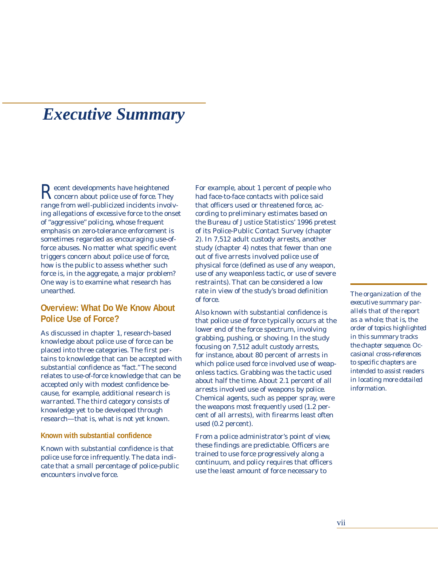## *Executive Summary*

 $\mathbf R$  ecent developments have heightened<br>Concern about police use of force. They range from well-publicized incidents involving allegations of excessive force to the onset of "aggressive" policing, whose frequent emphasis on zero-tolerance enforcement is sometimes regarded as encouraging use-offorce abuses. No matter what specific event triggers concern about police use of force, how is the public to assess whether such force is, in the aggregate, a major problem? One way is to examine what research has unearthed.

#### **Overview: What Do We Know About Police Use of Force?**

As discussed in chapter 1, research-based knowledge about police use of force can be placed into three categories. The first pertains to knowledge that can be accepted with substantial confidence as "fact." The second relates to use-of-force knowledge that can be accepted only with modest confidence because, for example, additional research is warranted. The third category consists of knowledge yet to be developed through research—that is, what is not yet known.

#### **Known with substantial confidence**

Known with substantial confidence is that police use force infrequently. The data indicate that a small percentage of police-public encounters involve force.

For example, about 1 percent of people who had face-to-face contacts with police said that officers used or threatened force, according to preliminary estimates based on the Bureau of Justice Statistics' 1996 pretest of its Police-Public Contact Survey (chapter 2). In 7,512 adult custody arrests, another study (chapter 4) notes that fewer than one out of five arrests involved police use of physical force (defined as use of any weapon, use of any weaponless tactic, or use of severe restraints). That can be considered a low rate in view of the study's broad definition of force.

Also known with substantial confidence is that police use of force typically occurs at the lower end of the force spectrum, involving grabbing, pushing, or shoving. In the study focusing on 7,512 adult custody arrests, for instance, about 80 percent of arrests in which police used force involved use of weaponless tactics. Grabbing was the tactic used about half the time. About 2.1 percent of all arrests involved use of weapons by police. Chemical agents, such as pepper spray, were the weapons most frequently used (1.2 percent of all arrests), with firearms least often used (0.2 percent).

From a police administrator's point of view, these findings are predictable. Officers are trained to use force progressively along a continuum, and policy requires that officers use the least amount of force necessary to

*The organization of the executive summary parallels that of the report as a whole; that is, the order of topics highlighted in this summary tracks the chapter sequence. Occasional cross-references to specific chapters are intended to assist readers in locating more detailed information.*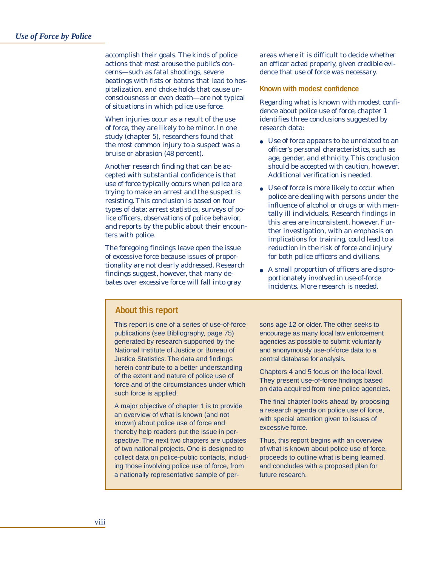accomplish their goals. The kinds of police actions that most arouse the public's concerns—such as fatal shootings, severe beatings with fists or batons that lead to hospitalization, and choke holds that cause unconsciousness or even death—are not typical of situations in which police use force.

When injuries occur as a result of the use of force, they are likely to be minor. In one study (chapter 5), researchers found that the most common injury to a suspect was a bruise or abrasion (48 percent).

Another research finding that can be accepted with substantial confidence is that use of force typically occurs when police are trying to make an arrest and the suspect is resisting. This conclusion is based on four types of data: arrest statistics, surveys of police officers, observations of police behavior, and reports by the public about their encounters with police.

The foregoing findings leave open the issue of excessive force because issues of proportionality are not clearly addressed. Research findings suggest, however, that many debates over excessive force will fall into gray

areas where it is difficult to decide whether an officer acted properly, given credible evidence that use of force was necessary.

#### **Known with modest confidence**

Regarding what is known with modest confidence about police use of force, chapter 1 identifies three conclusions suggested by research data:

- Use of force appears to be unrelated to an officer's personal characteristics, such as age, gender, and ethnicity. This conclusion should be accepted with caution, however. Additional verification is needed.
- Use of force is more likely to occur when police are dealing with persons under the influence of alcohol or drugs or with mentally ill individuals. Research findings in this area are inconsistent, however. Further investigation, with an emphasis on implications for training, could lead to a reduction in the risk of force and injury for both police officers and civilians.
- A small proportion of officers are disproportionately involved in use-of-force incidents. More research is needed.

#### **About this report**

This report is one of a series of use-of-force publications (see Bibliography, page 75) generated by research supported by the National Institute of Justice or Bureau of Justice Statistics. The data and findings herein contribute to a better understanding of the extent and nature of police use of force and of the circumstances under which such force is applied.

A major objective of chapter 1 is to provide an overview of what is known (and not known) about police use of force and thereby help readers put the issue in perspective. The next two chapters are updates of two national projects. One is designed to collect data on police-public contacts, including those involving police use of force, from a nationally representative sample of per-

sons age 12 or older. The other seeks to encourage as many local law enforcement agencies as possible to submit voluntarily and anonymously use-of-force data to a central database for analysis.

Chapters 4 and 5 focus on the local level. They present use-of-force findings based on data acquired from nine police agencies.

The final chapter looks ahead by proposing a research agenda on police use of force, with special attention given to issues of excessive force.

Thus, this report begins with an overview of what is known about police use of force, proceeds to outline what is being learned, and concludes with a proposed plan for future research.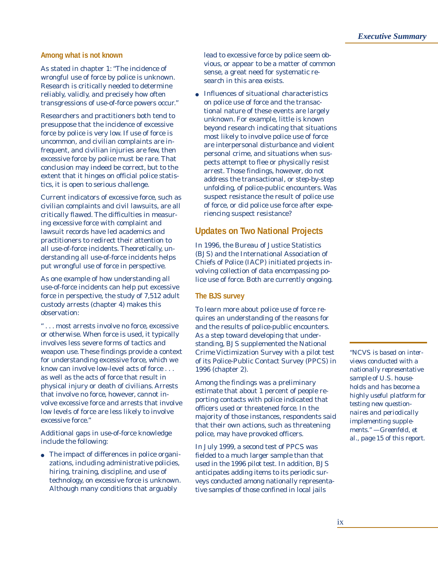#### **Among what is not known**

As stated in chapter 1: "The incidence of wrongful use of force by police is unknown. Research is critically needed to determine reliably, validly, and precisely how often transgressions of use-of-force powers occur."

Researchers and practitioners both tend to presuppose that the incidence of excessive force by police is very low. If use of force is uncommon, and civilian complaints are infrequent, and civilian injuries are few, then excessive force by police must be rare. That conclusion may indeed be correct, but to the extent that it hinges on official police statistics, it is open to serious challenge.

Current indicators of excessive force, such as civilian complaints and civil lawsuits, are all critically flawed. The difficulties in measuring excessive force with complaint and lawsuit records have led academics and practitioners to redirect their attention to all use-of-force incidents. Theoretically, understanding all use-of-force incidents helps put wrongful use of force in perspective.

As one example of how understanding all use-of-force incidents can help put excessive force in perspective, the study of 7,512 adult custody arrests (chapter 4) makes this observation:

" . . . most arrests involve no force, excessive or otherwise. When force is used, it typically involves less severe forms of tactics and weapon use. These findings provide a context for understanding excessive force, which we know can involve low-level acts of force . . . as well as the acts of force that result in physical injury or death of civilians. Arrests that involve no force, however, cannot involve excessive force and arrests that involve low levels of force are less likely to involve excessive force."

Additional gaps in use-of-force knowledge include the following:

● The impact of differences in police organizations, including administrative policies, hiring, training, discipline, and use of technology, on excessive force is unknown. Although many conditions that arguably

lead to excessive force by police seem obvious, or appear to be a matter of common sense, a great need for systematic research in this area exists.

● Influences of situational characteristics on police use of force and the transactional nature of these events are largely unknown. For example, little is known beyond research indicating that situations most likely to involve police use of force are interpersonal disturbance and violent personal crime, and situations when suspects attempt to flee or physically resist arrest. Those findings, however, do not address the transactional, or step-by-step unfolding, of police-public encounters. Was suspect resistance the result of police use of force, or did police use force after experiencing suspect resistance?

#### **Updates on Two National Projects**

In 1996, the Bureau of Justice Statistics (BJS) and the International Association of Chiefs of Police (IACP) initiated projects involving collection of data encompassing police use of force. Both are currently ongoing.

#### **The BJS survey**

To learn more about police use of force requires an understanding of the reasons for and the results of police-public encounters. As a step toward developing that understanding, BJS supplemented the National Crime Victimization Survey with a pilot test of its Police-Public Contact Survey (PPCS) in 1996 (chapter 2).

Among the findings was a preliminary estimate that about 1 percent of people reporting contacts with police indicated that officers used or threatened force. In the majority of those instances, respondents said that their own actions, such as threatening police, may have provoked officers.

In July 1999, a second test of PPCS was fielded to a much larger sample than that used in the 1996 pilot test. In addition, BJS anticipates adding items to its periodic surveys conducted among nationally representative samples of those confined in local jails

*"NCVS is based on interviews conducted with a nationally representative sample of U.S. households and has become a highly useful platform for testing new questionnaires and periodically implementing supplements." —Greenfeld, et al., page 15 of this report.*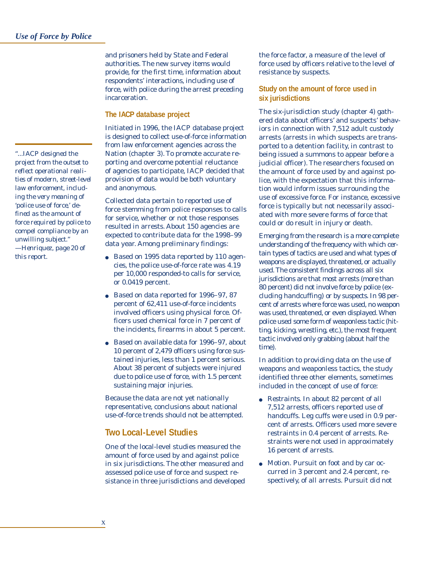and prisoners held by State and Federal authorities. The new survey items would provide, for the first time, information about respondents' interactions, including use of force, with police during the arrest preceding incarceration.

#### **The IACP database project**

Initiated in 1996, the IACP database project is designed to collect use-of-force information from law enforcement agencies across the Nation (chapter 3). To promote accurate reporting and overcome potential reluctance of agencies to participate, IACP decided that provision of data would be both voluntary and anonymous.

Collected data pertain to reported use of force stemming from police responses to calls for service, whether or not those responses resulted in arrests. About 150 agencies are expected to contribute data for the 1998–99 data year. Among preliminary findings:

- Based on 1995 data reported by 110 agencies, the police use-of-force rate was 4.19 per 10,000 responded-to calls for service, or 0.0419 percent.
- Based on data reported for 1996–97, 87 percent of 62,411 use-of-force incidents involved officers using physical force. Officers used chemical force in 7 percent of the incidents, firearms in about 5 percent.
- Based on available data for 1996–97, about 10 percent of 2,479 officers using force sustained injuries, less than 1 percent serious. About 38 percent of subjects were injured due to police use of force, with 1.5 percent sustaining major injuries.

Because the data are not yet nationally representative, conclusions about national use-of-force trends should not be attempted.

#### **Two Local-Level Studies**

One of the local-level studies measured the amount of force used by and against police in six jurisdictions. The other measured and assessed police use of force and suspect resistance in three jurisdictions and developed

the force factor, a measure of the level of force used by officers relative to the level of resistance by suspects.

#### **Study on the amount of force used in six jurisdictions**

The six-jurisdiction study (chapter 4) gathered data about officers' and suspects' behaviors in connection with 7,512 adult custody arrests (arrests in which suspects are transported to a detention facility, in contrast to being issued a summons to appear before a judicial officer). The researchers focused on the amount of force used by and against police, with the expectation that this information would inform issues surrounding the use of excessive force. For instance, excessive force is typically but not necessarily associated with more severe forms of force that could or do result in injury or death.

Emerging from the research is a more complete understanding of the frequency with which certain types of tactics are used and what types of weapons are displayed, threatened, or actually used. The consistent findings across all six jurisdictions are that most arrests (more than 80 percent) did not involve force by police (excluding handcuffing) or by suspects. In 98 percent of arrests where force was used, no weapon was used, threatened, or even displayed. When police used some form of weaponless tactic (hitting, kicking, wrestling, etc.), the most frequent tactic involved only grabbing (about half the time).

In addition to providing data on the use of weapons and weaponless tactics, the study identified three other elements, sometimes included in the concept of use of force:

- *Restraints.* In about 82 percent of all 7,512 arrests, officers reported use of handcuffs. Leg cuffs were used in 0.9 percent of arrests. Officers used more severe restraints in 0.4 percent of arrests. Restraints were not used in approximately 16 percent of arrests.
- *Motion.* Pursuit on foot and by car occurred in 3 percent and 2.4 percent, respectively, of all arrests. Pursuit did not

*"...IACP designed the project from the outset to reflect operational realities of modern, street-level law enforcement, including the very meaning of 'police use of force,' defined as the amount of force required by police to compel compliance by an unwilling subject." —Henriquez, page 20 of this report.*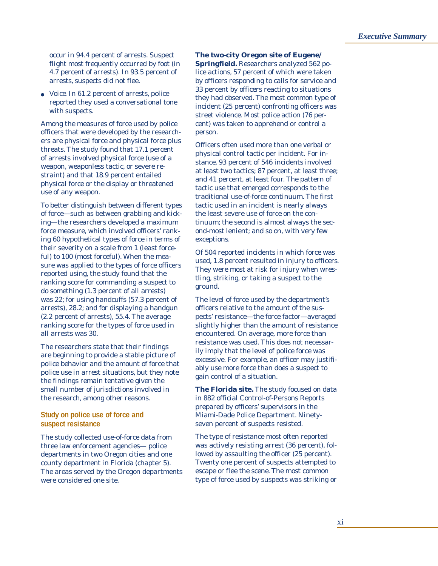occur in 94.4 percent of arrests. Suspect flight most frequently occurred by foot (in 4.7 percent of arrests). In 93.5 percent of arrests, suspects did not flee.

● *Voice.* In 61.2 percent of arrests, police reported they used a conversational tone with suspects.

Among the measures of force used by police officers that were developed by the researchers are physical force and physical force plus threats. The study found that 17.1 percent of arrests involved physical force (use of a weapon, weaponless tactic, or severe restraint) and that 18.9 percent entailed physical force or the display or threatened use of any weapon.

To better distinguish between different types of force—such as between grabbing and kicking—the researchers developed a maximum force measure, which involved officers' ranking 60 hypothetical types of force in terms of their severity on a scale from 1 (least forceful) to 100 (most forceful). When the measure was applied to the types of force officers reported using, the study found that the ranking score for commanding a suspect to do something (1.3 percent of all arrests) was 22; for using handcuffs (57.3 percent of arrests), 28.2; and for displaying a handgun (2.2 percent of arrests), 55.4. The average ranking score for the types of force used in all arrests was 30.

The researchers state that their findings are beginning to provide a stable picture of police behavior and the amount of force that police use in arrest situations, but they note the findings remain tentative given the small number of jurisdictions involved in the research, among other reasons.

#### **Study on police use of force and suspect resistance**

The study collected use-of-force data from three law enforcement agencies— police departments in two Oregon cities and one county department in Florida (chapter 5). The areas served by the Oregon departments were considered one site.

**The two-city Oregon site of Eugene/ Springfield.** Researchers analyzed 562 police actions, 57 percent of which were taken by officers responding to calls for service and 33 percent by officers reacting to situations they had observed. The most common type of incident (25 percent) confronting officers was street violence. Most police action (76 percent) was taken to apprehend or control a

person.

Officers often used more than one verbal or physical control tactic per incident. For instance, 93 percent of 546 incidents involved at least two tactics; 87 percent, at least three; and 41 percent, at least four. The pattern of tactic use that emerged corresponds to the traditional use-of-force continuum. The first tactic used in an incident is nearly always the least severe use of force on the continuum; the second is almost always the second-most lenient; and so on, with very few exceptions.

Of 504 reported incidents in which force was used, 1.8 percent resulted in injury to officers. They were most at risk for injury when wrestling, striking, or taking a suspect to the ground.

The level of force used by the department's officers relative to the amount of the suspects' resistance—the force factor—averaged slightly higher than the amount of resistance encountered. On average, more force than resistance was used. This does not necessarily imply that the level of police force was excessive. For example, an officer may justifiably use more force than does a suspect to gain control of a situation.

**The Florida site.** The study focused on data in 882 official Control-of-Persons Reports prepared by officers' supervisors in the Miami-Dade Police Department. Ninetyseven percent of suspects resisted.

The type of resistance most often reported was actively resisting arrest (36 percent), followed by assaulting the officer (25 percent). Twenty one percent of suspects attempted to escape or flee the scene. The most common type of force used by suspects was striking or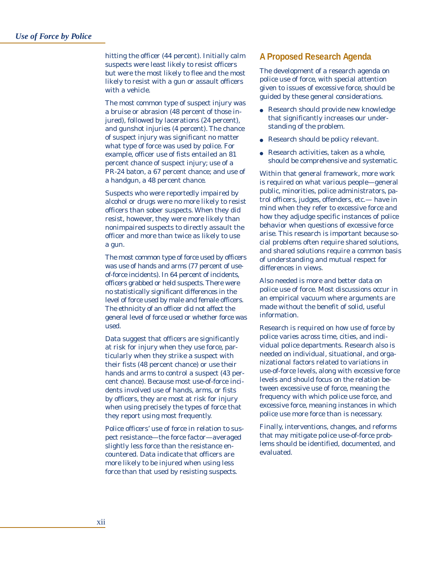hitting the officer (44 percent). Initially calm suspects were least likely to resist officers but were the most likely to flee and the most likely to resist with a gun or assault officers with a vehicle.

The most common type of suspect injury was a bruise or abrasion (48 percent of those injured), followed by lacerations (24 percent), and gunshot injuries (4 percent). The chance of suspect injury was significant no matter what type of force was used by police. For example, officer use of fists entailed an 81 percent chance of suspect injury; use of a PR-24 baton, a 67 percent chance; and use of a handgun, a 48 percent chance.

Suspects who were reportedly impaired by alcohol or drugs were no more likely to resist officers than sober suspects. When they did resist, however, they were more likely than nonimpaired suspects to directly assault the officer and more than twice as likely to use a gun.

The most common type of force used by officers was use of hands and arms (77 percent of useof-force incidents). In 64 percent of incidents, officers grabbed or held suspects. There were no statistically significant differences in the level of force used by male and female officers. The ethnicity of an officer did not affect the general level of force used or whether force was used.

Data suggest that officers are significantly at risk for injury when they use force, particularly when they strike a suspect with their fists (48 percent chance) or use their hands and arms to control a suspect (43 percent chance). Because most use-of-force incidents involved use of hands, arms, or fists by officers, they are most at risk for injury when using precisely the types of force that they report using most frequently.

Police officers' use of force in relation to suspect resistance—the force factor—averaged slightly less force than the resistance encountered. Data indicate that officers are more likely to be injured when using less force than that used by resisting suspects.

#### **A Proposed Research Agenda**

The development of a research agenda on police use of force, with special attention given to issues of excessive force, should be guided by these general considerations.

- Research should provide new knowledge that significantly increases our understanding of the problem.
- Research should be policy relevant.
- Research activities, taken as a whole, should be comprehensive and systematic.

Within that general framework, more work is required on what various people—general public, minorities, police administrators, patrol officers, judges, offenders, etc.— have in mind when they refer to excessive force and how they adjudge specific instances of police behavior when questions of excessive force arise. This research is important because social problems often require shared solutions, and shared solutions require a common basis of understanding and mutual respect for differences in views.

Also needed is more and better data on police use of force. Most discussions occur in an empirical vacuum where arguments are made without the benefit of solid, useful information.

Research is required on how use of force by police varies across time, cities, and individual police departments. Research also is needed on individual, situational, and organizational factors related to variations in use-of-force levels, along with excessive force levels and should focus on the relation between excessive use of force, meaning the frequency with which police use force, and excessive force, meaning instances in which police use more force than is necessary.

Finally, interventions, changes, and reforms that may mitigate police use-of-force problems should be identified, documented, and evaluated.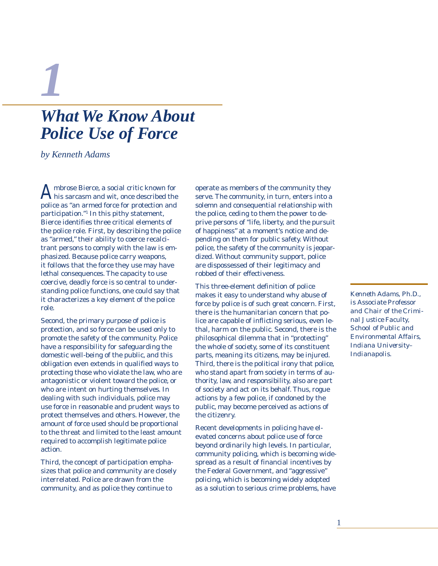*1*

## *What We Know About Police Use of Force*

*by Kenneth Adams*

A mbrose Bierce, a social critic known for his sarcasm and wit, once described the police as "an armed force for protection and participation."1 In this pithy statement, Bierce identifies three critical elements of the police role. First, by describing the police as "armed," their ability to coerce recalcitrant persons to comply with the law is emphasized. Because police carry weapons, it follows that the force they use may have lethal consequences. The capacity to use coercive, deadly force is so central to understanding police functions, one could say that it characterizes a key element of the police role.

Second, the primary purpose of police is protection, and so force can be used only to promote the safety of the community. Police have a responsibility for safeguarding the domestic well-being of the public, and this obligation even extends in qualified ways to protecting those who violate the law, who are antagonistic or violent toward the police, or who are intent on hurting themselves. In dealing with such individuals, police may use force in reasonable and prudent ways to protect themselves and others. However, the amount of force used should be proportional to the threat and limited to the least amount required to accomplish legitimate police action.

Third, the concept of participation emphasizes that police and community are closely interrelated. Police are drawn from the community, and as police they continue to

operate as members of the community they serve. The community, in turn, enters into a solemn and consequential relationship with the police, ceding to them the power to deprive persons of "life, liberty, and the pursuit of happiness" at a moment's notice and depending on them for public safety. Without police, the safety of the community is jeopardized. Without community support, police are dispossessed of their legitimacy and robbed of their effectiveness.

This three-element definition of police makes it easy to understand why abuse of force by police is of such great concern. First, there is the humanitarian concern that police are capable of inflicting serious, even lethal, harm on the public. Second, there is the philosophical dilemma that in "protecting" the whole of society, some of its constituent parts, meaning its citizens, may be injured. Third, there is the political irony that police, who stand apart from society in terms of authority, law, and responsibility, also are part of society and act on its behalf. Thus, rogue actions by a few police, if condoned by the public, may become perceived as actions of the citizenry.

Recent developments in policing have elevated concerns about police use of force beyond ordinarily high levels. In particular, community policing, which is becoming widespread as a result of financial incentives by the Federal Government, and "aggressive" policing, which is becoming widely adopted as a solution to serious crime problems, have *Kenneth Adams, Ph.D., is Associate Professor and Chair of the Criminal Justice Faculty, School of Public and Environmental Affairs, Indiana University– Indianapolis.*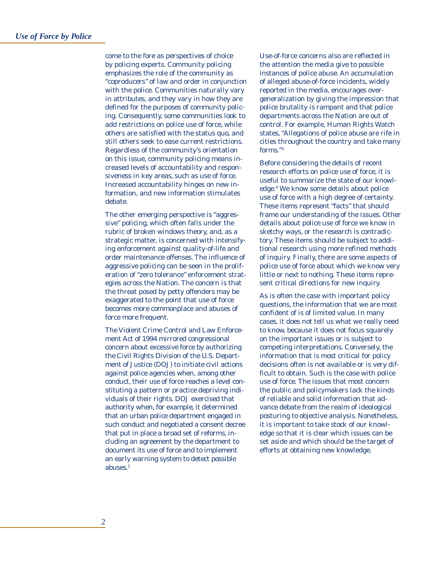come to the fore as perspectives of choice by policing experts. Community policing emphasizes the role of the community as "coproducers" of law and order in conjunction with the police. Communities naturally vary in attributes, and they vary in how they are defined for the purposes of community policing. Consequently, some communities look to add restrictions on police use of force, while others are satisfied with the status quo, and still others seek to ease current restrictions. Regardless of the community's orientation on this issue, community policing means increased levels of accountability and responsiveness in key areas, such as use of force. Increased accountability hinges on new information, and new information stimulates debate.

The other emerging perspective is "aggressive" policing, which often falls under the rubric of broken windows theory, and, as a strategic matter, is concerned with intensifying enforcement against quality-of-life and order maintenance offenses. The influence of aggressive policing can be seen in the proliferation of "zero tolerance" enforcement strategies across the Nation. The concern is that the threat posed by petty offenders may be exaggerated to the point that use of force becomes more commonplace and abuses of force more frequent.

The Violent Crime Control and Law Enforcement Act of 1994 mirrored congressional concern about excessive force by authorizing the Civil Rights Division of the U.S. Department of Justice (DOJ) to initiate civil actions against police agencies when, among other conduct, their use of force reaches a level constituting a pattern or practice depriving individuals of their rights. DOJ exercised that authority when, for example, it determined that an urban police department engaged in such conduct and negotiated a consent decree that put in place a broad set of reforms, including an agreement by the department to document its use of force and to implement an early warning system to detect possible abuses.<sup>2</sup>

Use-of-force concerns also are reflected in the attention the media give to possible instances of police abuse. An accumulation of alleged abuse-of-force incidents, widely reported in the media, encourages overgeneralization by giving the impression that police brutality is rampant and that police departments across the Nation are out of control. For example, Human Rights Watch states, "Allegations of police abuse are rife in cities throughout the country and take many forms."3

Before considering the details of recent research efforts on police use of force, it is useful to summarize the state of our knowledge.4 We know some details about police use of force with a high degree of certainty. These items represent "facts" that should frame our understanding of the issues. Other details about police use of force we know in sketchy ways, or the research is contradictory. These items should be subject to additional research using more refined methods of inquiry. Finally, there are some aspects of police use of force about which we know very little or next to nothing. These items represent critical directions for new inquiry.

As is often the case with important policy questions, the information that we are most confident of is of limited value. In many cases, it does not tell us what we really need to know, because it does not focus squarely on the important issues or is subject to competing interpretations. Conversely, the information that is most critical for policy decisions often is not available or is very difficult to obtain. Such is the case with police use of force. The issues that most concern the public and policymakers lack the kinds of reliable and solid information that advance debate from the realm of ideological posturing to objective analysis. Nonetheless, it is important to take stock of our knowledge so that it is clear which issues can be set aside and which should be the target of efforts at obtaining new knowledge.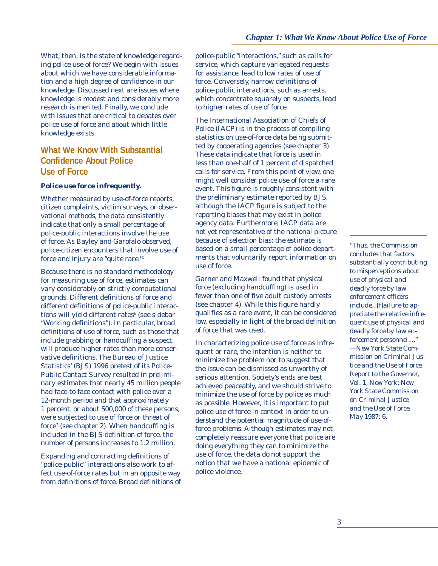What, then, is the state of knowledge regarding police use of force? We begin with issues about which we have considerable information and a high degree of confidence in our knowledge. Discussed next are issues where knowledge is modest and considerably more research is merited. Finally, we conclude with issues that are critical to debates over police use of force and about which little knowledge exists.

#### **What We Know With Substantial Confidence About Police Use of Force**

#### *Police use force infrequently.*

Whether measured by use-of-force reports, citizen complaints, victim surveys, or observational methods, the data consistently indicate that only a small percentage of police-public interactions involve the use of force. As Bayley and Garofalo observed, police-citizen encounters that involve use of force and injury are "quite rare."5

Because there is no standard methodology for measuring use of force, estimates can vary considerably on strictly computational grounds. Different definitions of force and different definitions of police-public interactions will yield different rates<sup>6</sup> (see sidebar "Working definitions"). In particular, broad definitions of use of force, such as those that include grabbing or handcuffing a suspect, will produce higher rates than more conservative definitions. The Bureau of Justice Statistics' (BJS) 1996 pretest of its Police-Public Contact Survey resulted in preliminary estimates that nearly 45 million people had face-to-face contact with police over a 12-month period and that approximately 1 percent, or about 500,000 of these persons, were subjected to use of force or threat of force<sup>7</sup> (see chapter 2). When handcuffing is included in the BJS definition of force, the number of persons increases to 1.2 million.

Expanding and contracting definitions of "police-public" interactions also work to affect use-of-force rates but in an opposite way from definitions of force. Broad definitions of

police-public "interactions," such as calls for service, which capture variegated requests for assistance, lead to low rates of use of force. Conversely, narrow definitions of police-public interactions, such as arrests, which concentrate squarely on suspects, lead to higher rates of use of force.

The International Association of Chiefs of Police (IACP) is in the process of compiling statistics on use-of-force data being submitted by cooperating agencies (see chapter 3). These data indicate that force is used in less than one-half of 1 percent of dispatched calls for service. From this point of view, one might well consider police use of force a rare event. This figure is roughly consistent with the preliminary estimate reported by BJS, although the IACP figure is subject to the reporting biases that may exist in police agency data. Furthermore, IACP data are not yet representative of the national picture because of selection bias; the estimate is based on a small percentage of police departments that voluntarily report information on use of force.

Garner and Maxwell found that physical force (excluding handcuffing) is used in fewer than one of five adult custody arrests (see chapter 4). While this figure hardly qualifies as a rare event, it can be considered low, especially in light of the broad definition of force that was used.

In characterizing police use of force as infrequent or rare, the intention is neither to minimize the problem nor to suggest that the issue can be dismissed as unworthy of serious attention. Society's ends are best achieved peaceably, and we should strive to minimize the use of force by police as much as possible. However, it is important to put police use of force in context in order to understand the potential magnitude of use-offorce problems. Although estimates may not completely reassure everyone that police are doing everything they can to minimize the use of force, the data do not support the notion that we have a national epidemic of police violence.

*"Thus, the Commission concludes that factors substantially contributing to misperceptions about use of physical and deadly force by law enforcement officers include...[f]ailure to appreciate the relative infrequent use of physical and deadly force by law enforcement personnel...." —New York State Commission on Criminal Justice and the Use of Force,* Report to the Governor, *Vol. 1, New York: New York State Commission on Criminal Justice and the Use of Force, May 1987: 6.*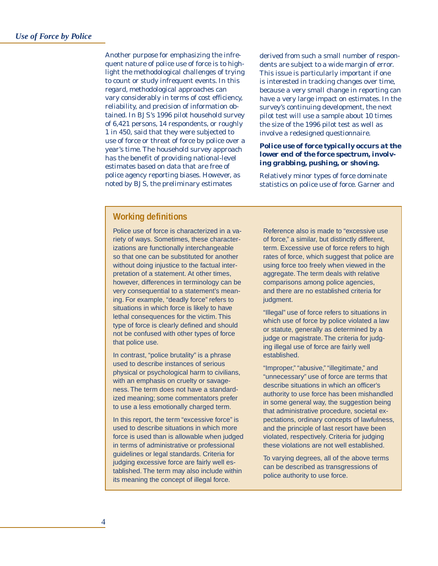Another purpose for emphasizing the infrequent nature of police use of force is to highlight the methodological challenges of trying to count or study infrequent events. In this regard, methodological approaches can vary considerably in terms of cost efficiency, reliability, and precision of information obtained. In BJS's 1996 pilot household survey of 6,421 persons, 14 respondents, or roughly 1 in 450, said that they were subjected to use of force or threat of force by police over a year's time. The household survey approach has the benefit of providing national-level estimates based on data that are free of police agency reporting biases. However, as noted by BJS, the preliminary estimates

derived from such a small number of respondents are subject to a wide margin of error. This issue is particularly important if one is interested in tracking changes over time, because a very small change in reporting can have a very large impact on estimates. In the survey's continuing development, the next pilot test will use a sample about 10 times the size of the 1996 pilot test as well as involve a redesigned questionnaire.

#### *Police use of force typically occurs at the lower end of the force spectrum, involving grabbing, pushing, or shoving.*

Relatively minor types of force dominate statistics on police use of force. Garner and

#### **Working definitions**

Police use of force is characterized in a variety of ways. Sometimes, these characterizations are functionally interchangeable so that one can be substituted for another without doing injustice to the factual interpretation of a statement. At other times, however, differences in terminology can be very consequential to a statement's meaning. For example, "deadly force" refers to situations in which force is likely to have lethal consequences for the victim. This type of force is clearly defined and should not be confused with other types of force that police use.

In contrast, "police brutality" is a phrase used to describe instances of serious physical or psychological harm to civilians, with an emphasis on cruelty or savageness. The term does not have a standardized meaning; some commentators prefer to use a less emotionally charged term.

In this report, the term "excessive force" is used to describe situations in which more force is used than is allowable when judged in terms of administrative or professional guidelines or legal standards. Criteria for judging excessive force are fairly well established. The term may also include within its meaning the concept of illegal force.

Reference also is made to "excessive use of force," a similar, but distinctly different, term. Excessive use of force refers to high rates of force, which suggest that police are using force too freely when viewed in the aggregate. The term deals with relative comparisons among police agencies, and there are no established criteria for judgment.

"Illegal" use of force refers to situations in which use of force by police violated a law or statute, generally as determined by a judge or magistrate. The criteria for judging illegal use of force are fairly well established.

"Improper," "abusive," "illegitimate," and "unnecessary" use of force are terms that describe situations in which an officer's authority to use force has been mishandled in some general way, the suggestion being that administrative procedure, societal expectations, ordinary concepts of lawfulness, and the principle of last resort have been violated, respectively. Criteria for judging these violations are not well established.

To varying degrees, all of the above terms can be described as transgressions of police authority to use force.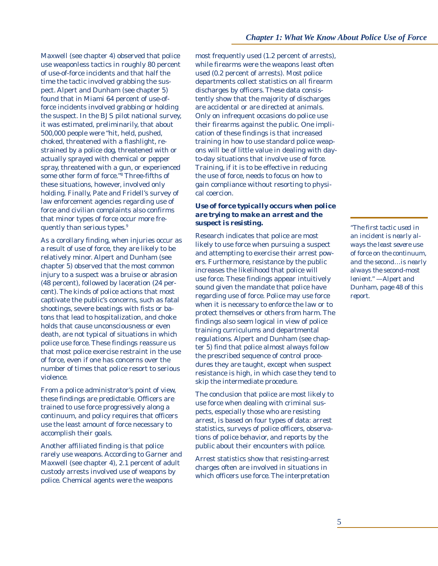Maxwell (see chapter 4) observed that police use weaponless tactics in roughly 80 percent of use-of-force incidents and that half the time the tactic involved grabbing the suspect. Alpert and Dunham (see chapter 5) found that in Miami 64 percent of use-offorce incidents involved grabbing or holding the suspect. In the BJS pilot national survey, it was estimated, preliminarily, that about 500,000 people were "hit, held, pushed, choked, threatened with a flashlight, restrained by a police dog, threatened with or actually sprayed with chemical or pepper spray, threatened with a gun, or experienced some other form of force."8 Three-fifths of these situations, however, involved only holding. Finally, Pate and Fridell's survey of law enforcement agencies regarding use of force and civilian complaints also confirms that minor types of force occur more frequently than serious types.<sup>9</sup>

As a corollary finding, when injuries occur as a result of use of force, they are likely to be relatively minor. Alpert and Dunham (see chapter 5) observed that the most common injury to a suspect was a bruise or abrasion (48 percent), followed by laceration (24 percent). The kinds of police actions that most captivate the public's concerns, such as fatal shootings, severe beatings with fists or batons that lead to hospitalization, and choke holds that cause unconsciousness or even death, are not typical of situations in which police use force. These findings reassure us that most police exercise restraint in the use of force, even if one has concerns over the number of times that police resort to serious violence.

From a police administrator's point of view, these findings are predictable. Officers are trained to use force progressively along a continuum, and policy requires that officers use the least amount of force necessary to accomplish their goals.

Another affiliated finding is that police rarely use weapons. According to Garner and Maxwell (see chapter 4), 2.1 percent of adult custody arrests involved use of weapons by police. Chemical agents were the weapons

most frequently used (1.2 percent of arrests), while firearms were the weapons least often used (0.2 percent of arrests). Most police departments collect statistics on all firearm discharges by officers. These data consistently show that the majority of discharges are accidental or are directed at animals. Only on infrequent occasions do police use their firearms against the public. One implication of these findings is that increased training in how to use standard police weapons will be of little value in dealing with dayto-day situations that involve use of force. Training, if it is to be effective in reducing the use of force, needs to focus on how to gain compliance without resorting to physical coercion.

#### *Use of force typically occurs when police are trying to make an arrest and the suspect is resisting.*

Research indicates that police are most likely to use force when pursuing a suspect and attempting to exercise their arrest powers. Furthermore, resistance by the public increases the likelihood that police will use force. These findings appear intuitively sound given the mandate that police have regarding use of force. Police may use force when it is necessary to enforce the law or to protect themselves or others from harm. The findings also seem logical in view of police training curriculums and departmental regulations. Alpert and Dunham (see chapter 5) find that police almost always follow the prescribed sequence of control procedures they are taught, except when suspect resistance is high, in which case they tend to skip the intermediate procedure.

The conclusion that police are most likely to use force when dealing with criminal suspects, especially those who are resisting arrest, is based on four types of data: arrest statistics, surveys of police officers, observations of police behavior, and reports by the public about their encounters with police.

Arrest statistics show that resisting-arrest charges often are involved in situations in which officers use force. The interpretation

*"The first tactic used in an incident is nearly always the least severe use of force on the continuum, and the second…is nearly always the second-most lenient." —Alpert and Dunham, page 48 of this report.*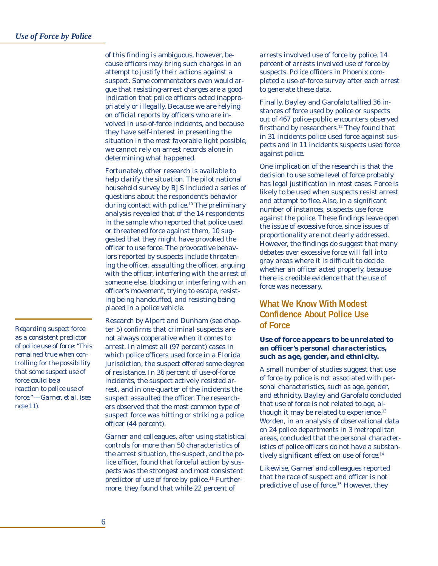of this finding is ambiguous, however, because officers may bring such charges in an attempt to justify their actions against a suspect. Some commentators even would argue that resisting-arrest charges are a good indication that police officers acted inappropriately or illegally. Because we are relying on official reports by officers who are involved in use-of-force incidents, and because they have self-interest in presenting the situation in the most favorable light possible, we cannot rely on arrest records alone in determining what happened.

Fortunately, other research is available to help clarify the situation. The pilot national household survey by BJS included a series of questions about the respondent's behavior during contact with police.<sup>10</sup> The preliminary analysis revealed that of the 14 respondents in the sample who reported that police used or threatened force against them, 10 suggested that they might have provoked the officer to use force. The provocative behaviors reported by suspects include threatening the officer, assaulting the officer, arguing with the officer, interfering with the arrest of someone else, blocking or interfering with an officer's movement, trying to escape, resisting being handcuffed, and resisting being placed in a police vehicle.

*Regarding suspect force as a consistent predictor of police use of force: "This remained true when controlling for the possibility that some suspect use of force could be a reaction to police use of force." —Garner, et al. (see note 11).*

Research by Alpert and Dunham (see chapter 5) confirms that criminal suspects are not always cooperative when it comes to arrest. In almost all (97 percent) cases in which police officers used force in a Florida jurisdiction, the suspect offered some degree of resistance. In 36 percent of use-of-force incidents, the suspect actively resisted arrest, and in one-quarter of the incidents the suspect assaulted the officer. The researchers observed that the most common type of suspect force was hitting or striking a police officer (44 percent).

Garner and colleagues, after using statistical controls for more than 50 characteristics of the arrest situation, the suspect, and the police officer, found that forceful action by suspects was the strongest and most consistent predictor of use of force by police.<sup>11</sup> Furthermore, they found that while 22 percent of

arrests involved use of force by police, 14 percent of arrests involved use of force by suspects. Police officers in Phoenix completed a use-of-force survey after each arrest to generate these data.

Finally, Bayley and Garofalo tallied 36 instances of force used by police or suspects out of 467 police-public encounters observed firsthand by researchers.<sup>12</sup> They found that in 31 incidents police used force against suspects and in 11 incidents suspects used force against police.

One implication of the research is that the decision to use some level of force probably has legal justification in most cases. Force is likely to be used when suspects resist arrest and attempt to flee. Also, in a significant number of instances, suspects use force against the police. These findings leave open the issue of *excessive* force, since issues of proportionality are not clearly addressed. However, the findings do suggest that many debates over excessive force will fall into gray areas where it is difficult to decide whether an officer acted properly, because there is credible evidence that the use of force was necessary.

#### **What We Know With Modest Confidence About Police Use of Force**

#### *Use of force appears to be unrelated to an officer's personal characteristics, such as age, gender, and ethnicity.*

A small number of studies suggest that use of force by police is not associated with personal characteristics, such as age, gender, and ethnicity. Bayley and Garofalo concluded that use of force is not related to age, although it may be related to experience.<sup>13</sup> Worden, in an analysis of observational data on 24 police departments in 3 metropolitan areas, concluded that the personal characteristics of police officers do not have a substantively significant effect on use of force.<sup>14</sup>

Likewise, Garner and colleagues reported that the race of suspect and officer is not predictive of use of force.<sup>15</sup> However, they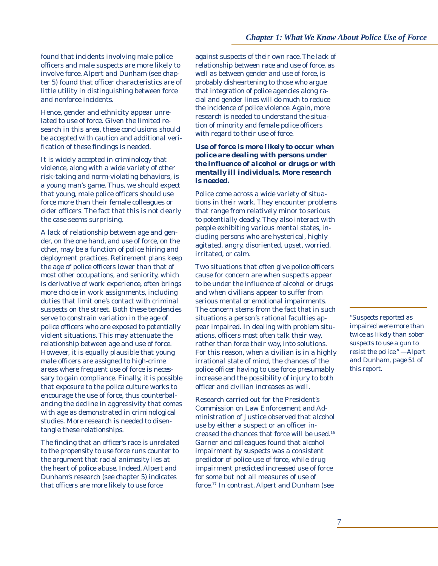found that incidents involving male police officers and male suspects are more likely to involve force. Alpert and Dunham (see chapter 5) found that officer characteristics are of little utility in distinguishing between force and nonforce incidents.

Hence, gender and ethnicity appear unrelated to use of force. Given the limited research in this area, these conclusions should be accepted with caution and additional verification of these findings is needed.

It is widely accepted in criminology that violence, along with a wide variety of other risk-taking and norm-violating behaviors, is a young man's game. Thus, we should expect that young, male police officers should use force more than their female colleagues or older officers. The fact that this is not clearly the case seems surprising.

A lack of relationship between age and gender, on the one hand, and use of force, on the other, may be a function of police hiring and deployment practices. Retirement plans keep the age of police officers lower than that of most other occupations, and seniority, which is derivative of work experience, often brings more choice in work assignments, including duties that limit one's contact with criminal suspects on the street. Both these tendencies serve to constrain variation in the age of police officers who are exposed to potentially violent situations. This may attenuate the relationship between age and use of force. However, it is equally plausible that young male officers are assigned to high-crime areas where frequent use of force is necessary to gain compliance. Finally, it is possible that exposure to the police culture works to encourage the use of force, thus counterbalancing the decline in aggressivity that comes with age as demonstrated in criminological studies. More research is needed to disentangle these relationships.

The finding that an officer's race is unrelated to the propensity to use force runs counter to the argument that racial animosity lies at the heart of police abuse. Indeed, Alpert and Dunham's research (see chapter 5) indicates that officers are more likely to use force

against suspects of their own race. The lack of relationship between race and use of force, as well as between gender and use of force, is probably disheartening to those who argue that integration of police agencies along racial and gender lines will do much to reduce the incidence of police violence. Again, more research is needed to understand the situation of minority and female police officers with regard to their use of force.

#### *Use of force is more likely to occur when police are dealing with persons under the influence of alcohol or drugs or with mentally ill individuals. More research is needed.*

Police come across a wide variety of situations in their work. They encounter problems that range from relatively minor to serious to potentially deadly. They also interact with people exhibiting various mental states, including persons who are hysterical, highly agitated, angry, disoriented, upset, worried, irritated, or calm.

Two situations that often give police officers cause for concern are when suspects appear to be under the influence of alcohol or drugs and when civilians appear to suffer from serious mental or emotional impairments. The concern stems from the fact that in such situations a person's rational faculties appear impaired. In dealing with problem situations, officers most often talk their way, rather than force their way, into solutions. For this reason, when a civilian is in a highly irrational state of mind, the chances of the police officer having to use force presumably increase and the possibility of injury to both officer and civilian increases as well.

Research carried out for the President's Commission on Law Enforcement and Administration of Justice observed that alcohol use by either a suspect or an officer increased the chances that force will be used.16 Garner and colleagues found that alcohol impairment by suspects was a consistent predictor of police use of force, while drug impairment predicted increased use of force for some but not all measures of use of force.17 In contrast, Alpert and Dunham (see

*"Suspects reported as impaired were more than twice as likely than sober suspects to use a gun to resist the police." —Alpert and Dunham, page 51 of this report.*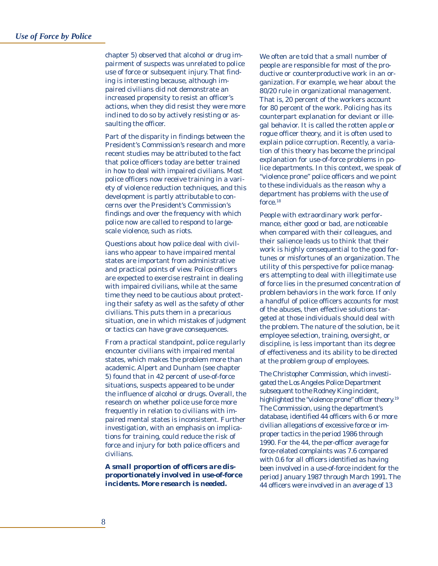chapter 5) observed that alcohol or drug impairment of suspects was unrelated to police use of force or subsequent injury. That finding is interesting because, although impaired civilians did not demonstrate an increased propensity to resist an officer's actions, when they did resist they were more inclined to do so by actively resisting or assaulting the officer.

Part of the disparity in findings between the President's Commission's research and more recent studies may be attributed to the fact that police officers today are better trained in how to deal with impaired civilians. Most police officers now receive training in a variety of violence reduction techniques, and this development is partly attributable to concerns over the President's Commission's findings and over the frequency with which police now are called to respond to largescale violence, such as riots.

Questions about how police deal with civilians who appear to have impaired mental states are important from administrative and practical points of view. Police officers are expected to exercise restraint in dealing with impaired civilians, while at the same time they need to be cautious about protecting their safety as well as the safety of other civilians. This puts them in a precarious situation, one in which mistakes of judgment or tactics can have grave consequences.

From a practical standpoint, police regularly encounter civilians with impaired mental states, which makes the problem more than academic. Alpert and Dunham (see chapter 5) found that in 42 percent of use-of-force situations, suspects appeared to be under the influence of alcohol or drugs. Overall, the research on whether police use force more frequently in relation to civilians with impaired mental states is inconsistent. Further investigation, with an emphasis on implications for training, could reduce the risk of force and injury for both police officers and civilians.

*A small proportion of officers are disproportionately involved in use-of-force incidents. More research is needed.*

We often are told that a small number of people are responsible for most of the productive or counterproductive work in an organization. For example, we hear about the 80/20 rule in organizational management. That is, 20 percent of the workers account for 80 percent of the work. Policing has its counterpart explanation for deviant or illegal behavior. It is called the rotten apple or rogue officer theory, and it is often used to explain police corruption. Recently, a variation of this theory has become the principal explanation for use-of-force problems in police departments. In this context, we speak of "violence prone" police officers and we point to these individuals as the reason why a department has problems with the use of force.<sup>18</sup>

People with extraordinary work performance, either good or bad, are noticeable when compared with their colleagues, and their salience leads us to think that their work is highly consequential to the good fortunes or misfortunes of an organization. The utility of this perspective for police managers attempting to deal with illegitimate use of force lies in the presumed concentration of problem behaviors in the work force. If only a handful of police officers accounts for most of the abuses, then effective solutions targeted at those individuals should deal with the problem. The nature of the solution, be it employee selection, training, oversight, or discipline, is less important than its degree of effectiveness and its ability to be directed at the problem group of employees.

The Christopher Commission, which investigated the Los Angeles Police Department subsequent to the Rodney King incident, highlighted the "violence prone" officer theory.<sup>19</sup> The Commission, using the department's database, identified 44 officers with 6 or more civilian allegations of excessive force or improper tactics in the period 1986 through 1990. For the 44, the per-officer average for force-related complaints was 7.6 compared with 0.6 for all officers identified as having been involved in a use-of-force incident for the period January 1987 through March 1991. The 44 officers were involved in an average of 13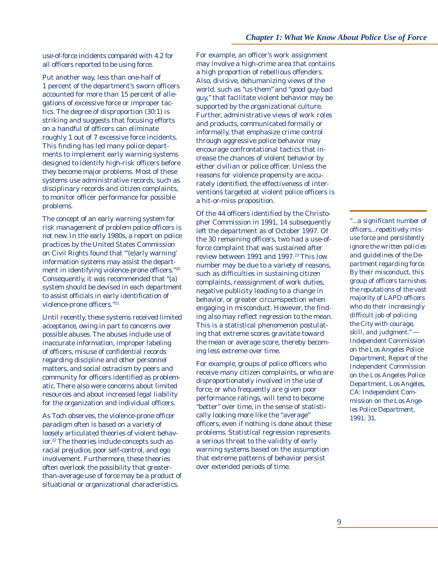use-of-force incidents compared with 4.2 for all officers reported to be using force.

Put another way, less than one-half of 1 percent of the department's sworn officers accounted for more than 15 percent of allegations of excessive force or improper tactics. The degree of disproportion (30:1) is striking and suggests that focusing efforts on a handful of officers can eliminate roughly 1 out of 7 excessive force incidents. This finding has led many police departments to implement early warning systems designed to identify high-risk officers before they become major problems. Most of these systems use administrative records, such as disciplinary records and citizen complaints, to monitor officer performance for possible problems.

The concept of an early warning system for risk management of problem police officers is not new. In the early 1980s, a report on police practices by the United States Commission on Civil Rights found that "'(e)arly warning' information systems may assist the department in identifying violence-prone officers."20 Consequently, it was recommended that "(a) system should be devised in each department to assist officials in early identification of violence-prone officers."21

Until recently, these systems received limited acceptance, owing in part to concerns over possible abuses. The abuses include use of inaccurate information, improper labeling of officers, misuse of confidential records regarding discipline and other personnel matters, and social ostracism by peers and community for officers identified as problematic. There also were concerns about limited resources and about increased legal liability for the organization and individual officers.

As Toch observes, the violence-prone officer paradigm often is based on a variety of loosely articulated theories of violent behavior.<sup>22</sup> The theories include concepts such as racial prejudice, poor self-control, and ego involvement. Furthermore, these theories often overlook the possibility that greaterthan-average use of force may be a product of situational or organizational characteristics.

For example, an officer's work assignment may involve a high-crime area that contains a high proportion of rebellious offenders. Also, divisive, dehumanizing views of the world, such as "us-them" and "good guy-bad guy," that facilitate violent behavior may be supported by the organizational culture. Further, administrative views of work roles and products, communicated formally or informally, that emphasize crime control through aggressive police behavior may encourage confrontational tactics that increase the chances of violent behavior by either civilian or police officer. Unless the reasons for violence propensity are accurately identified, the effectiveness of interventions targeted at violent police officers is a hit-or-miss proposition.

Of the 44 officers identified by the Christopher Commission in 1991, 14 subsequently left the department as of October 1997. Of the 30 remaining officers, two had a use-offorce complaint that was sustained after review between 1991 and 1997.<sup>23</sup> This low number may be due to a variety of reasons, such as difficulties in sustaining citizen complaints, reassignment of work duties, negative publicity leading to a change in behavior, or greater circumspection when engaging in misconduct. However, the finding also may reflect regression to the mean. This is a statistical phenomenon postulating that extreme scores gravitate toward the mean or average score, thereby becoming less extreme over time.

For example, groups of police officers who receive many citizen complaints, or who are disproportionately involved in the use of force, or who frequently are given poor performance ratings, will tend to become "better" over time, in the sense of statistically looking more like the "average" officers, even if nothing is done about these problems. Statistical regression represents a serious threat to the validity of early warning systems based on the assumption that extreme patterns of behavior persist over extended periods of time.

*"...a significant number of officers...repetitively misuse force and persistently ignore the written policies and guidelines of the Department regarding force. By their misconduct, this group of officers tarnishes the reputations of the vast majority of LAPD officers who do their increasingly difficult job of policing the City with courage, skill, and judgment." — Independent Commission on the Los Angeles Police Department,* Report of the Independent Commission on the Los Angeles Police Department, *Los Angeles, CA: Independent Commission on the Los Angeles Police Department, 1991: 31.*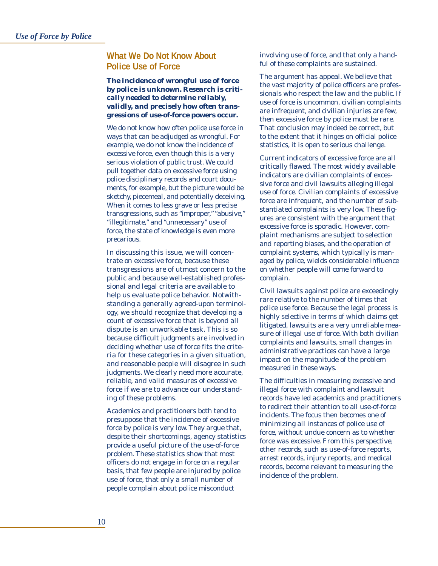#### **What We Do Not Know About Police Use of Force**

#### *The incidence of wrongful use of force by police is unknown. Research is critically needed to determine reliably, validly, and precisely how often transgressions of use-of-force powers occur.*

We do not know how often police use force in ways that can be adjudged as wrongful. For example, we do not know the incidence of excessive force, even though this is a very serious violation of public trust. We could pull together data on excessive force using police disciplinary records and court documents, for example, but the picture would be sketchy, piecemeal, and potentially deceiving. When it comes to less grave or less precise transgressions, such as "improper," "abusive," "illegitimate," and "unnecessary" use of force, the state of knowledge is even more precarious.

In discussing this issue, we will concentrate on excessive force, because these transgressions are of utmost concern to the public and because well-established professional and legal criteria are available to help us evaluate police behavior. Notwithstanding a generally agreed-upon terminology, we should recognize that developing a count of excessive force that is beyond all dispute is an unworkable task. This is so because difficult judgments are involved in deciding whether use of force fits the criteria for these categories in a given situation, and reasonable people will disagree in such judgments. We clearly need more accurate, reliable, and valid measures of excessive force if we are to advance our understanding of these problems.

Academics and practitioners both tend to presuppose that the incidence of excessive force by police is very low. They argue that, despite their shortcomings, agency statistics provide a useful picture of the use-of-force problem. These statistics show that most officers do not engage in force on a regular basis, that few people are injured by police use of force, that only a small number of people complain about police misconduct

involving use of force, and that only a handful of these complaints are sustained.

The argument has appeal. We believe that the vast majority of police officers are professionals who respect the law and the public. If use of force is uncommon, civilian complaints are infrequent, and civilian injuries are few, then excessive force by police must be rare. That conclusion may indeed be correct, but to the extent that it hinges on official police statistics, it is open to serious challenge.

Current indicators of excessive force are all critically flawed. The most widely available indicators are civilian complaints of excessive force and civil lawsuits alleging illegal use of force. Civilian complaints of excessive force are infrequent, and the number of substantiated complaints is very low. These figures are consistent with the argument that excessive force is sporadic. However, complaint mechanisms are subject to selection and reporting biases, and the operation of complaint systems, which typically is managed by police, wields considerable influence on whether people will come forward to complain.

Civil lawsuits against police are exceedingly rare relative to the number of times that police use force. Because the legal process is highly selective in terms of which claims get litigated, lawsuits are a very unreliable measure of illegal use of force. With both civilian complaints and lawsuits, small changes in administrative practices can have a large impact on the magnitude of the problem measured in these ways.

The difficulties in measuring excessive and illegal force with complaint and lawsuit records have led academics and practitioners to redirect their attention to all use-of-force incidents. The focus then becomes one of minimizing all instances of police use of force, without undue concern as to whether force was excessive. From this perspective, other records, such as use-of-force reports, arrest records, injury reports, and medical records, become relevant to measuring the incidence of the problem.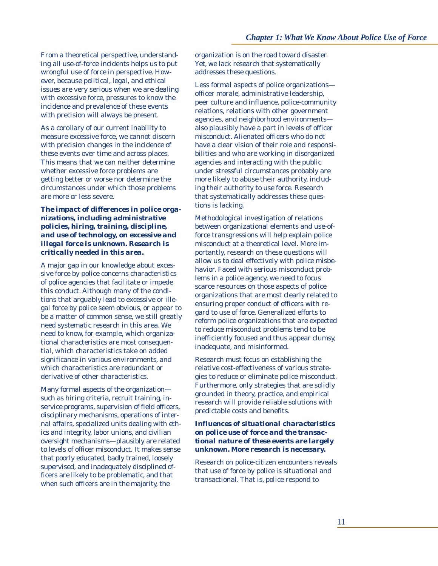From a theoretical perspective, understanding all use-of-force incidents helps us to put wrongful use of force in perspective. However, because political, legal, and ethical issues are very serious when we are dealing with excessive force, pressures to know the incidence and prevalence of these events with precision will always be present.

As a corollary of our current inability to measure excessive force, we cannot discern with precision changes in the incidence of these events over time and across places. This means that we can neither determine whether excessive force problems are getting better or worse nor determine the circumstances under which those problems are more or less severe.

#### *The impact of differences in police organizations, including administrative policies, hiring, training, discipline, and use of technology, on excessive and illegal force is unknown. Research is critically needed in this area.*

A major gap in our knowledge about excessive force by police concerns characteristics of police agencies that facilitate or impede this conduct. Although many of the conditions that arguably lead to excessive or illegal force by police seem obvious, or appear to be a matter of common sense, we still greatly need systematic research in this area. We need to know, for example, which organizational characteristics are most consequential, which characteristics take on added significance in various environments, and which characteristics are redundant or derivative of other characteristics.

Many formal aspects of the organization such as hiring criteria, recruit training, inservice programs, supervision of field officers, disciplinary mechanisms, operations of internal affairs, specialized units dealing with ethics and integrity, labor unions, and civilian oversight mechanisms—plausibly are related to levels of officer misconduct. It makes sense that poorly educated, badly trained, loosely supervised, and inadequately disciplined officers are likely to be problematic, and that when such officers are in the majority, the

organization is on the road toward disaster. Yet, we lack research that systematically addresses these questions.

Less formal aspects of police organizations officer morale, administrative leadership, peer culture and influence, police-community relations, relations with other government agencies, and neighborhood environments also plausibly have a part in levels of officer misconduct. Alienated officers who do not have a clear vision of their role and responsibilities and who are working in disorganized agencies and interacting with the public under stressful circumstances probably are more likely to abuse their authority, including their authority to use force. Research that systematically addresses these questions is lacking.

Methodological investigation of relations between organizational elements and use-offorce transgressions will help explain police misconduct at a theoretical level. More importantly, research on these questions will allow us to deal effectively with police misbehavior. Faced with serious misconduct problems in a police agency, we need to focus scarce resources on those aspects of police organizations that are most clearly related to ensuring proper conduct of officers with regard to use of force. Generalized efforts to reform police organizations that are expected to reduce misconduct problems tend to be inefficiently focused and thus appear clumsy, inadequate, and misinformed.

Research must focus on establishing the relative cost-effectiveness of various strategies to reduce or eliminate police misconduct. Furthermore, only strategies that are solidly grounded in theory, practice, and empirical research will provide reliable solutions with predictable costs and benefits.

#### *Influences of situational characteristics on police use of force and the transactional nature of these events are largely unknown. More research is necessary.*

Research on police-citizen encounters reveals that use of force by police is situational and transactional. That is, police respond to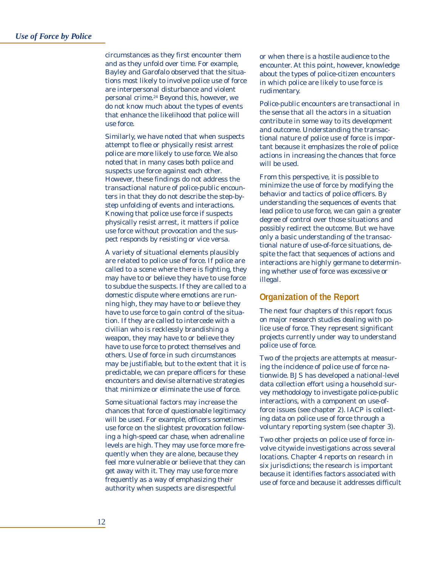circumstances as they first encounter them and as they unfold over time. For example, Bayley and Garofalo observed that the situations most likely to involve police use of force are interpersonal disturbance and violent personal crime.<sup>24</sup> Beyond this, however, we do not know much about the types of events that enhance the likelihood that police will use force.

Similarly, we have noted that when suspects attempt to flee or physically resist arrest police are more likely to use force. We also noted that in many cases both police and suspects use force against each other. However, these findings do not address the transactional nature of police-public encounters in that they do not describe the step-bystep unfolding of events and interactions. Knowing that police use force if suspects physically resist arrest, it matters if police use force without provocation and the suspect responds by resisting or vice versa.

A variety of situational elements plausibly are related to police use of force. If police are called to a scene where there is fighting, they may have to or believe they have to use force to subdue the suspects. If they are called to a domestic dispute where emotions are running high, they may have to or believe they have to use force to gain control of the situation. If they are called to intercede with a civilian who is recklessly brandishing a weapon, they may have to or believe they have to use force to protect themselves and others. Use of force in such circumstances may be justifiable, but to the extent that it is predictable, we can prepare officers for these encounters and devise alternative strategies that minimize or eliminate the use of force.

Some situational factors may increase the chances that force of questionable legitimacy will be used. For example, officers sometimes use force on the slightest provocation following a high-speed car chase, when adrenaline levels are high. They may use force more frequently when they are alone, because they feel more vulnerable or believe that they can get away with it. They may use force more frequently as a way of emphasizing their authority when suspects are disrespectful

or when there is a hostile audience to the encounter. At this point, however, knowledge about the types of police-citizen encounters in which police are likely to use force is rudimentary.

Police-public encounters are transactional in the sense that all the actors in a situation contribute in some way to its development and outcome. Understanding the transactional nature of police use of force is important because it emphasizes the role of police actions in increasing the chances that force will be used.

From this perspective, it is possible to minimize the use of force by modifying the behavior and tactics of police officers. By understanding the sequences of events that lead police to use force, we can gain a greater degree of control over those situations and possibly redirect the outcome. But we have only a basic understanding of the transactional nature of use-of-force situations, despite the fact that sequences of actions and interactions are highly germane to determining whether use of force was excessive or illegal.

#### **Organization of the Report**

The next four chapters of this report focus on major research studies dealing with police use of force. They represent significant projects currently under way to understand police use of force.

Two of the projects are attempts at measuring the incidence of police use of force nationwide. BJS has developed a national-level data collection effort using a household survey methodology to investigate police-public interactions, with a component on use-offorce issues (see chapter 2). IACP is collecting data on police use of force through a voluntary reporting system (see chapter 3).

Two other projects on police use of force involve citywide investigations across several locations. Chapter 4 reports on research in six jurisdictions; the research is important because it identifies factors associated with use of force and because it addresses difficult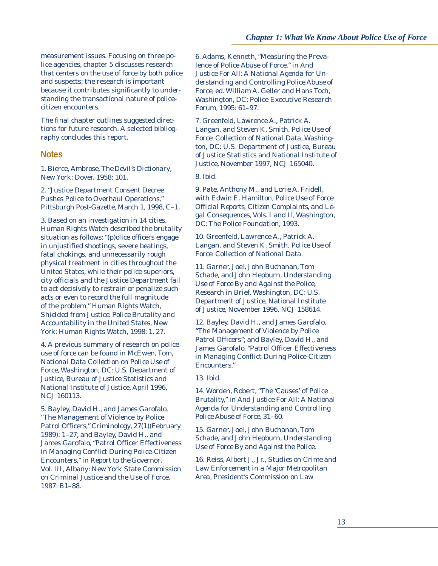measurement issues. Focusing on three police agencies, chapter 5 discusses research that centers on the use of force by both police and suspects; the research is important because it contributes significantly to understanding the transactional nature of policecitizen encounters.

The final chapter outlines suggested directions for future research. A selected bibliography concludes this report.

#### **Notes**

1. Bierce, Ambrose, *The Devil's Dictionary*, New York: Dover, 1958: 101.

2. "Justice Department Consent Decree Pushes Police to Overhaul Operations," *Pittsburgh Post-Gazette*, March 1, 1998, C–1.

3. Based on an investigation in 14 cities, Human Rights Watch described the brutality situation as follows: "(p)olice officers engage in unjustified shootings, severe beatings, fatal chokings, and unnecessarily rough physical treatment in cities throughout the United States, while their police superiors, city officials and the Justice Department fail to act decisively to restrain or penalize such acts or even to record the full magnitude of the problem." Human Rights Watch, *Shielded from Justice: Police Brutality and Accountability in the United States*, New York: Human Rights Watch, 1998: 1, 27.

4. A previous summary of research on police use of force can be found in McEwen, Tom, *National Data Collection on Police Use of Force*, Washington, DC: U.S. Department of Justice, Bureau of Justice Statistics and National Institute of Justice, April 1996, NCJ 160113.

5. Bayley, David H., and James Garofalo, "The Management of Violence by Police Patrol Officers," *Criminology*, 27(1)(February 1989): 1–27; and Bayley, David H., and James Garofalo, "Patrol Officer Effectiveness in Managing Conflict During Police-Citizen Encounters," in *Report to the Governor*, *Vol. III*, Albany: New York State Commission on Criminal Justice and the Use of Force, 1987: B1–88.

6. Adams, Kenneth, "Measuring the Prevalence of Police Abuse of Force," in *And Justice For All: A National Agenda for Understanding and Controlling Police Abuse of Force*, ed. William A. Geller and Hans Toch, Washington, DC: Police Executive Research Forum, 1995: 61–97.

7. Greenfeld, Lawrence A., Patrick A. Langan, and Steven K. Smith, *Police Use of Force: Collection of National Data*, Washington, DC: U.S. Department of Justice, Bureau of Justice Statistics and National Institute of Justice, November 1997, NCJ 165040.

#### 8. Ibid.

9. Pate, Anthony M., and Lorie A. Fridell, with Edwin E. Hamilton, *Police Use of Force: Official Reports, Citizen Complaints, and Legal Consequences*, Vols. I and II, Washington, DC: The Police Foundation, 1993.

10. Greenfeld, Lawrence A., Patrick A. Langan, and Steven K. Smith, *Police Use of Force: Collection of National Data*.

11. Garner, Joel, John Buchanan, Tom Schade, and John Hepburn, *Understanding Use of Force By and Against the Police*, Research in Brief, Washington, DC: U.S. Department of Justice, National Institute of Justice, November 1996, NCJ 158614.

12. Bayley, David H., and James Garofalo, "The Management of Violence by Police Patrol Officers"; and Bayley, David H., and James Garofalo, "Patrol Officer Effectiveness in Managing Conflict During Police-Citizen Encounters."

13. Ibid.

14. Worden, Robert, "The 'Causes' of Police Brutality," in *And Justice For All: A National Agenda for Understanding and Controlling Police Abuse of Force,* 31–60.

15. Garner, Joel, John Buchanan, Tom Schade, and John Hepburn, *Understanding Use of Force By and Against the Police*.

16. Reiss, Albert J., Jr., *Studies on Crime and Law Enforcement in a Major Metropolitan Area*, President's Commission on Law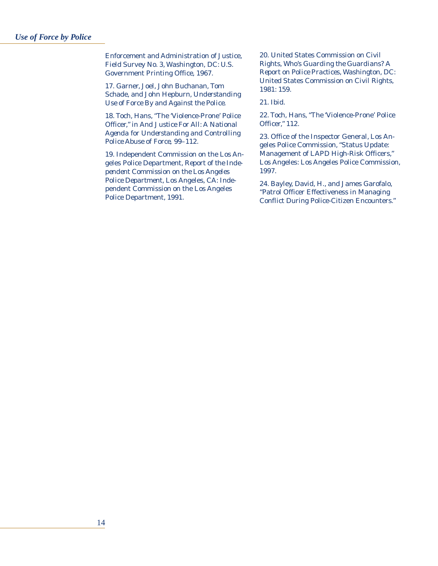Enforcement and Administration of Justice, Field Survey No. 3, Washington, DC: U.S. Government Printing Office, 1967.

17. Garner, Joel, John Buchanan, Tom Schade, and John Hepburn, *Understanding Use of Force By and Against the Police*.

18. Toch, Hans, "The 'Violence-Prone' Police Officer," in *And Justice For All: A National Agenda for Understanding and Controlling Police Abuse of Force,* 99–112.

19. Independent Commission on the Los Angeles Police Department, *Report of the Independent Commission on the Los Angeles Police Department*, Los Angeles, CA: Independent Commission on the Los Angeles Police Department, 1991.

20. United States Commission on Civil Rights, *Who's Guarding the Guardians? A Report on Police Practices*, Washington, DC: United States Commission on Civil Rights, 1981: 159.

21. Ibid.

22. Toch, Hans, "The 'Violence-Prone' Police Officer," 112.

23. Office of the Inspector General, Los Angeles Police Commission, "Status Update: Management of LAPD High-Risk Officers," Los Angeles: Los Angeles Police Commission, 1997.

24. Bayley, David, H., and James Garofalo, "Patrol Officer Effectiveness in Managing Conflict During Police-Citizen Encounters."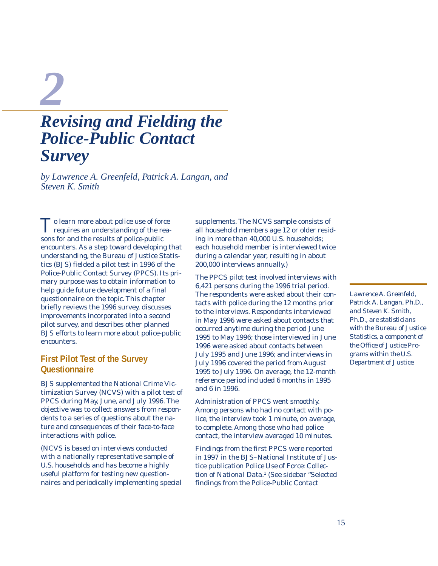## *2*

## *Revising and Fielding the Police-Public Contact Survey*

*by Lawrence A. Greenfeld, Patrick A. Langan, and Steven K. Smith*

To learn more about police use of force requires an understanding of the reasons for and the results of police-public encounters. As a step toward developing that understanding, the Bureau of Justice Statistics (BJS) fielded a pilot test in 1996 of the Police-Public Contact Survey (PPCS). Its primary purpose was to obtain information to help guide future development of a final questionnaire on the topic. This chapter briefly reviews the 1996 survey, discusses improvements incorporated into a second pilot survey, and describes other planned BJS efforts to learn more about police-public encounters.

#### **First Pilot Test of the Survey Questionnaire**

BJS supplemented the National Crime Victimization Survey (NCVS) with a pilot test of PPCS during May, June, and July 1996. The objective was to collect answers from respondents to a series of questions about the nature and consequences of their face-to-face interactions with police.

(NCVS is based on interviews conducted with a nationally representative sample of U.S. households and has become a highly useful platform for testing new questionnaires and periodically implementing special supplements. The NCVS sample consists of all household members age 12 or older residing in more than 40,000 U.S. households; each household member is interviewed twice during a calendar year, resulting in about 200,000 interviews annually.)

The PPCS pilot test involved interviews with 6,421 persons during the 1996 trial period. The respondents were asked about their contacts with police during the 12 months prior to the interviews. Respondents interviewed in May 1996 were asked about contacts that occurred anytime during the period June 1995 to May 1996; those interviewed in June 1996 were asked about contacts between July 1995 and June 1996; and interviews in July 1996 covered the period from August 1995 to July 1996. On average, the 12-month reference period included 6 months in 1995 and 6 in 1996.

Administration of PPCS went smoothly. Among persons who had no contact with police, the interview took 1 minute, on average, to complete. Among those who had police contact, the interview averaged 10 minutes.

Findings from the first PPCS were reported in 1997 in the BJS–National Institute of Justice publication *Police Use of Force: Collection of National Data*. 1 (See sidebar "Selected findings from the Police-Public Contact

*Lawrence A. Greenfeld, Patrick A. Langan, Ph.D., and Steven K. Smith, Ph.D., are statisticians with the Bureau of Justice Statistics, a component of the Office of Justice Programs within the U.S. Department of Justice.*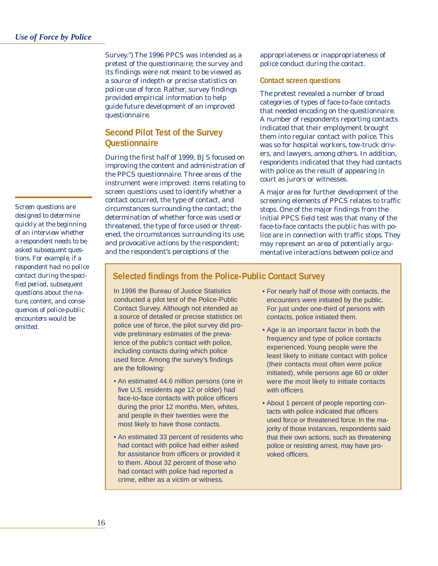Survey.") The 1996 PPCS was intended as a pretest of the questionnaire; the survey and its findings were not meant to be viewed as a source of indepth or precise statistics on police use of force. Rather, survey findings provided empirical information to help guide future development of an improved questionnaire.

#### **Second Pilot Test of the Survey Questionnaire**

During the first half of 1999, BJS focused on improving the content and administration of the PPCS questionnaire. Three areas of the instrument were improved: items relating to screen questions used to identify whether a contact occurred, the type of contact, and circumstances surrounding the contact; the determination of whether force was used or threatened, the type of force used or threatened, the circumstances surrounding its use, and provocative actions by the respondent; and the respondent's perceptions of the

appropriateness or inappropriateness of police conduct during the contact.

#### **Contact screen questions**

The pretest revealed a number of broad categories of types of face-to-face contacts that needed encoding on the questionnaire. A number of respondents reporting contacts indicated that their employment brought them into regular contact with police. This was so for hospital workers, tow-truck drivers, and lawyers, among others. In addition, respondents indicated that they had contacts with police as the result of appearing in court as jurors or witnesses.

A major area for further development of the screening elements of PPCS relates to traffic stops. One of the major findings from the initial PPCS field test was that many of the face-to-face contacts the public has with police are in connection with traffic stops. They may represent an area of potentially argumentative interactions between police and

#### **Selected findings from the Police-Public Contact Survey**

In 1996 the Bureau of Justice Statistics conducted a pilot test of the Police-Public Contact Survey. Although not intended as a source of detailed or precise statistics on police use of force, the pilot survey did provide preliminary estimates of the prevalence of the public's contact with police, including contacts during which police used force. Among the survey's findings are the following:

- An estimated 44.6 million persons (one in five U.S. residents age 12 or older) had face-to-face contacts with police officers during the prior 12 months. Men, whites, and people in their twenties were the most likely to have those contacts.
- An estimated 33 percent of residents who had contact with police had either asked for assistance from officers or provided it to them. About 32 percent of those who had contact with police had reported a crime, either as a victim or witness.
- For nearly half of those with contacts, the encounters were initiated by the public. For just under one-third of persons with contacts, police initiated them.
- Age is an important factor in both the frequency and type of police contacts experienced. Young people were the least likely to initiate contact with police (their contacts most often were police initiated), while persons age 60 or older were the most likely to initiate contacts with officers.
- About 1 percent of people reporting contacts with police indicated that officers used force or threatened force. In the majority of those instances, respondents said that their own actions, such as threatening police or resisting arrest, may have provoked officers.

*Screen questions are designed to determine quickly at the beginning of an interview whether a respondent needs to be asked subsequent questions. For example, if a respondent had no police contact during the specified period, subsequent questions about the nature, content, and consequences of police-public encounters would be omitted.*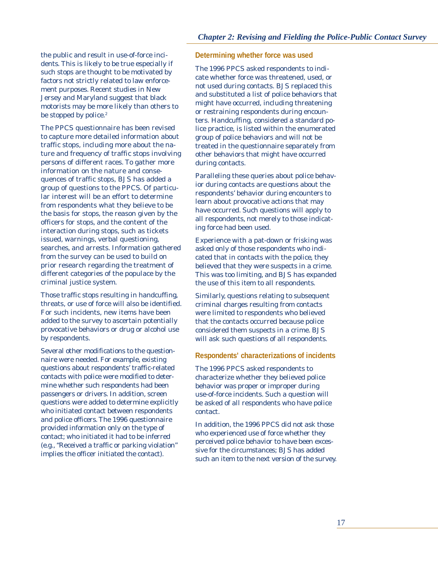the public and result in use-of-force incidents. This is likely to be true especially if such stops are thought to be motivated by factors not strictly related to law enforcement purposes. Recent studies in New Jersey and Maryland suggest that black motorists may be more likely than others to be stopped by police.<sup>2</sup>

The PPCS questionnaire has been revised to capture more detailed information about traffic stops, including more about the nature and frequency of traffic stops involving persons of different races. To gather more information on the nature and consequences of traffic stops, BJS has added a group of questions to the PPCS. Of particular interest will be an effort to determine from respondents what they believe to be the basis for stops, the reason given by the officers for stops, and the content of the interaction during stops, such as tickets issued, warnings, verbal questioning, searches, and arrests. Information gathered from the survey can be used to build on prior research regarding the treatment of different categories of the populace by the criminal justice system.

Those traffic stops resulting in handcuffing, threats, or use of force will also be identified. For such incidents, new items have been added to the survey to ascertain potentially provocative behaviors or drug or alcohol use by respondents.

Several other modifications to the questionnaire were needed. For example, existing questions about respondents' traffic-related contacts with police were modified to determine whether such respondents had been passengers or drivers. In addition, screen questions were added to determine explicitly who initiated contact between respondents and police officers. The 1996 questionnaire provided information only on the type of contact; who initiated it had to be inferred (e.g., "Received a traffic or parking violation" implies the officer initiated the contact).

#### **Determining whether force was used**

The 1996 PPCS asked respondents to indicate whether force was threatened, used, or not used during contacts. BJS replaced this and substituted a list of police behaviors that might have occurred, including threatening or restraining respondents during encounters. Handcuffing, considered a standard police practice, is listed within the enumerated group of police behaviors and will not be treated in the questionnaire separately from other behaviors that might have occurred during contacts.

Paralleling these queries about police behavior during contacts are questions about the respondents' behavior during encounters to learn about provocative actions that may have occurred. Such questions will apply to all respondents, not merely to those indicating force had been used.

Experience with a pat-down or frisking was asked only of those respondents who indicated that in contacts with the police, they believed that they were suspects in a crime. This was too limiting, and BJS has expanded the use of this item to all respondents.

Similarly, questions relating to subsequent criminal charges resulting from contacts were limited to respondents who believed that the contacts occurred because police considered them suspects in a crime. BJS will ask such questions of all respondents.

#### **Respondents' characterizations of incidents**

The 1996 PPCS asked respondents to characterize whether they believed police behavior was proper or improper during use-of-force incidents. Such a question will be asked of all respondents who have police contact.

In addition, the 1996 PPCS did not ask those who experienced use of force whether they perceived police behavior to have been excessive for the circumstances; BJS has added such an item to the next version of the survey.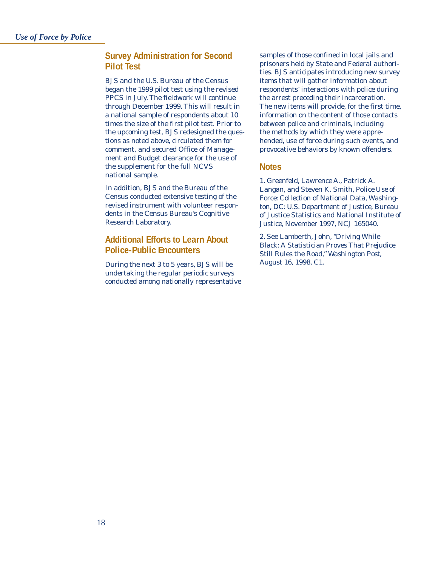#### **Survey Administration for Second Pilot Test**

BJS and the U.S. Bureau of the Census began the 1999 pilot test using the revised PPCS in July. The fieldwork will continue through December 1999. This will result in a national sample of respondents about 10 times the size of the first pilot test. Prior to the upcoming test, BJS redesigned the questions as noted above, circulated them for comment, and secured Office of Management and Budget clearance for the use of the supplement for the full NCVS national sample.

In addition, BJS and the Bureau of the Census conducted extensive testing of the revised instrument with volunteer respondents in the Census Bureau's Cognitive Research Laboratory.

#### **Additional Efforts to Learn About Police-Public Encounters**

During the next 3 to 5 years, BJS will be undertaking the regular periodic surveys conducted among nationally representative samples of those confined in local jails and prisoners held by State and Federal authorities. BJS anticipates introducing new survey items that will gather information about respondents' interactions with police during the arrest preceding their incarceration. The new items will provide, for the first time, information on the content of those contacts between police and criminals, including the methods by which they were apprehended, use of force during such events, and provocative behaviors by known offenders.

#### **Notes**

1. Greenfeld, Lawrence A., Patrick A. Langan, and Steven K. Smith, *Police Use of Force: Collection of National Data*, Washington, DC: U.S. Department of Justice, Bureau of Justice Statistics and National Institute of Justice, November 1997, NCJ 165040.

2. See Lamberth, John, "Driving While Black: A Statistician Proves That Prejudice Still Rules the Road," *Washington Post*, August 16, 1998, C1.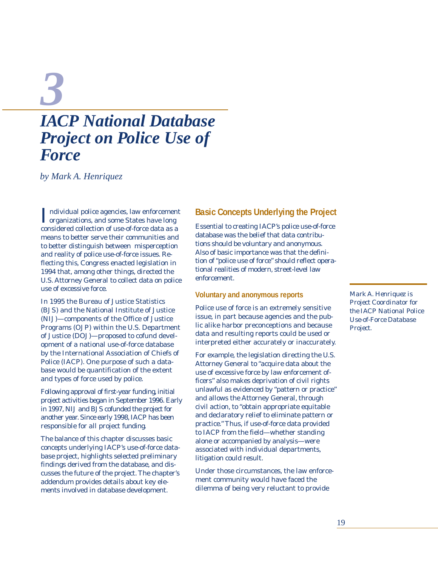## *3*

## *IACP National Database Project on Police Use of Force*

*by Mark A. Henriquez*

Individual police agencies, law enforcement organizations, and some States have long considered collection of use-of-force data as a means to better serve their communities and to better distinguish between misperception and reality of police use-of-force issues. Reflecting this, Congress enacted legislation in 1994 that, among other things, directed the U.S. Attorney General to collect data on police use of excessive force.

In 1995 the Bureau of Justice Statistics (BJS) and the National Institute of Justice (NIJ)—components of the Office of Justice Programs (OJP) within the U.S. Department of Justice (DOJ)—proposed to cofund development of a national use-of-force database by the International Association of Chiefs of Police (IACP). One purpose of such a database would be quantification of the extent and types of force used by police.

Following approval of first-year funding, initial project activities began in September 1996. Early in 1997, NIJ and BJS cofunded the project for another year. Since early 1998, IACP has been responsible for all project funding.

The balance of this chapter discusses basic concepts underlying IACP's use-of-force database project, highlights selected preliminary findings derived from the database, and discusses the future of the project. The chapter's addendum provides details about key elements involved in database development.

#### **Basic Concepts Underlying the Project**

Essential to creating IACP's police use-of-force database was the belief that data contributions should be voluntary and anonymous. Also of basic importance was that the definition of "police use of force" should reflect operational realities of modern, street-level law enforcement.

#### **Voluntary and anonymous reports**

Police use of force is an extremely sensitive issue, in part because agencies and the public alike harbor preconceptions and because data and resulting reports could be used or interpreted either accurately or inaccurately.

For example, the legislation directing the U.S. Attorney General to "acquire data about the use of excessive force by law enforcement officers" also makes deprivation of civil rights unlawful as evidenced by "pattern or practice" and allows the Attorney General, through civil action, to "obtain appropriate equitable and declaratory relief to eliminate pattern or practice." Thus, if use-of-force data provided to IACP from the field—whether standing alone or accompanied by analysis—were associated with individual departments, litigation could result.

Under those circumstances, the law enforcement community would have faced the dilemma of being very reluctant to provide

*Mark A. Henriquez is Project Coordinator for the IACP National Police Use-of-Force Database Project.*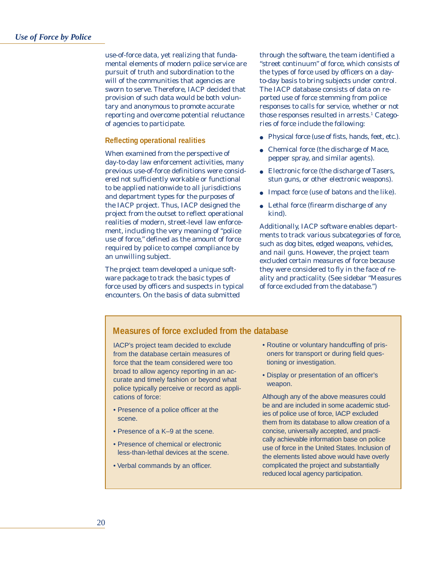use-of-force data, yet realizing that fundamental elements of modern police service are pursuit of truth and subordination to the will of the communities that agencies are sworn to serve. Therefore, IACP decided that provision of such data would be both voluntary and anonymous to promote accurate reporting and overcome potential reluctance of agencies to participate.

#### **Reflecting operational realities**

When examined from the perspective of day-to-day law enforcement activities, many previous use-of-force definitions were considered not sufficiently workable or functional to be applied nationwide to all jurisdictions and department types for the purposes of the IACP project. Thus, IACP designed the project from the outset to reflect operational realities of modern, street-level law enforcement, including the very meaning of "police use of force," defined as the amount of force required by police to compel compliance by an unwilling subject.

The project team developed a unique software package to track the basic types of force used by officers and suspects in typical encounters. On the basis of data submitted

through the software, the team identified a "street continuum" of force, which consists of the types of force used by officers on a dayto-day basis to bring subjects under control. The IACP database consists of data on reported use of force stemming from police responses to calls for service, whether or not those responses resulted in arrests.<sup>1</sup> Categories of force include the following:

- Physical force (use of fists, hands, feet, etc.).
- Chemical force (the discharge of Mace, pepper spray, and similar agents).
- Electronic force (the discharge of Tasers, stun guns, or other electronic weapons).
- Impact force (use of batons and the like).
- Lethal force (firearm discharge of any kind).

Additionally, IACP software enables departments to track various subcategories of force, such as dog bites, edged weapons, vehicles, and nail guns. However, the project team excluded certain measures of force because they were considered to fly in the face of reality and practicality. (See sidebar "Measures of force excluded from the database.")

#### **Measures of force excluded from the database**

IACP's project team decided to exclude from the database certain measures of force that the team considered were too broad to allow agency reporting in an accurate and timely fashion or beyond what police typically perceive or record as applications of force:

- Presence of a police officer at the scene.
- Presence of a K–9 at the scene.
- Presence of chemical or electronic less-than-lethal devices at the scene.
- Verbal commands by an officer.
- Routine or voluntary handcuffing of prisoners for transport or during field questioning or investigation.
- Display or presentation of an officer's weapon.

Although any of the above measures could be and are included in some academic studies of police use of force, IACP excluded them from its database to allow creation of a concise, universally accepted, and practically achievable information base on police use of force in the United States. Inclusion of the elements listed above would have overly complicated the project and substantially reduced local agency participation.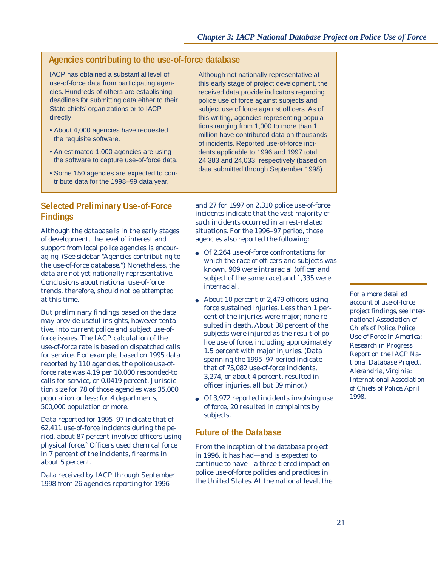#### **Agencies contributing to the use-of-force database**

IACP has obtained a substantial level of use-of-force data from participating agencies. Hundreds of others are establishing deadlines for submitting data either to their State chiefs' organizations or to IACP directly:

- About 4,000 agencies have requested the requisite software.
- An estimated 1,000 agencies are using the software to capture use-of-force data.
- Some 150 agencies are expected to contribute data for the 1998–99 data year.

Although not nationally representative at this early stage of project development, the received data provide indicators regarding police use of force against subjects and subject use of force against officers. As of this writing, agencies representing populations ranging from 1,000 to more than 1 million have contributed data on thousands of incidents. Reported use-of-force incidents applicable to 1996 and 1997 total 24,383 and 24,033, respectively (based on data submitted through September 1998).

#### **Selected Preliminary Use-of-Force Findings**

Although the database is in the early stages of development, the level of interest and support from local police agencies is encouraging. (See sidebar "Agencies contributing to the use-of-force database.") Nonetheless, the data are not yet nationally representative. Conclusions about national use-of-force trends, therefore, should not be attempted at this time.

But preliminary findings based on the data may provide useful insights, however tentative, into current police and subject use-offorce issues. The IACP calculation of the use-of-force rate is based on dispatched calls for service. For example, based on 1995 data reported by 110 agencies, the police use-offorce rate was 4.19 per 10,000 responded-to calls for service, or 0.0419 percent. Jurisdiction size for 78 of those agencies was 35,000 population or less; for 4 departments, 500,000 population or more.

Data reported for 1995–97 indicate that of 62,411 use-of-force incidents during the period, about 87 percent involved officers using physical force.2 Officers used chemical force in 7 percent of the incidents, firearms in about 5 percent.

Data received by IACP through September 1998 from 26 agencies reporting for 1996

and 27 for 1997 on 2,310 police use-of-force incidents indicate that the vast majority of such incidents occurred in arrest-related situations. For the 1996–97 period, those agencies also reported the following:

- Of 2,264 use-of-force confrontations for which the race of officers and subjects was known, 909 were intraracial (officer and subject of the same race) and 1,335 were interracial.
- About 10 percent of 2,479 officers using force sustained injuries. Less than 1 percent of the injuries were major; none resulted in death. About 38 percent of the subjects were injured as the result of police use of force, including approximately 1.5 percent with major injuries. (Data spanning the 1995–97 period indicate that of 75,082 use-of-force incidents, 3,274, or about 4 percent, resulted in officer injuries, all but 39 minor.)
- Of 3,972 reported incidents involving use of force, 20 resulted in complaints by subjects.

#### **Future of the Database**

From the inception of the database project in 1996, it has had—and is expected to continue to have—a three-tiered impact on police use-of-force policies and practices in the United States. At the national level, the

*For a more detailed account of use-of-force project findings, see International Association of Chiefs of Police,* Police Use of Force in America: Research in Progress Report on the IACP National Database Project*, Alexandria, Virginia: International Association of Chiefs of Police, April 1998.*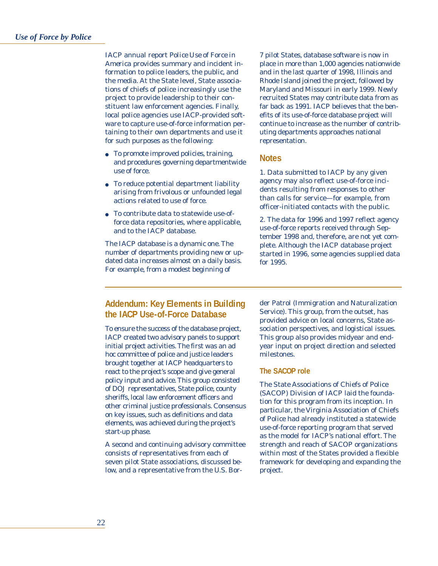IACP annual report *Police Use of Force in America* provides summary and incident information to police leaders, the public, and the media. At the State level, State associations of chiefs of police increasingly use the project to provide leadership to their constituent law enforcement agencies. Finally, local police agencies use IACP-provided software to capture use-of-force information pertaining to their own departments and use it for such purposes as the following:

- To promote improved policies, training, and procedures governing departmentwide use of force.
- To reduce potential department liability arising from frivolous or unfounded legal actions related to use of force.
- To contribute data to statewide use-offorce data repositories, where applicable, and to the IACP database.

The IACP database is a dynamic one. The number of departments providing new or updated data increases almost on a daily basis. For example, from a modest beginning of

7 pilot States, database software is now in place in more than 1,000 agencies nationwide and in the last quarter of 1998, Illinois and Rhode Island joined the project, followed by Maryland and Missouri in early 1999. Newly recruited States may contribute data from as far back as 1991. IACP believes that the benefits of its use-of-force database project will continue to increase as the number of contributing departments approaches national representation.

#### **Notes**

1. Data submitted to IACP by any given agency may also reflect use-of-force incidents resulting from responses to other than calls for service—for example, from officer-initiated contacts with the public.

2. The data for 1996 and 1997 reflect agency use-of-force reports received through September 1998 and, therefore, are not yet complete. Although the IACP database project started in 1996, some agencies supplied data for 1995.

#### **Addendum: Key Elements in Building the IACP Use-of-Force Database**

To ensure the success of the database project, IACP created two advisory panels to support initial project activities. The first was an ad hoc committee of police and justice leaders brought together at IACP headquarters to react to the project's scope and give general policy input and advice. This group consisted of DOJ representatives, State police, county sheriffs, local law enforcement officers and other criminal justice professionals. Consensus on key issues, such as definitions and data elements, was achieved during the project's start-up phase.

A second and continuing advisory committee consists of representatives from each of seven pilot State associations, discussed below, and a representative from the U.S. Bor-

der Patrol (Immigration and Naturalization Service). This group, from the outset, has provided advice on local concerns, State association perspectives, and logistical issues. This group also provides midyear and endyear input on project direction and selected milestones.

#### **The SACOP role**

The State Associations of Chiefs of Police (SACOP) Division of IACP laid the foundation for this program from its inception. In particular, the Virginia Association of Chiefs of Police had already instituted a statewide use-of-force reporting program that served as the model for IACP's national effort. The strength and reach of SACOP organizations within most of the States provided a flexible framework for developing and expanding the project.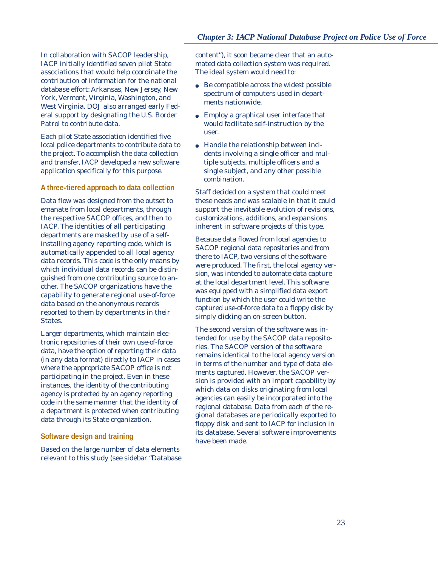In collaboration with SACOP leadership, IACP initially identified seven pilot State associations that would help coordinate the contribution of information for the national database effort: Arkansas, New Jersey, New York, Vermont, Virginia, Washington, and West Virginia. DOJ also arranged early Federal support by designating the U.S. Border Patrol to contribute data.

Each pilot State association identified five local police departments to contribute data to the project. To accomplish the data collection and transfer, IACP developed a new software application specifically for this purpose.

#### **A three-tiered approach to data collection**

Data flow was designed from the outset to emanate from local departments, through the respective SACOP offices, and then to IACP. The identities of all participating departments are masked by use of a selfinstalling agency reporting code, which is automatically appended to all local agency data records. This code is the only means by which individual data records can be distinguished from one contributing source to another. The SACOP organizations have the capability to generate regional use-of-force data based on the anonymous records reported to them by departments in their States.

Larger departments, which maintain electronic repositories of their own use-of-force data, have the option of reporting their data (in any data format) directly to IACP in cases where the appropriate SACOP office is not participating in the project. Even in these instances, the identity of the contributing agency is protected by an agency reporting code in the same manner that the identity of a department is protected when contributing data through its State organization.

#### **Software design and training**

Based on the large number of data elements relevant to this study (see sidebar "Database

content"), it soon became clear that an automated data collection system was required. The ideal system would need to:

- Be compatible across the widest possible spectrum of computers used in departments nationwide.
- Employ a graphical user interface that would facilitate self-instruction by the user.
- Handle the relationship between incidents involving a single officer and multiple subjects, multiple officers and a single subject, and any other possible combination.

Staff decided on a system that could meet these needs and was scalable in that it could support the inevitable evolution of revisions, customizations, additions, and expansions inherent in software projects of this type.

Because data flowed from local agencies to SACOP regional data repositories and from there to IACP, two versions of the software were produced. The first, the local agency version, was intended to automate data capture at the local department level. This software was equipped with a simplified data export function by which the user could write the captured use-of-force data to a floppy disk by simply clicking an on-screen button.

The second version of the software was intended for use by the SACOP data repositories. The SACOP version of the software remains identical to the local agency version in terms of the number and type of data elements captured. However, the SACOP version is provided with an import capability by which data on disks originating from local agencies can easily be incorporated into the regional database. Data from each of the regional databases are periodically exported to floppy disk and sent to IACP for inclusion in its database. Several software improvements have been made.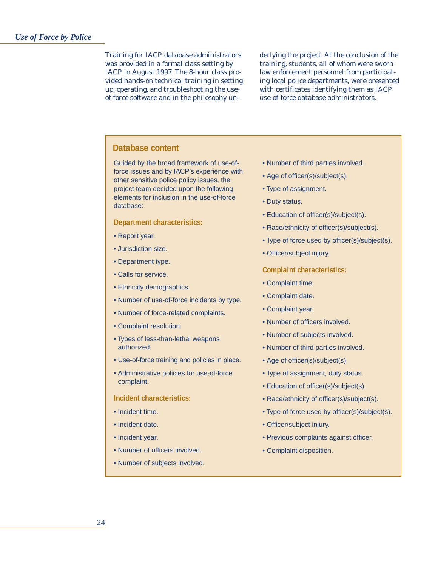Training for IACP database administrators was provided in a formal class setting by IACP in August 1997. The 8-hour class provided hands-on technical training in setting up, operating, and troubleshooting the useof-force software and in the philosophy un-

derlying the project. At the conclusion of the training, students, all of whom were sworn law enforcement personnel from participating local police departments, were presented with certificates identifying them as IACP use-of-force database administrators.

### **Database content**

Guided by the broad framework of use-offorce issues and by IACP's experience with other sensitive police policy issues, the project team decided upon the following elements for inclusion in the use-of-force database:

### **Department characteristics:**

- Report year.
- Jurisdiction size.
- Department type.
- Calls for service.
- Ethnicity demographics.
- Number of use-of-force incidents by type.
- Number of force-related complaints.
- Complaint resolution.
- Types of less-than-lethal weapons authorized.
- Use-of-force training and policies in place.
- Administrative policies for use-of-force complaint.

### **Incident characteristics:**

- Incident time.
- Incident date.
- Incident year.
- Number of officers involved.
- Number of subjects involved.
- Number of third parties involved.
- Age of officer(s)/subject(s).
- Type of assignment.
- Duty status.
- Education of officer(s)/subject(s).
- Race/ethnicity of officer(s)/subject(s).
- Type of force used by officer(s)/subject(s).
- Officer/subject injury.

**Complaint characteristics:**

- Complaint time.
- Complaint date.
- Complaint year.
- Number of officers involved.
- Number of subjects involved.
- Number of third parties involved.
- Age of officer(s)/subject(s).
- Type of assignment, duty status.
- Education of officer(s)/subject(s).
- Race/ethnicity of officer(s)/subject(s).
- Type of force used by officer(s)/subject(s).
- Officer/subject injury.
- Previous complaints against officer.
- Complaint disposition.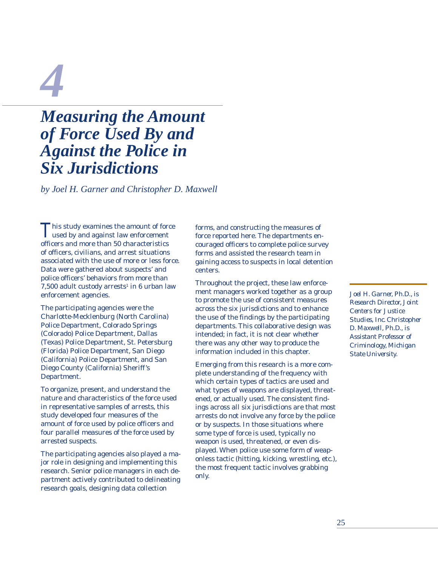# *4*

# *Measuring the Amount of Force Used By and Against the Police in Six Jurisdictions*

*by Joel H. Garner and Christopher D. Maxwell*

This study examines the amount of force<br>used by and against law enforcement officers and more than 50 characteristics of officers, civilians, and arrest situations associated with the use of more or less force. Data were gathered about suspects' and police officers' behaviors from more than  $7,500$  adult custody arrests<sup>1</sup> in 6 urban law enforcement agencies.

The participating agencies were the Charlotte-Mecklenburg (North Carolina) Police Department, Colorado Springs (Colorado) Police Department, Dallas (Texas) Police Department, St. Petersburg (Florida) Police Department, San Diego (California) Police Department, and San Diego County (California) Sheriff's Department.

To organize, present, and understand the nature and characteristics of the force used in representative samples of arrests, this study developed four measures of the amount of force used by police officers and four parallel measures of the force used by arrested suspects.

The participating agencies also played a major role in designing and implementing this research. Senior police managers in each department actively contributed to delineating research goals, designing data collection

forms, and constructing the measures of force reported here. The departments encouraged officers to complete police survey forms and assisted the research team in gaining access to suspects in local detention centers.

Throughout the project, these law enforcement managers worked together as a group to promote the use of consistent measures across the six jurisdictions and to enhance the use of the findings by the participating departments. This collaborative design was intended; in fact, it is not clear whether there was any other way to produce the information included in this chapter.

Emerging from this research is a more complete understanding of the frequency with which certain types of tactics are used and what types of weapons are displayed, threatened, or actually used. The consistent findings across all six jurisdictions are that most arrests do not involve any force by the police or by suspects. In those situations where some type of force is used, typically no weapon is used, threatened, or even displayed. When police use some form of weaponless tactic (hitting, kicking, wrestling, etc.), the most frequent tactic involves grabbing only.

*Joel H. Garner, Ph.D., is Research Director, Joint Centers for Justice Studies, Inc. Christopher D. Maxwell, Ph.D., is Assistant Professor of Criminology, Michigan State University.*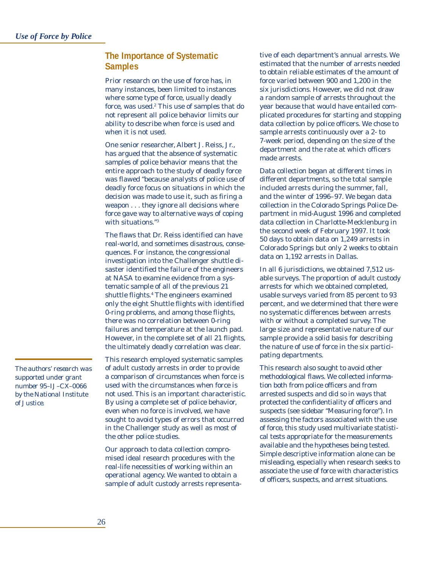### **The Importance of Systematic Samples**

Prior research on the use of force has, in many instances, been limited to instances where some type of force, usually deadly force, was used.2 This use of samples that do not represent all police behavior limits our ability to describe when force is used and when it is not used.

One senior researcher, Albert J. Reiss, Jr., has argued that the absence of systematic samples of police behavior means that the entire approach to the study of deadly force was flawed "because analysts of police use of deadly force focus on situations in which the decision was made to use it, such as firing a weapon . . . they ignore all decisions where force gave way to alternative ways of coping with situations."3

The flaws that Dr. Reiss identified can have real-world, and sometimes disastrous, consequences. For instance, the congressional investigation into the Challenger shuttle disaster identified the failure of the engineers at NASA to examine evidence from a systematic sample of all of the previous 21 shuttle flights.4 The engineers examined only the eight Shuttle flights with identified 0-ring problems, and among those flights, there was no correlation between 0-ring failures and temperature at the launch pad. However, in the complete set of all 21 flights, the ultimately deadly correlation was clear.

This research employed systematic samples of adult custody arrests in order to provide a comparison of circumstances when force is used with the circumstances when force is not used. This is an important characteristic. By using a complete set of police behavior, even when no force is involved, we have sought to avoid types of errors that occurred in the Challenger study as well as most of the other police studies.

Our approach to data collection compromised ideal research procedures with the real-life necessities of working within an operational agency. We wanted to obtain a sample of adult custody arrests representative of each department's annual arrests. We estimated that the number of arrests needed to obtain reliable estimates of the amount of force varied between 900 and 1,200 in the six jurisdictions. However, we did not draw a random sample of arrests throughout the year because that would have entailed complicated procedures for starting and stopping data collection by police officers. We chose to sample arrests continuously over a 2- to 7-week period, depending on the size of the department and the rate at which officers made arrests.

Data collection began at different times in different departments, so the total sample included arrests during the summer, fall, and the winter of 1996–97. We began data collection in the Colorado Springs Police Department in mid-August 1996 and completed data collection in Charlotte-Mecklenburg in the second week of February 1997. It took 50 days to obtain data on 1,249 arrests in Colorado Springs but only 2 weeks to obtain data on 1,192 arrests in Dallas.

In all 6 jurisdictions, we obtained 7,512 usable surveys. The proportion of adult custody arrests for which we obtained completed, usable surveys varied from 85 percent to 93 percent, and we determined that there were no systematic differences between arrests with or without a completed survey. The large size and representative nature of our sample provide a solid basis for describing the nature of use of force in the six participating departments.

This research also sought to avoid other methodological flaws. We collected information both from police officers and from arrested suspects and did so in ways that protected the confidentiality of officers and suspects (see sidebar "Measuring force"). In assessing the factors associated with the use of force, this study used multivariate statistical tests appropriate for the measurements available and the hypotheses being tested. Simple descriptive information alone can be misleading, especially when research seeks to associate the use of force with characteristics of officers, suspects, and arrest situations.

*The authors' research was supported under grant number 95–IJ–CX–0066 by the National Institute of Justice.*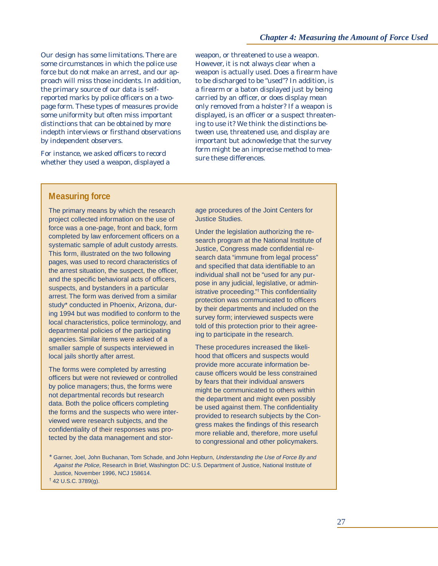Our design has some limitations. There are some circumstances in which the police use force but do not make an arrest, and our approach will miss those incidents. In addition, the primary source of our data is selfreported marks by police officers on a twopage form. These types of measures provide some uniformity but often miss important distinctions that can be obtained by more indepth interviews or firsthand observations by independent observers.

For instance, we asked officers to record whether they used a weapon, displayed a weapon, or threatened to use a weapon. However, it is not always clear when a weapon is actually used. Does a firearm have to be discharged to be "used"? In addition, is a firearm or a baton displayed just by being carried by an officer, or does display mean only removed from a holster? If a weapon is displayed, is an officer or a suspect threatening to use it? We think the distinctions between use, threatened use, and display are important but acknowledge that the survey form might be an imprecise method to measure these differences.

### **Measuring force**

The primary means by which the research project collected information on the use of force was a one-page, front and back, form completed by law enforcement officers on a systematic sample of adult custody arrests. This form, illustrated on the two following pages, was used to record characteristics of the arrest situation, the suspect, the officer, and the specific behavioral acts of officers, suspects, and bystanders in a particular arrest. The form was derived from a similar study\* conducted in Phoenix, Arizona, during 1994 but was modified to conform to the local characteristics, police terminology, and departmental policies of the participating agencies. Similar items were asked of a smaller sample of suspects interviewed in local jails shortly after arrest.

The forms were completed by arresting officers but were not reviewed or controlled by police managers; thus, the forms were not departmental records but research data. Both the police officers completing the forms and the suspects who were interviewed were research subjects, and the confidentiality of their responses was protected by the data management and storage procedures of the Joint Centers for Justice Studies.

Under the legislation authorizing the research program at the National Institute of Justice, Congress made confidential research data "immune from legal process" and specified that data identifiable to an individual shall not be "used for any purpose in any judicial, legislative, or administrative proceeding."† This confidentiality protection was communicated to officers by their departments and included on the survey form; interviewed suspects were told of this protection prior to their agreeing to participate in the research.

These procedures increased the likelihood that officers and suspects would provide more accurate information because officers would be less constrained by fears that their individual answers might be communicated to others within the department and might even possibly be used against them. The confidentiality provided to research subjects by the Congress makes the findings of this research more reliable and, therefore, more useful to congressional and other policymakers.

\* Garner, Joel, John Buchanan, Tom Schade, and John Hepburn, Understanding the Use of Force By and Against the Police, Research in Brief, Washington DC: U.S. Department of Justice, National Institute of Justice, November 1996, NCJ 158614.

 $^{\dagger}$  42 U.S.C. 3789(g).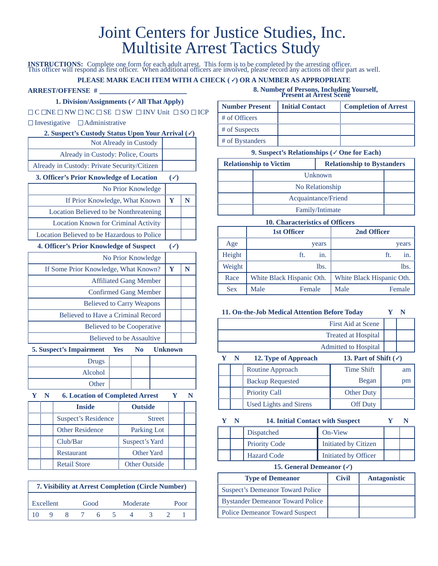# Joint Centers for Justice Studies, Inc. Multisite Arrest Tactics Study

**INSTRUCTIONS:** Complete one form for each adult arrest. This form is to be completed by the arresting officer.<br>This officer will respond as first officer. When additional officers are involved, please record any actions o

### **PLEASE MARK EACH ITEM WITH A CHECK (**✓**) OR A NUMBER AS APPROPRIATE**

### **ARREST/OFFENSE # \_\_\_\_\_\_\_\_\_\_\_\_\_\_\_\_\_\_\_\_\_**

**1. Division/Assignments (**✓ **All That Apply)**  $\Box C \Box NE \Box NW \Box NC \Box SE \Box SW \Box INV$  Unit  $\Box SO \Box ICP$  $\Box$  Investigative  $\Box$  Administrative

| 2. Suspect's Custody Status Upon Your Arrival ( |               |   |
|-------------------------------------------------|---------------|---|
| Not Already in Custody                          |               |   |
| Already in Custody: Police, Courts              |               |   |
| Already in Custody: Private Security/Citizen    |               |   |
| 3. Officer's Prior Knowledge of Location        | $\mathcal{O}$ |   |
| No Prior Knowledge                              |               |   |
| If Prior Knowledge, What Known                  | Y             | N |
| Location Believed to be Nonthreatening          |               |   |
| <b>Location Known for Criminal Activity</b>     |               |   |
| Location Believed to be Hazardous to Police     |               |   |
|                                                 |               |   |
| 4. Officer's Prior Knowledge of Suspect         | $\mathcal{O}$ |   |
| No Prior Knowledge                              |               |   |
| If Some Prior Knowledge, What Known?            | Y             | N |
| <b>Affiliated Gang Member</b>                   |               |   |
| <b>Confirmed Gang Member</b>                    |               |   |
| <b>Believed to Carry Weapons</b>                |               |   |
| Believed to Have a Criminal Record              |               |   |
| Believed to be Cooperative                      |               |   |
| Believed to be Assaultive                       |               |   |

|     | Drugs                                  |                |                      |               |   |   |
|-----|----------------------------------------|----------------|----------------------|---------------|---|---|
|     | Alcohol                                |                |                      |               |   |   |
|     | Other                                  |                |                      |               |   |   |
| Y N | <b>6. Location of Completed Arrest</b> |                |                      |               | Y | N |
|     | <b>Inside</b>                          | <b>Outside</b> |                      |               |   |   |
|     | <b>Suspect's Residence</b>             |                |                      | <b>Street</b> |   |   |
|     | <b>Other Residence</b>                 |                | Parking Lot          |               |   |   |
|     | Club/Bar                               |                | Suspect's Yard       |               |   |   |
|     | <b>Restaurant</b>                      |                | <b>Other Yard</b>    |               |   |   |
|     | <b>Retail Store</b>                    |                | <b>Other Outside</b> |               |   |   |

| <b>7. Visibility at Arrest Completion (Circle Number)</b> |           |  |  |      |  |          |  |      |
|-----------------------------------------------------------|-----------|--|--|------|--|----------|--|------|
|                                                           | Excellent |  |  | Good |  | Moderate |  | Poor |
|                                                           | Ч         |  |  |      |  |          |  |      |

## **8. Number of Persons, Including Yourself, Present at Arrest Scene**

| <b>Initial Contact</b>                                  | <b>Completion of Arrest</b> |  |  |  |  |  |
|---------------------------------------------------------|-----------------------------|--|--|--|--|--|
|                                                         |                             |  |  |  |  |  |
|                                                         |                             |  |  |  |  |  |
|                                                         |                             |  |  |  |  |  |
| 9. Suspect's Relationships ( $\checkmark$ One for Each) |                             |  |  |  |  |  |
|                                                         |                             |  |  |  |  |  |

| <b>Relationship to Victim</b> |                     | <b>Relationship to Bystanders</b> |  |  |  |
|-------------------------------|---------------------|-----------------------------------|--|--|--|
|                               | Unknown             |                                   |  |  |  |
|                               | No Relationship     |                                   |  |  |  |
|                               | Acquaintance/Friend |                                   |  |  |  |
|                               |                     | Family/Intimate                   |  |  |  |

### **10. Characteristics of Officers**

|            | 1st Officer               | 2nd Officer               |
|------------|---------------------------|---------------------------|
| Age        | years                     | years                     |
| Height     | ft.<br>1n.                | ft.<br>in.                |
| Weight     | lbs.                      | lbs.                      |
| Race       | White Black Hispanic Oth. | White Black Hispanic Oth. |
| <b>Sex</b> | Male<br>Female            | Male<br>Female            |

### **11. On-the-Job Medical Attention Before Today Y N**

|                            | <b>First Aid at Scene</b>     |                                  |  |    |  |  |  |
|----------------------------|-------------------------------|----------------------------------|--|----|--|--|--|
| <b>Treated at Hospital</b> |                               |                                  |  |    |  |  |  |
|                            |                               | <b>Admitted to Hospital</b>      |  |    |  |  |  |
| $\mathbf N$                | 12. Type of Approach          | 13. Part of Shift $(\checkmark)$ |  |    |  |  |  |
|                            | Routine Approach              | <b>Time Shift</b>                |  | am |  |  |  |
|                            | <b>Backup Requested</b>       | Began                            |  | pm |  |  |  |
|                            | <b>Priority Call</b>          | <b>Other Duty</b>                |  |    |  |  |  |
|                            | <b>Used Lights and Sirens</b> | <b>Off Duty</b>                  |  |    |  |  |  |

**Y N 14. Initial Contact with Suspect Y N**

|  | Dispatched           | <b>On-View</b>       |  |
|--|----------------------|----------------------|--|
|  | <b>Priority Code</b> | Initiated by Citizen |  |
|  | <b>Hazard Code</b>   | Initiated by Officer |  |

### **15. General Demeanor (**✓**)**

| <b>Type of Demeanor</b>                 | <b>Civil</b> | <b>Antagonistic</b> |
|-----------------------------------------|--------------|---------------------|
| <b>Suspect's Demeanor Toward Police</b> |              |                     |
| <b>Bystander Demeanor Toward Police</b> |              |                     |
| <b>Police Demeanor Toward Suspect</b>   |              |                     |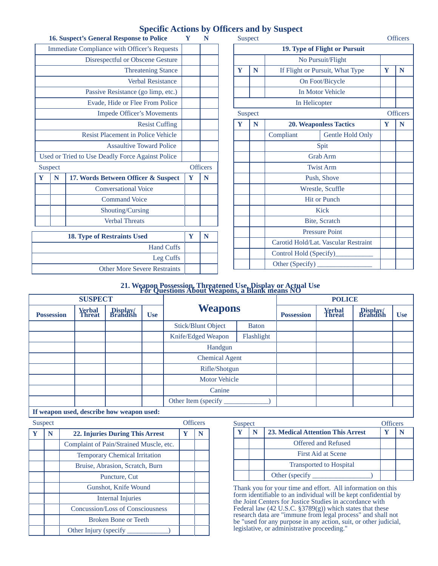|                                  |                                    | <b>16. Suspect's General Response to Police</b>  | Y               | N |  |  |
|----------------------------------|------------------------------------|--------------------------------------------------|-----------------|---|--|--|
|                                  |                                    | Immediate Compliance with Officer's Requests     |                 |   |  |  |
| Disrespectful or Obscene Gesture |                                    |                                                  |                 |   |  |  |
|                                  |                                    | <b>Threatening Stance</b>                        |                 |   |  |  |
|                                  |                                    | <b>Verbal Resistance</b>                         |                 |   |  |  |
|                                  | Passive Resistance (go limp, etc.) |                                                  |                 |   |  |  |
|                                  |                                    | Evade, Hide or Flee From Police                  |                 |   |  |  |
|                                  |                                    | <b>Impede Officer's Movements</b>                |                 |   |  |  |
|                                  |                                    | <b>Resist Cuffing</b>                            |                 |   |  |  |
|                                  |                                    | <b>Resist Placement in Police Vehicle</b>        |                 |   |  |  |
|                                  |                                    | <b>Assaultive Toward Police</b>                  |                 |   |  |  |
|                                  |                                    | Used or Tried to Use Deadly Force Against Police |                 |   |  |  |
|                                  | Suspect                            |                                                  | <b>Officers</b> |   |  |  |
| Y                                | N                                  | 17. Words Between Officer & Suspect              | Y               | N |  |  |
|                                  |                                    | <b>Conversational Voice</b>                      |                 |   |  |  |
|                                  |                                    | <b>Command Voice</b>                             |                 |   |  |  |
|                                  |                                    | Shouting/Cursing                                 |                 |   |  |  |
|                                  |                                    | <b>Verbal Threats</b>                            |                 |   |  |  |
|                                  |                                    | <b>18. Type of Restraints Used</b>               | Y               | N |  |  |
|                                  |                                    | <b>Hand Cuffs</b>                                |                 |   |  |  |
|                                  |                                    | Leg Cuffs                                        |                 |   |  |  |
|                                  |                                    | <b>Other More Severe Restraints</b>              |                 |   |  |  |
|                                  |                                    |                                                  |                 |   |  |  |

### **Specific Actions by Officers and by Suspect**

| <b>Suspect</b>    |   | <b>Officers</b>        |                                      |   |                 |  |  |
|-------------------|---|------------------------|--------------------------------------|---|-----------------|--|--|
|                   |   |                        | 19. Type of Flight or Pursuit        |   |                 |  |  |
| No Pursuit/Flight |   |                        |                                      |   |                 |  |  |
| Y                 | N |                        | If Flight or Pursuit, What Type      | Y | N               |  |  |
|                   |   |                        | On Foot/Bicycle                      |   |                 |  |  |
|                   |   |                        | <b>In Motor Vehicle</b>              |   |                 |  |  |
|                   |   | In Helicopter          |                                      |   |                 |  |  |
| <b>Suspect</b>    |   |                        |                                      |   | <b>Officers</b> |  |  |
| Y                 | N |                        | <b>20. Weaponless Tactics</b>        | Y | N               |  |  |
|                   |   | Compliant              | Gentle Hold Only                     |   |                 |  |  |
|                   |   |                        | Spit                                 |   |                 |  |  |
|                   |   |                        | <b>Grab Arm</b>                      |   |                 |  |  |
|                   |   |                        | <b>Twist Arm</b>                     |   |                 |  |  |
|                   |   |                        | Push, Shove                          |   |                 |  |  |
|                   |   |                        | Wrestle, Scuffle                     |   |                 |  |  |
|                   |   |                        | <b>Hit or Punch</b>                  |   |                 |  |  |
|                   |   |                        | <b>Kick</b>                          |   |                 |  |  |
|                   |   |                        | <b>Bite, Scratch</b>                 |   |                 |  |  |
|                   |   |                        | <b>Pressure Point</b>                |   |                 |  |  |
|                   |   |                        | Carotid Hold/Lat. Vascular Restraint |   |                 |  |  |
|                   |   | Control Hold (Specify) |                                      |   |                 |  |  |
|                   |   | Other (Specify)        |                                      |   |                 |  |  |

## **21. Weapon Possession, Threatened Use, Display or Actual Use For Questions About Weapons, a Blank means NO**

| <b>SUSPECT</b>    |                         |                      |            |                           |                      |                   | <b>POLICE</b>           |                      |            |
|-------------------|-------------------------|----------------------|------------|---------------------------|----------------------|-------------------|-------------------------|----------------------|------------|
| <b>Possession</b> | <b>Verbal</b><br>Threat | Display/<br>Brandish | <b>Use</b> | <b>Weapons</b>            |                      | <b>Possession</b> | <b>Verbal</b><br>Threat | Display/<br>Brandish | <b>Use</b> |
|                   |                         |                      |            | <b>Stick/Blunt Object</b> | <b>Baton</b>         |                   |                         |                      |            |
|                   |                         |                      |            | Knife/Edged Weapon        | Flashlight           |                   |                         |                      |            |
|                   |                         |                      |            | Handgun                   |                      |                   |                         |                      |            |
|                   |                         |                      |            | <b>Chemical Agent</b>     |                      |                   |                         |                      |            |
|                   |                         |                      |            | Rifle/Shotgun             |                      |                   |                         |                      |            |
|                   |                         |                      |            |                           | <b>Motor Vehicle</b> |                   |                         |                      |            |
|                   |                         |                      |            | Canine                    |                      |                   |                         |                      |            |
|                   |                         |                      |            | Other Item (specify       |                      |                   |                         |                      |            |
|                   |                         |                      |            |                           |                      |                   |                         |                      |            |

**If weapon used, describe how weapon used:**

| <b>Suspect</b> |                                         |                                         |   | <b>Officers</b> |
|----------------|-----------------------------------------|-----------------------------------------|---|-----------------|
| N              |                                         | 22. Injuries During This Arrest         | Y | N               |
|                | Complaint of Pain/Strained Muscle, etc. |                                         |   |                 |
|                |                                         | <b>Temporary Chemical Irritation</b>    |   |                 |
|                |                                         | Bruise, Abrasion, Scratch, Burn         |   |                 |
|                |                                         | Puncture, Cut                           |   |                 |
|                |                                         | Gunshot, Knife Wound                    |   |                 |
|                |                                         | <b>Internal Injuries</b>                |   |                 |
|                |                                         | <b>Concussion/Loss of Consciousness</b> |   |                 |
|                |                                         | <b>Broken Bone or Teeth</b>             |   |                 |
|                |                                         | Other Injury (specify)                  |   |                 |

| Suspect |                                        |                                | <b>Officers</b> |  |
|---------|----------------------------------------|--------------------------------|-----------------|--|
|         | 23. Medical Attention This Arrest<br>N |                                |                 |  |
|         |                                        | <b>Offered and Refused</b>     |                 |  |
|         |                                        | <b>First Aid at Scene</b>      |                 |  |
|         |                                        | <b>Transported to Hospital</b> |                 |  |
|         |                                        | Other (specify)                |                 |  |

Thank you for your time and effort. All information on this form identifiable to an individual will be kept confidential by the Joint Centers for Justice Studies in accordance with Federal law (42 U.S.C. §3789(g)) which states that these research data are "immune from legal process" and shall not be "used for any purpose in any action, suit, or other judicial, legislative, or administrative proceeding."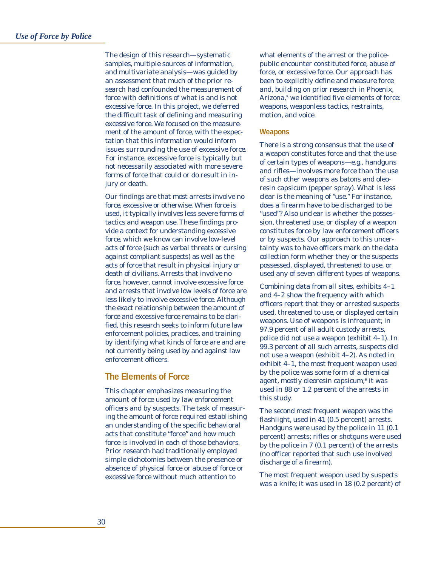The design of this research—systematic samples, multiple sources of information, and multivariate analysis—was guided by an assessment that much of the prior research had confounded the measurement of force with definitions of what is and is not excessive force. In this project, we deferred the difficult task of defining and measuring excessive force. We focused on the measurement of the *amount* of force, with the expectation that this information would inform issues surrounding the use of excessive force. For instance, excessive force is typically but not necessarily associated with more severe forms of force that could or do result in injury or death.

Our findings are that most arrests involve no force, excessive or otherwise. When force is used, it typically involves less severe forms of tactics and weapon use. These findings provide a context for understanding excessive force, which we know can involve low-level acts of force (such as verbal threats or cursing against compliant suspects) as well as the acts of force that result in physical injury or death of civilians. Arrests that involve no force, however, cannot involve excessive force and arrests that involve low levels of force are less likely to involve excessive force. Although the exact relationship between the amount of force and excessive force remains to be clarified, this research seeks to inform future law enforcement policies, practices, and training by identifying what kinds of force are and are not currently being used by and against law enforcement officers.

### **The Elements of Force**

This chapter emphasizes measuring the amount of force used by law enforcement officers and by suspects. The task of measuring the amount of force required establishing an understanding of the specific behavioral acts that constitute "force" and how much force is involved in each of those behaviors. Prior research had traditionally employed simple dichotomies between the presence or absence of physical force or abuse of force or excessive force without much attention to

what elements of the arrest or the policepublic encounter constituted force, abuse of force, or excessive force. Our approach has been to explicitly define and measure force and, building on prior research in Phoenix, Arizona,<sup>5</sup> we identified five elements of force: weapons, weaponless tactics, restraints, motion, and voice.

### **Weapons**

There is a strong consensus that the use of a weapon constitutes force and that the use of certain types of weapons—e.g., handguns and rifles—involves more force than the use of such other weapons as batons and oleoresin capsicum (pepper spray). What is less clear is the meaning of "use." For instance, does a firearm have to be discharged to be "used"? Also unclear is whether the possession, threatened use, or display of a weapon constitutes force by law enforcement officers or by suspects. Our approach to this uncertainty was to have officers mark on the data collection form whether they or the suspects possessed, displayed, threatened to use, or used any of seven different types of weapons.

Combining data from all sites, exhibits 4–1 and 4–2 show the frequency with which officers report that they or arrested suspects used, threatened to use, or displayed certain weapons. Use of weapons is infrequent; in 97.9 percent of all adult custody arrests, police did not use a weapon (exhibit 4–1). In 99.3 percent of all such arrests, suspects did not use a weapon (exhibit 4–2). As noted in exhibit 4–1, the most frequent weapon used by the police was some form of a chemical agent, mostly oleoresin capsicum;6 it was used in 88 or 1.2 percent of the arrests in this study.

The second most frequent weapon was the flashlight, used in 41 (0.5 percent) arrests. Handguns were used by the police in 11 (0.1 percent) arrests; rifles or shotguns were used by the police in 7 (0.1 percent) of the arrests (no officer reported that such use involved discharge of a firearm).

The most frequent weapon used by suspects was a knife; it was used in 18 (0.2 percent) of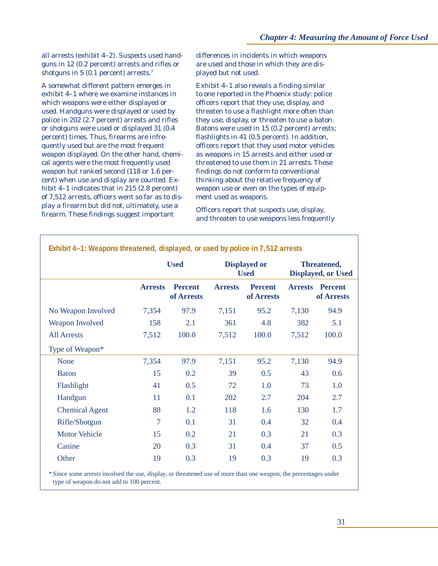all arrests (exhibit 4–2). Suspects used handguns in 12 (0.2 percent) arrests and rifles or shotguns in 5 (0.1 percent) arrests.7

A somewhat different pattern emerges in exhibit 4–1 where we examine instances in which weapons were either displayed or used. Handguns were displayed or used by police in 202 (2.7 percent) arrests and rifles or shotguns were used or displayed 31 (0.4 percent) times. Thus, firearms are infrequently used but are the most frequent weapon displayed. On the other hand, chemical agents were the most frequently used weapon but ranked second (118 or 1.6 percent) when use and display are counted. Exhibit 4–1 indicates that in 215 (2.8 percent) of 7,512 arrests, officers went so far as to display a firearm but did not, ultimately, use a firearm. These findings suggest important

differences in incidents in which weapons are used and those in which they are displayed but not used.

Exhibit 4–1 also reveals a finding similar to one reported in the Phoenix study: police officers report that they use, display, and threaten to use a flashlight more often than they use, display, or threaten to use a baton. Batons were used in 15 (0.2 percent) arrests; flashlights in 41 (0.5 percent). In addition, officers report that they used motor vehicles as weapons in 15 arrests and either used or threatened to use them in 21 arrests. These findings do not conform to conventional thinking about the relative frequency of weapon use or even on the types of equipment used as weapons.

Officers report that suspects use, display, and threaten to use weapons less frequently

|                       | <b>Used</b>    |                              |                | <b>Displayed or</b><br><b>Used</b> |       | <b>Threatened,</b><br><b>Displayed, or Used</b> |  |
|-----------------------|----------------|------------------------------|----------------|------------------------------------|-------|-------------------------------------------------|--|
|                       | <b>Arrests</b> | <b>Percent</b><br>of Arrests | <b>Arrests</b> | <b>Percent</b><br>of Arrests       |       | <b>Arrests Percent</b><br>of Arrests            |  |
| No Weapon Involved    | 7,354          | 97.9                         | 7,151          | 95.2                               | 7,130 | 94.9                                            |  |
| Weapon Involved       | 158            | 2.1                          | 361            | 4.8                                | 382   | 5.1                                             |  |
| <b>All Arrests</b>    | 7,512          | 100.0                        | 7,512          | 100.0                              | 7,512 | 100.0                                           |  |
| Type of Weapon*       |                |                              |                |                                    |       |                                                 |  |
| <b>None</b>           | 7,354          | 97.9                         | 7,151          | 95.2                               | 7,130 | 94.9                                            |  |
| <b>Baton</b>          | 15             | 0.2                          | 39             | 0.5                                | 43    | 0.6                                             |  |
| Flashlight            | 41             | 0.5                          | 72             | 1.0                                | 73    | 1.0                                             |  |
| Handgun               | 11             | 0.1                          | 202            | 2.7                                | 204   | 2.7                                             |  |
| <b>Chemical Agent</b> | 88             | 1.2                          | 118            | 1.6                                | 130   | 1.7                                             |  |
| Rifle/Shotgun         | $\overline{7}$ | 0.1                          | 31             | 0.4                                | 32    | 0.4                                             |  |
| <b>Motor Vehicle</b>  | 15             | 0.2                          | 21             | 0.3                                | 21    | 0.3                                             |  |
| Canine                | 20             | 0.3                          | 31             | 0.4                                | 37    | 0.5                                             |  |
| Other                 | 19             | 0.3                          | 19             | 0.3                                | 19    | 0.3                                             |  |
|                       |                |                              |                |                                    |       |                                                 |  |

### **Exhibit 4–1: Weapons threatened, displayed, or used by police in 7,512 arrests**

\* Since some arrests involved the use, display, or threatened use of more than one weapon, the percentages under type of weapon do not add to 100 percent.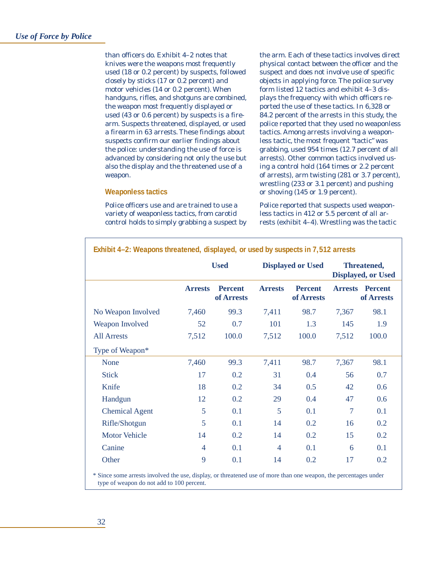than officers do. Exhibit 4–2 notes that knives were the weapons most frequently used (18 or 0.2 percent) by suspects, followed closely by sticks (17 or 0.2 percent) and motor vehicles (14 or 0.2 percent). When handguns, rifles, and shotguns are combined, the weapon most frequently displayed or used (43 or 0.6 percent) by suspects is a firearm. Suspects threatened, displayed, or used a firearm in 63 arrests. These findings about suspects confirm our earlier findings about the police: understanding the use of force is advanced by considering not only the use but also the display and the threatened use of a weapon.

### **Weaponless tactics**

Police officers use and are trained to use a variety of weaponless tactics, from carotid control holds to simply grabbing a suspect by

the arm. Each of these tactics involves direct physical contact between the officer and the suspect and does not involve use of specific objects in applying force. The police survey form listed 12 tactics and exhibit 4–3 displays the frequency with which officers reported the use of these tactics. In 6,328 or 84.2 percent of the arrests in this study, the police reported that they used no weaponless tactics. Among arrests involving a weaponless tactic, the most frequent "tactic" was grabbing, used 954 times (12.7 percent of all arrests). Other common tactics involved using a control hold (164 times or 2.2 percent of arrests), arm twisting (281 or 3.7 percent), wrestling (233 or 3.1 percent) and pushing or shoving (145 or 1.9 percent).

Police reported that suspects used weaponless tactics in 412 or 5.5 percent of all arrests (exhibit 4–4). Wrestling was the tactic

|                        | <b>Used</b>    |                              |                | <b>Displayed or Used</b>     |                | <b>Threatened,</b><br><b>Displayed, or Used</b> |  |
|------------------------|----------------|------------------------------|----------------|------------------------------|----------------|-------------------------------------------------|--|
|                        | <b>Arrests</b> | <b>Percent</b><br>of Arrests | <b>Arrests</b> | <b>Percent</b><br>of Arrests |                | <b>Arrests Percent</b><br>of Arrests            |  |
| No Weapon Involved     | 7,460          | 99.3                         | 7,411          | 98.7                         | 7,367          | 98.1                                            |  |
| <b>Weapon Involved</b> | 52             | 0.7                          | 101            | 1.3                          | 145            | 1.9                                             |  |
| <b>All Arrests</b>     | 7,512          | 100.0                        | 7,512          | 100.0                        | 7,512          | 100.0                                           |  |
| Type of Weapon*        |                |                              |                |                              |                |                                                 |  |
| <b>None</b>            | 7,460          | 99.3                         | 7,411          | 98.7                         | 7,367          | 98.1                                            |  |
| <b>Stick</b>           | 17             | 0.2                          | 31             | 0.4                          | 56             | 0.7                                             |  |
| Knife                  | 18             | 0.2                          | 34             | 0.5                          | 42             | 0.6                                             |  |
| Handgun                | 12             | 0.2                          | 29             | 0.4                          | 47             | 0.6                                             |  |
| <b>Chemical Agent</b>  | 5              | 0.1                          | 5              | 0.1                          | $\overline{7}$ | 0.1                                             |  |
| Rifle/Shotgun          | 5              | 0.1                          | 14             | 0.2                          | 16             | 0.2                                             |  |
| <b>Motor Vehicle</b>   | 14             | 0.2                          | 14             | 0.2                          | 15             | 0.2                                             |  |
| Canine                 | 4              | 0.1                          | $\overline{4}$ | 0.1                          | 6              | 0.1                                             |  |
| Other                  | 9              | 0.1                          | 14             | 0.2                          | 17             | 0.2                                             |  |

**Exhibit 4–2: Weapons threatened, displayed, or used by suspects in 7,512 arrests**

\* Since some arrests involved the use, display, or threatened use of more than one weapon, the percentages under type of weapon do not add to 100 percent.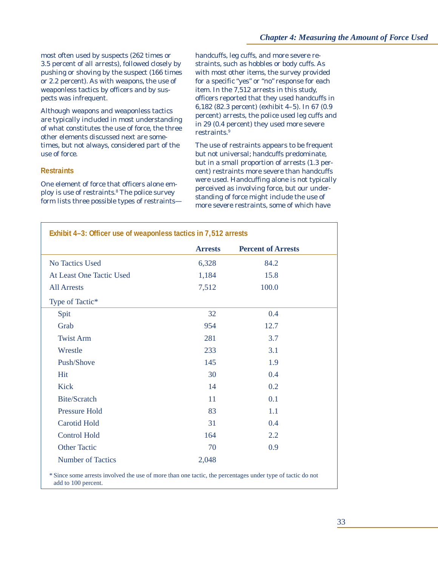most often used by suspects (262 times or 3.5 percent of all arrests), followed closely by pushing or shoving by the suspect (166 times or 2.2 percent). As with weapons, the use of weaponless tactics by officers and by suspects was infrequent.

Although weapons and weaponless tactics are typically included in most understanding of what constitutes the use of force, the three other elements discussed next are sometimes, but not always, considered part of the use of force.

### **Restraints**

One element of force that officers alone employ is use of restraints.<sup>8</sup> The police survey form lists three possible types of restraintshandcuffs, leg cuffs, and more severe restraints, such as hobbles or body cuffs. As with most other items, the survey provided for a specific "yes" or "no" response for each item. In the 7,512 arrests in this study, officers reported that they used handcuffs in 6,182 (82.3 percent) (exhibit 4–5). In 67 (0.9 percent) arrests, the police used leg cuffs and in 29 (0.4 percent) they used more severe restraints.<sup>9</sup>

The use of restraints appears to be frequent but not universal; handcuffs predominate, but in a small proportion of arrests (1.3 percent) restraints more severe than handcuffs were used. Handcuffing alone is not typically perceived as involving force, but our understanding of force might include the use of more severe restraints, some of which have

|                          | <b>Arrests</b> | <b>Percent of Arrests</b> |
|--------------------------|----------------|---------------------------|
| <b>No Tactics Used</b>   | 6,328          | 84.2                      |
| At Least One Tactic Used | 1,184          | 15.8                      |
| <b>All Arrests</b>       | 7,512          | 100.0                     |
| Type of Tactic*          |                |                           |
| Spit                     | 32             | 0.4                       |
| Grab                     | 954            | 12.7                      |
| <b>Twist Arm</b>         | 281            | 3.7                       |
| Wrestle                  | 233            | 3.1                       |
| Push/Shove               | 145            | 1.9                       |
| Hit                      | 30             | 0.4                       |
| <b>Kick</b>              | 14             | 0.2                       |
| <b>Bite/Scratch</b>      | 11             | 0.1                       |
| <b>Pressure Hold</b>     | 83             | 1.1                       |
| <b>Carotid Hold</b>      | 31             | 0.4                       |
| <b>Control Hold</b>      | 164            | 2.2                       |
| <b>Other Tactic</b>      | 70             | 0.9                       |
| <b>Number of Tactics</b> | 2,048          |                           |

ome arrests involved the use of more than one tactic, the percentages under add to 100 percent.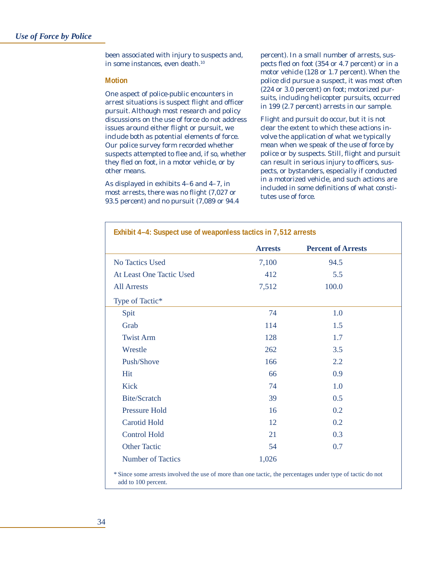been associated with injury to suspects and, in some instances, even death.<sup>10</sup>

### **Motion**

One aspect of police-public encounters in arrest situations is suspect flight and officer pursuit. Although most research and policy discussions on the use of force do not address issues around either flight or pursuit, we include both as potential elements of force. Our police survey form recorded whether suspects attempted to flee and, if so, whether they fled on foot, in a motor vehicle, or by other means.

As displayed in exhibits 4–6 and 4–7, in most arrests, there was no flight (7,027 or 93.5 percent) and no pursuit (7,089 or 94.4 percent). In a small number of arrests, suspects fled on foot (354 or 4.7 percent) or in a motor vehicle (128 or 1.7 percent). When the police did pursue a suspect, it was most often (224 or 3.0 percent) on foot; motorized pursuits, including helicopter pursuits, occurred in 199 (2.7 percent) arrests in our sample.

Flight and pursuit do occur, but it is not clear the extent to which these actions involve the application of what we typically mean when we speak of the use of force by police or by suspects. Still, flight and pursuit can result in serious injury to officers, suspects, or bystanders, especially if conducted in a motorized vehicle, and such actions are included in some definitions of what constitutes use of force.

|                          | <b>Arrests</b> | <b>Percent of Arrests</b> |
|--------------------------|----------------|---------------------------|
| No Tactics Used          | 7,100          | 94.5                      |
| At Least One Tactic Used | 412            | 5.5                       |
| <b>All Arrests</b>       | 7,512          | 100.0                     |
| Type of Tactic*          |                |                           |
| Spit                     | 74             | 1.0                       |
| Grab                     | 114            | 1.5                       |
| <b>Twist Arm</b>         | 128            | 1.7                       |
| Wrestle                  | 262            | 3.5                       |
| Push/Shove               | 166            | 2.2                       |
| Hit                      | 66             | 0.9                       |
| Kick                     | 74             | 1.0                       |
| <b>Bite/Scratch</b>      | 39             | 0.5                       |
| <b>Pressure Hold</b>     | 16             | 0.2                       |
| <b>Carotid Hold</b>      | 12             | 0.2                       |
| <b>Control Hold</b>      | 21             | 0.3                       |
| <b>Other Tactic</b>      | 54             | 0.7                       |
| <b>Number of Tactics</b> | 1,026          |                           |

\* Since some arrests involved the use of more than one tactic, the percentages under type of tactic do not add to 100 percent.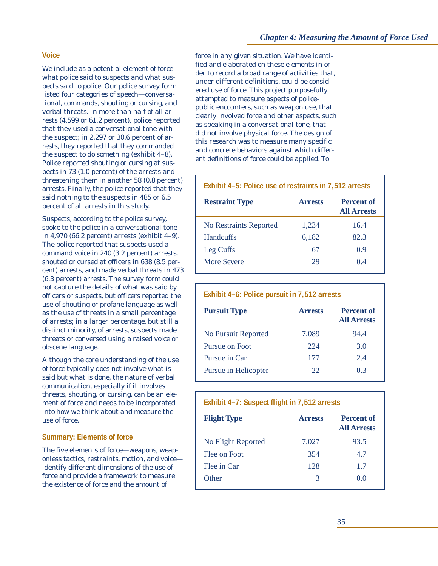### **Voice**

We include as a potential element of force what police said to suspects and what suspects said to police. Our police survey form listed four categories of speech—conversational, commands, shouting or cursing, and verbal threats. In more than half of all arrests (4,599 or 61.2 percent), police reported that they used a conversational tone with the suspect; in 2,297 or 30.6 percent of arrests, they reported that they commanded the suspect to do something (exhibit 4–8). Police reported shouting or cursing at suspects in 73 (1.0 percent) of the arrests and threatening them in another 58 (0.8 percent) arrests. Finally, the police reported that they said nothing to the suspects in 485 or 6.5 percent of all arrests in this study.

Suspects, according to the police survey, spoke to the police in a conversational tone in 4,970 (66.2 percent) arrests (exhibit 4–9). The police reported that suspects used a command voice in 240 (3.2 percent) arrests, shouted or cursed at officers in 638 (8.5 percent) arrests, and made verbal threats in 473 (6.3 percent) arrests. The survey form could not capture the details of what was said by officers or suspects, but officers reported the use of shouting or profane language as well as the use of threats in a small percentage of arrests; in a larger percentage, but still a distinct minority, of arrests, suspects made threats or conversed using a raised voice or obscene language.

Although the core understanding of the use of force typically does not involve what is said but what is done, the nature of verbal communication, especially if it involves threats, shouting, or cursing, can be an element of force and needs to be incorporated into how we think about and measure the use of force.

### **Summary: Elements of force**

The five elements of force—weapons, weaponless tactics, restraints, motion, and voice identify different dimensions of the use of force and provide a framework to measure the existence of force and the amount of

force in any given situation. We have identified and elaborated on these elements in order to record a broad range of activities that, under different definitions, could be considered use of force. This project purposefully attempted to measure aspects of policepublic encounters, such as weapon use, that clearly involved force and other aspects, such as speaking in a conversational tone, that did not involve physical force. The design of this research was to measure many specific and concrete behaviors against which different definitions of force could be applied. To

| Exhibit 4–5: Police use of restraints in 7,512 arrests |                |                                         |  |  |  |
|--------------------------------------------------------|----------------|-----------------------------------------|--|--|--|
| <b>Restraint Type</b>                                  | <b>Arrests</b> | <b>Percent of</b><br><b>All Arrests</b> |  |  |  |
| <b>No Restraints Reported</b>                          | 1,234          | 16.4                                    |  |  |  |
| <b>Handcuffs</b>                                       | 6,182          | 82.3                                    |  |  |  |
| Leg Cuffs                                              | 67             | 0.9                                     |  |  |  |
| More Severe                                            | 29             | 04                                      |  |  |  |
|                                                        |                |                                         |  |  |  |

### **Exhibit 4–6: Police pursuit in 7,512 arrests**

| <b>Percent of</b><br><b>All Arrests</b> |
|-----------------------------------------|
| 94.4                                    |
| 3.0                                     |
| 2.4                                     |
| 03                                      |
|                                         |

### **Exhibit 4–7: Suspect flight in 7,512 arrests**

| <b>Flight Type</b> | <b>Arrests</b> | <b>Percent of</b><br><b>All Arrests</b> |  |
|--------------------|----------------|-----------------------------------------|--|
| No Flight Reported | 7,027          | 93.5                                    |  |
| Flee on Foot       | 354            | 4.7                                     |  |
| Flee in Car        | 128            | 1.7                                     |  |
| Other              | 3              | 0 <sub>0</sub>                          |  |
|                    |                |                                         |  |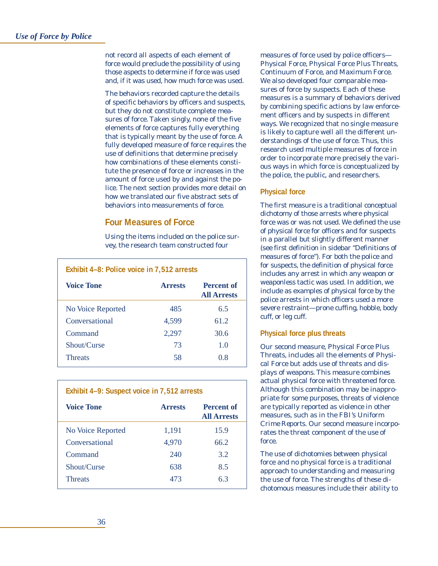not record all aspects of each element of force would preclude the possibility of using those aspects to determine if force was used and, if it was used, how much force was used.

The behaviors recorded capture the details of specific behaviors by officers and suspects, but they do not constitute complete measures of force. Taken singly, none of the five elements of force captures fully everything that is typically meant by the use of force. A fully developed measure of force requires the use of definitions that determine precisely how combinations of these elements constitute the presence of force or increases in the amount of force used by and against the police. The next section provides more detail on how we translated our five abstract sets of behaviors into measurements of force.

### **Four Measures of Force**

Using the items included on the police survey, the research team constructed four

| Exhibit 4-8: Police voice in 7,512 arrests |                |                                         |  |  |  |
|--------------------------------------------|----------------|-----------------------------------------|--|--|--|
| <b>Voice Tone</b>                          | <b>Arrests</b> | <b>Percent of</b><br><b>All Arrests</b> |  |  |  |
| No Voice Reported                          | 485            | 6.5                                     |  |  |  |
| Conversational                             | 4,599          | 61.2                                    |  |  |  |
| Command                                    | 2,297          | 30.6                                    |  |  |  |
| Shout/Curse                                | 73             | 1.0                                     |  |  |  |
| <b>Threats</b>                             | 58             | 0.8                                     |  |  |  |

### **Exhibit 4–9: Suspect voice in 7,512 arrests**

| <b>Voice Tone</b> | <b>Arrests</b> | <b>Percent of</b><br><b>All Arrests</b> |  |
|-------------------|----------------|-----------------------------------------|--|
| No Voice Reported | 1,191          | 15.9                                    |  |
| Conversational    | 4,970          | 66.2                                    |  |
| Command           | 240            | 3.2                                     |  |
| Shout/Curse       | 638            | 8.5                                     |  |
| <b>Threats</b>    | 473            | 63                                      |  |
|                   |                |                                         |  |

measures of force used by police officers— Physical Force, Physical Force Plus Threats, Continuum of Force, and Maximum Force. We also developed four comparable measures of force by suspects. Each of these measures is a summary of behaviors derived by combining specific actions by law enforcement officers and by suspects in different ways. We recognized that no single measure is likely to capture well all the different understandings of the use of force. Thus, this research used multiple measures of force in order to incorporate more precisely the various ways in which force is conceptualized by the police, the public, and researchers.

### **Physical force**

The first measure is a traditional conceptual dichotomy of those arrests where physical force was or was not used. We defined the use of physical force for officers and for suspects in a parallel but slightly different manner (see first definition in sidebar "Definitions of measures of force"). For both the police and for suspects, the definition of physical force includes any arrest in which any weapon or weaponless tactic was used. In addition, we include as examples of physical force by the police arrests in which officers used a more severe restraint—prone cuffing, hobble, body cuff, or leg cuff.

### **Physical force plus threats**

Our second measure, Physical Force Plus Threats, includes all the elements of Physical Force but adds use of threats and displays of weapons. This measure combines actual physical force with threatened force. Although this combination may be inappropriate for some purposes, threats of violence are typically reported as violence in other measures, such as in the FBI's *Uniform Crime Reports*. Our second measure incorporates the threat component of the use of force.

The use of dichotomies between physical force and no physical force is a traditional approach to understanding and measuring the use of force. The strengths of these dichotomous measures include their ability to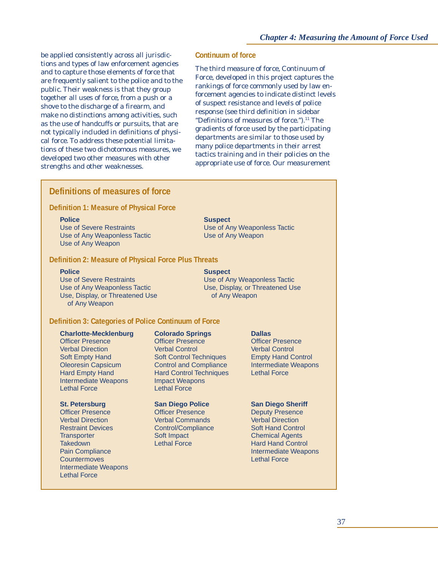be applied consistently across all jurisdictions and types of law enforcement agencies and to capture those elements of force that are frequently salient to the police and to the public. Their weakness is that they group together all uses of force, from a push or a shove to the discharge of a firearm, and make no distinctions among activities, such as the use of handcuffs or pursuits, that are not typically included in definitions of physical force. To address these potential limitations of these two dichotomous measures, we developed two other measures with other strengths and other weaknesses.

### **Continuum of force**

The third measure of force, Continuum of Force, developed in this project captures the rankings of force commonly used by law enforcement agencies to indicate distinct levels of suspect resistance and levels of police response (see third definition in sidebar "Definitions of measures of force.").<sup>11</sup> The gradients of force used by the participating departments are similar to those used by many police departments in their arrest tactics training and in their policies on the appropriate use of force. Our measurement

### **Definitions of measures of force**

### **Definition 1: Measure of Physical Force**

### **Police Suspect**

Use of Severe Restraints Use of Any Weaponless Tactic Use of Any Weaponless Tactic Use of Any Weapon Use of Any Weapon

### **Definition 2: Measure of Physical Force Plus Threats**

**Police Suspect Suspect Suspect Suspect Suspect Suspect Suspect Suspect Suspect Suspect Suspect Suspect Suspect Suspect Suspect Suspect Suspect Suspect Suspect Suspect Suspect Suspect Suspect Suspect Suspect Suspect Suspec** Use of Any Weaponless Tactic Use, Display, or Threatened Use Use, Display, or Threatened Use of Any Weapon of Any Weapon

# Use of Any Weaponless Tactic

### **Definition 3: Categories of Police Continuum of Force**

**Charlotte-Mecklenburg Colorado Springs Dallas Dallas**<br>
Officer Presence Difficer Presence Difficer Presence **Officer Presence** Intermediate Weapons Impact Weapons<br>
Lethal Force Lethal Force Lethal Force

Officer Presence **Officer Presence** Deputy Presence Verbal Direction Verbal Commands Verbal Direction Restraint Devices **Control/Compliance** Soft Hand Control Transporter **Soft Impact** Chemical Agents Takedown **Lethal Force** Hard Hand Control **Countermoves Lethal Force** Intermediate Weapons Lethal Force

Verbal Direction Verbal Control Verbal Control Soft Empty Hand Soft Control Techniques Empty Hand Control Oleoresin Capsicum Control and Compliance Intermediate Weapons Hard Empty Hand **Hard Control Techniques** Lethal Force

### **St. Petersburg Community San Diego Police San Diego Sheriff**

**Pain Compliance Intermediate Weapons**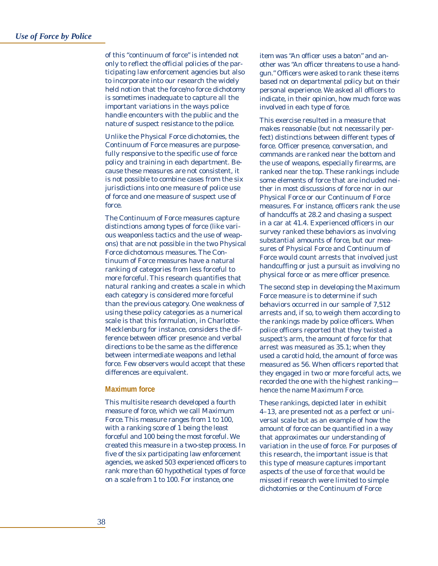of this "continuum of force" is intended not only to reflect the official policies of the participating law enforcement agencies but also to incorporate into our research the widely held notion that the force/no force dichotomy is sometimes inadequate to capture all the important variations in the ways police handle encounters with the public and the nature of suspect resistance to the police.

Unlike the Physical Force dichotomies, the Continuum of Force measures are purposefully responsive to the specific use of force policy and training in each department. Because these measures are not consistent, it is not possible to combine cases from the six jurisdictions into one measure of police use of force and one measure of suspect use of force.

The Continuum of Force measures capture distinctions among types of force (like various weaponless tactics and the use of weapons) that are not possible in the two Physical Force dichotomous measures. The Continuum of Force measures have a natural ranking of categories from less forceful to more forceful. This research quantifies that natural ranking and creates a scale in which each category is considered more forceful than the previous category. One weakness of using these policy categories as a numerical scale is that this formulation, in Charlotte-Mecklenburg for instance, considers the difference between officer presence and verbal directions to be the same as the difference between intermediate weapons and lethal force. Few observers would accept that these differences are equivalent.

### **Maximum force**

This multisite research developed a fourth measure of force, which we call Maximum Force. This measure ranges from 1 to 100, with a ranking score of 1 being the least forceful and 100 being the most forceful. We created this measure in a two-step process. In five of the six participating law enforcement agencies, we asked 503 experienced officers to rank more than 60 hypothetical types of force on a scale from 1 to 100. For instance, one

item was "An officer uses a baton" and another was "An officer threatens to use a handgun." Officers were asked to rank these items based not on departmental policy but on their personal experience. We asked all officers to indicate, in their opinion, how much force was involved in each type of force.

This exercise resulted in a measure that makes reasonable (but not necessarily perfect) distinctions between different types of force. Officer presence, conversation, and commands are ranked near the bottom and the use of weapons, especially firearms, are ranked near the top. These rankings include some elements of force that are included neither in most discussions of force nor in our Physical Force or our Continuum of Force measures. For instance, officers rank the use of handcuffs at 28.2 and chasing a suspect in a car at 41.4. Experienced officers in our survey ranked these behaviors as involving substantial amounts of force, but our measures of Physical Force and Continuum of Force would count arrests that involved just handcuffing or just a pursuit as involving no physical force or as mere officer presence.

The second step in developing the Maximum Force measure is to determine if such behaviors occurred in our sample of 7,512 arrests and, if so, to weigh them according to the rankings made by police officers. When police officers reported that they twisted a suspect's arm, the amount of force for that arrest was measured as 35.1; when they used a carotid hold, the amount of force was measured as 56. When officers reported that they engaged in two or more forceful acts, we recorded the one with the highest ranking hence the name Maximum Force.

These rankings, depicted later in exhibit 4–13, are presented not as a perfect or universal scale but as an example of how the amount of force can be quantified in a way that approximates our understanding of variation in the use of force. For purposes of this research, the important issue is that this type of measure captures important aspects of the use of force that would be missed if research were limited to simple dichotomies or the Continuum of Force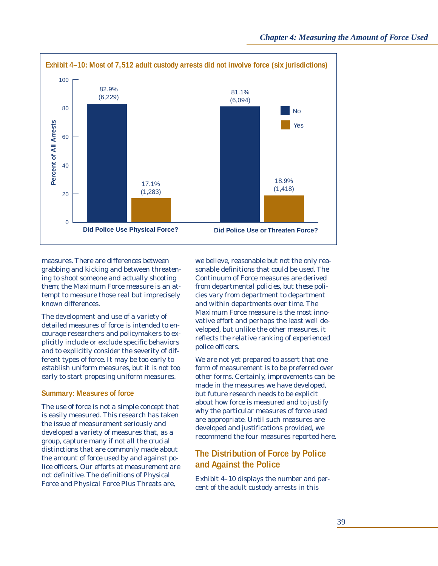

measures. There are differences between grabbing and kicking and between threatening to shoot someone and actually shooting them; the Maximum Force measure is an attempt to measure those real but imprecisely known differences.

The development and use of a variety of detailed measures of force is intended to encourage researchers and policymakers to explicitly include or exclude specific behaviors and to explicitly consider the severity of different types of force. It may be too early to establish uniform measures, but it is not too early to start proposing uniform measures.

### **Summary: Measures of force**

The use of force is not a simple concept that is easily measured. This research has taken the issue of measurement seriously and developed a variety of measures that, as a group, capture many if not all the crucial distinctions that are commonly made about the amount of force used by and against police officers. Our efforts at measurement are not definitive. The definitions of Physical Force and Physical Force Plus Threats are,

we believe, reasonable but not the only reasonable definitions that could be used. The Continuum of Force measures are derived from departmental policies, but these policies vary from department to department and within departments over time. The Maximum Force measure is the most innovative effort and perhaps the least well developed, but unlike the other measures, it reflects the relative ranking of experienced police officers.

We are not yet prepared to assert that one form of measurement is to be preferred over other forms. Certainly, improvements can be made in the measures we have developed, but future research needs to be explicit about how force is measured and to justify why the particular measures of force used are appropriate. Until such measures are developed and justifications provided, we recommend the four measures reported here.

### **The Distribution of Force by Police and Against the Police**

Exhibit 4–10 displays the number and percent of the adult custody arrests in this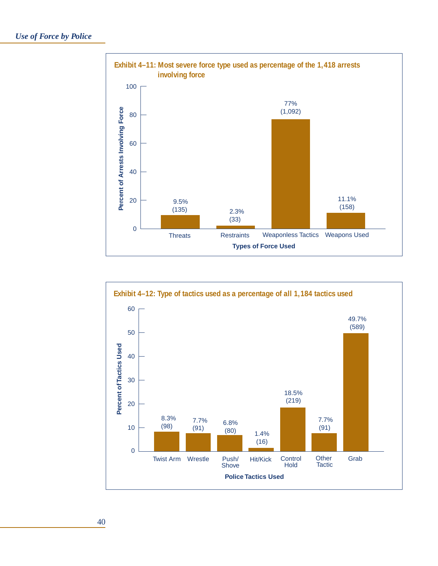

![](_page_52_Figure_2.jpeg)

40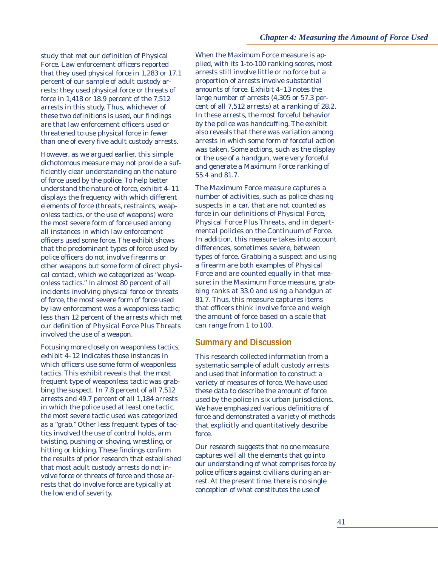study that met our definition of Physical Force. Law enforcement officers reported that they used physical force in 1,283 or 17.1 percent of our sample of adult custody arrests; they used physical force or threats of force in 1,418 or 18.9 percent of the 7,512 arrests in this study. Thus, whichever of these two definitions is used, our findings are that law enforcement officers used or threatened to use physical force in fewer than one of every five adult custody arrests.

However, as we argued earlier, this simple dichotomous measure may not provide a sufficiently clear understanding on the nature of force used by the police. To help better understand the nature of force, exhibit 4–11 displays the frequency with which different elements of force (threats, restraints, weaponless tactics, or the use of weapons) were the most severe form of force used among all instances in which law enforcement officers used some force. The exhibit shows that the predominant types of force used by police officers do not involve firearms or other weapons but some form of direct physical contact, which we categorized as "weaponless tactics." In almost 80 percent of all incidents involving physical force or threats of force, the most severe form of force used by law enforcement was a weaponless tactic; less than 12 percent of the arrests which met our definition of Physical Force Plus Threats involved the use of a weapon.

Focusing more closely on weaponless tactics, exhibit 4–12 indicates those instances in which officers use some form of weaponless tactics. This exhibit reveals that the most frequent type of weaponless tactic was grabbing the suspect. In 7.8 percent of all 7,512 arrests and 49.7 percent of all 1,184 arrests in which the police used at least one tactic, the most severe tactic used was categorized as a "grab." Other less frequent types of tactics involved the use of control holds, arm twisting, pushing or shoving, wrestling, or hitting or kicking. These findings confirm the results of prior research that established that most adult custody arrests do not involve force or threats of force and those arrests that do involve force are typically at the low end of severity.

When the Maximum Force measure is applied, with its 1-to-100 ranking scores, most arrests still involve little or no force but a proportion of arrests involve substantial amounts of force. Exhibit 4–13 notes the large number of arrests (4,305 or 57.3 percent of all 7,512 arrests) at a ranking of 28.2. In these arrests, the most forceful behavior by the police was handcuffing. The exhibit also reveals that there was variation among arrests in which some form of forceful action was taken. Some actions, such as the display or the use of a handgun, were very forceful and generate a Maximum Force ranking of 55.4 and 81.7.

The Maximum Force measure captures a number of activities, such as police chasing suspects in a car, that are not counted as force in our definitions of Physical Force, Physical Force Plus Threats, and in departmental policies on the Continuum of Force. In addition, this measure takes into account differences, sometimes severe, between types of force. Grabbing a suspect and using a firearm are both examples of Physical Force and are counted equally in that measure; in the Maximum Force measure, grabbing ranks at 33.0 and using a handgun at 81.7. Thus, this measure captures items that officers think involve force and weigh the amount of force based on a scale that can range from 1 to 100.

### **Summary and Discussion**

This research collected information from a systematic sample of adult custody arrests and used that information to construct a variety of measures of force. We have used these data to describe the amount of force used by the police in six urban jurisdictions. We have emphasized various definitions of force and demonstrated a variety of methods that explicitly and quantitatively describe force.

Our research suggests that no one measure captures well all the elements that go into our understanding of what comprises force by police officers against civilians during an arrest. At the present time, there is no single conception of what constitutes the use of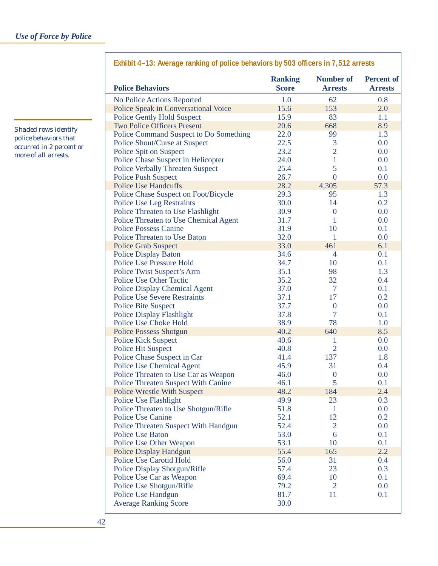*Shaded rows identify police behaviors that occurred in 2 percent or more of all arrests.*

| <b>Police Behaviors</b>                                           | <b>Ranking</b><br><b>Score</b> | <b>Number of</b><br><b>Arrests</b> | <b>Percent of</b><br><b>Arrests</b> |
|-------------------------------------------------------------------|--------------------------------|------------------------------------|-------------------------------------|
| No Police Actions Reported                                        | 1.0                            | 62                                 | 0.8                                 |
| Police Speak in Conversational Voice                              | 15.6                           | 153                                | 2.0                                 |
| <b>Police Gently Hold Suspect</b>                                 | 15.9                           | 83                                 | 1.1                                 |
| <b>Two Police Officers Present</b>                                | 20.6                           | 668                                | 8.9                                 |
| Police Command Suspect to Do Something                            | 22.0                           | 99                                 | 1.3                                 |
| Police Shout/Curse at Suspect                                     | 22.5                           | 3                                  | 0.0                                 |
| Police Spit on Suspect                                            | 23.2                           | $\overline{2}$                     | 0.0                                 |
| Police Chase Suspect in Helicopter                                | 24.0                           | $\mathbf{1}$                       | 0.0                                 |
| <b>Police Verbally Threaten Suspect</b>                           | 25.4                           | 5                                  | 0.1                                 |
| <b>Police Push Suspect</b>                                        | 26.7                           | $\overline{0}$                     | 0.0                                 |
| <b>Police Use Handcuffs</b>                                       | 28.2                           | 4,305                              | 57.3                                |
| Police Chase Suspect on Foot/Bicycle                              | 29.3                           | 95                                 | 1.3                                 |
| Police Use Leg Restraints                                         | 30.0                           | 14                                 | 0.2                                 |
| Police Threaten to Use Flashlight                                 | 30.9                           | $\bf{0}$                           | 0.0                                 |
| Police Threaten to Use Chemical Agent                             | 31.7                           | 1                                  | 0.0                                 |
| <b>Police Possess Canine</b>                                      | 31.9                           | 10                                 | 0.1                                 |
| <b>Police Threaten to Use Baton</b>                               | 32.0                           | $\mathbf{1}$                       | 0.0                                 |
| <b>Police Grab Suspect</b>                                        | 33.0                           | 461                                | 6.1                                 |
| <b>Police Display Baton</b>                                       | 34.6                           | 4                                  | 0.1                                 |
| <b>Police Use Pressure Hold</b>                                   | 34.7                           | 10                                 | 0.1                                 |
| Police Twist Suspect's Arm                                        | 35.1                           | 98                                 | 1.3                                 |
| <b>Police Use Other Tactic</b>                                    | 35.2                           | 32                                 | 0.4                                 |
| <b>Police Display Chemical Agent</b>                              | 37.0                           | $\tau$                             | 0.1                                 |
| <b>Police Use Severe Restraints</b>                               | 37.1                           | 17                                 | 0.2                                 |
| <b>Police Bite Suspect</b>                                        | 37.7                           | $\overline{0}$                     | 0.0                                 |
| <b>Police Display Flashlight</b>                                  | 37.8                           | 7                                  | 0.1                                 |
| Police Use Choke Hold                                             | 38.9                           | 78                                 | 1.0                                 |
| <b>Police Possess Shotgun</b>                                     | 40.2                           | 640                                | 8.5                                 |
| <b>Police Kick Suspect</b>                                        | 40.6                           | 1                                  | 0.0                                 |
|                                                                   | 40.8                           | $\overline{2}$                     | 0.0                                 |
| <b>Police Hit Suspect</b>                                         | 41.4                           | 137                                | 1.8                                 |
| Police Chase Suspect in Car                                       | 45.9                           | 31                                 | 0.4                                 |
| Police Use Chemical Agent<br>Police Threaten to Use Car as Weapon | 46.0                           | $\overline{0}$                     | 0.0                                 |
| <b>Police Threaten Suspect With Canine</b>                        | 46.1                           | 5                                  | 0.1                                 |
|                                                                   | 48.2                           | 184                                | 2.4                                 |
| <b>Police Wrestle With Suspect</b>                                | 49.9                           | 23                                 | 0.3                                 |
| Police Use Flashlight<br>Police Threaten to Use Shotgun/Rifle     | 51.8                           | 1                                  | 0.0                                 |
| <b>Police Use Canine</b>                                          | 52.1                           | 12                                 | 0.2                                 |
|                                                                   | 52.4                           | 2                                  | 0.0                                 |
| <b>Police Threaten Suspect With Handgun</b>                       |                                |                                    |                                     |
| Police Use Baton                                                  | 53.0                           | 6                                  | 0.1                                 |
| Police Use Other Weapon                                           | 53.1                           | 10                                 | 0.1                                 |
| <b>Police Display Handgun</b><br><b>Police Use Carotid Hold</b>   | 55.4                           | 165                                | $2.2^{\circ}$                       |
|                                                                   | 56.0                           | 31                                 | 0.4                                 |
| Police Display Shotgun/Rifle                                      | 57.4                           | 23                                 | 0.3                                 |
| Police Use Car as Weapon                                          | 69.4                           | 10                                 | 0.1                                 |
| Police Use Shotgun/Rifle                                          | 79.2                           | 2                                  | 0.0                                 |
| Police Use Handgun                                                | 81.7                           | 11                                 | 0.1                                 |
| <b>Average Ranking Score</b>                                      | 30.0                           |                                    |                                     |

### **Exhibit 4–13: Average ranking of police behaviors by 503 officers in 7,512 arrests**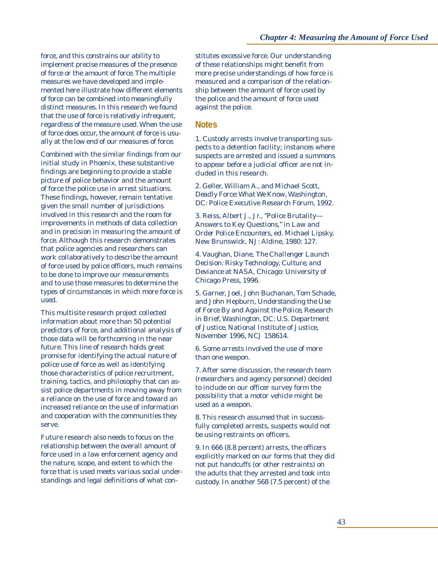force, and this constrains our ability to implement precise measures of the presence of force or the amount of force. The multiple measures we have developed and implemented here illustrate how different elements of force can be combined into meaningfully distinct measures. In this research we found that the use of force is relatively infrequent, regardless of the measure used. When the use of force does occur, the amount of force is usually at the low end of our measures of force.

Combined with the similar findings from our initial study in Phoenix, these substantive findings are beginning to provide a stable picture of police behavior and the amount of force the police use in arrest situations. These findings, however, remain tentative given the small number of jurisdictions involved in this research and the room for improvements in methods of data collection and in precision in measuring the amount of force. Although this research demonstrates that police agencies and researchers can work collaboratively to describe the amount of force used by police officers, much remains to be done to improve our measurements and to use those measures to determine the types of circumstances in which more force is used.

This multisite research project collected information about more than 50 potential predictors of force, and additional analysis of those data will be forthcoming in the near future. This line of research holds great promise for identifying the actual nature of police use of force as well as identifying those characteristics of police recruitment, training, tactics, and philosophy that can assist police departments in moving away from a reliance on the use of force and toward an increased reliance on the use of information and cooperation with the communities they serve.

Future research also needs to focus on the relationship between the overall amount of force used in a law enforcement agency and the nature, scope, and extent to which the force that is used meets various social understandings and legal definitions of what constitutes excessive force. Our understanding of these relationships might benefit from more precise understandings of how force is measured and a comparison of the relationship between the amount of force used by the police and the amount of force used against the police.

### **Notes**

1. Custody arrests involve transporting suspects to a detention facility; instances where suspects are arrested and issued a summons to appear before a judicial officer are not included in this research.

2. Geller, William A., and Michael Scott, *Deadly Force: What We Know*, Washington, DC: Police Executive Research Forum, 1992.

3. Reiss, Albert J., Jr., "Police Brutality— Answers to Key Questions," in *Law and Order Police Encounters*, ed. Michael Lipsky, New Brunswick, NJ: Aldine, 1980: 127.

4. Vaughan, Diane, *The Challenger Launch Decision: Risky Technology, Culture, and Deviance at NASA*, Chicago: University of Chicago Press, 1996.

5. Garner, Joel, John Buchanan, Tom Schade, and John Hepburn, *Understanding the Use of Force By and Against the Police*, Research in Brief, Washington, DC: U.S. Department of Justice, National Institute of Justice, November 1996, NCJ 158614.

6. Some arrests involved the use of more than one weapon.

7. After some discussion, the research team (researchers and agency personnel) decided to include on our officer survey form the possibility that a motor vehicle might be used as a weapon.

8. This research assumed that in successfully completed arrests, suspects would not be using restraints on officers.

9. In 666 (8.8 percent) arrests, the officers explicitly marked on our forms that they did not put handcuffs (or other restraints) on the adults that they arrested and took into custody. In another 568 (7.5 percent) of the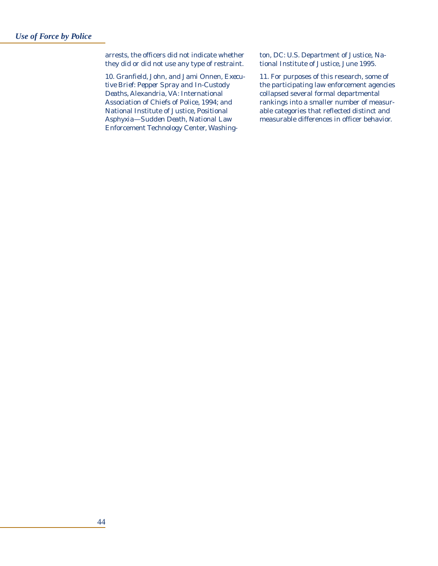arrests, the officers did not indicate whether they did or did not use any type of restraint.

10. Granfield, John, and Jami Onnen, *Executive Brief: Pepper Spray and In-Custody Deaths*, Alexandria, VA: International Association of Chiefs of Police, 1994; and National Institute of Justice, *Positional Asphyxia—Sudden Death*, National Law Enforcement Technology Center, Washington, DC: U.S. Department of Justice, National Institute of Justice, June 1995.

11. For purposes of this research, some of the participating law enforcement agencies collapsed several formal departmental rankings into a smaller number of measurable categories that reflected distinct and measurable differences in officer behavior.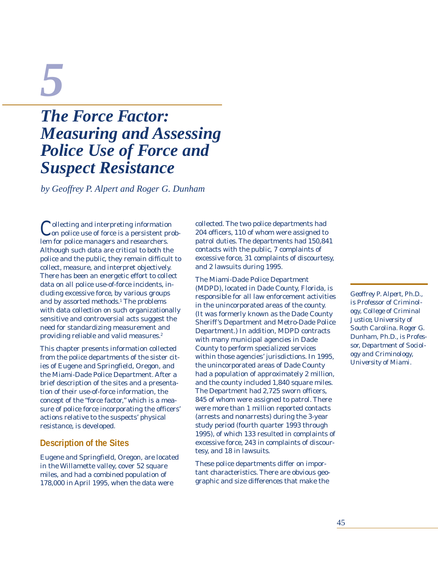# *5*

# *The Force Factor: Measuring and Assessing Police Use of Force and Suspect Resistance*

*by Geoffrey P. Alpert and Roger G. Dunham*

Collecting and interpreting information<br>
Con police use of force is a persistent problem for police managers and researchers. Although such data are critical to both the police and the public, they remain difficult to collect, measure, and interpret objectively. There has been an energetic effort to collect data on all police use-of-force incidents, including excessive force, by various groups and by assorted methods.<sup>1</sup> The problems with data collection on such organizationally sensitive and controversial acts suggest the need for standardizing measurement and providing reliable and valid measures.<sup>2</sup>

This chapter presents information collected from the police departments of the sister cities of Eugene and Springfield, Oregon, and the Miami-Dade Police Department. After a brief description of the sites and a presentation of their use-of-force information, the concept of the "force factor," which is a measure of police force incorporating the officers' actions relative to the suspects' physical resistance, is developed.

### **Description of the Sites**

Eugene and Springfield, Oregon, are located in the Willamette valley, cover 52 square miles, and had a combined population of 178,000 in April 1995, when the data were

collected. The two police departments had 204 officers, 110 of whom were assigned to patrol duties. The departments had 150,841 contacts with the public, 7 complaints of excessive force, 31 complaints of discourtesy, and 2 lawsuits during 1995.

The Miami-Dade Police Department (MDPD), located in Dade County, Florida, is responsible for all law enforcement activities in the unincorporated areas of the county. (It was formerly known as the Dade County Sheriff's Department and Metro-Dade Police Department.) In addition, MDPD contracts with many municipal agencies in Dade County to perform specialized services within those agencies' jurisdictions. In 1995, the unincorporated areas of Dade County had a population of approximately 2 million, and the county included 1,840 square miles. The Department had 2,725 sworn officers, 845 of whom were assigned to patrol. There were more than 1 million reported contacts (arrests and nonarrests) during the 3-year study period (fourth quarter 1993 through 1995), of which 133 resulted in complaints of excessive force, 243 in complaints of discourtesy, and 18 in lawsuits.

These police departments differ on important characteristics. There are obvious geographic and size differences that make the

*Geoffrey P. Alpert, Ph.D., is Professor of Criminology, College of Criminal Justice, University of South Carolina. Roger G. Dunham, Ph.D., is Professor, Department of Sociology and Criminology, University of Miami.*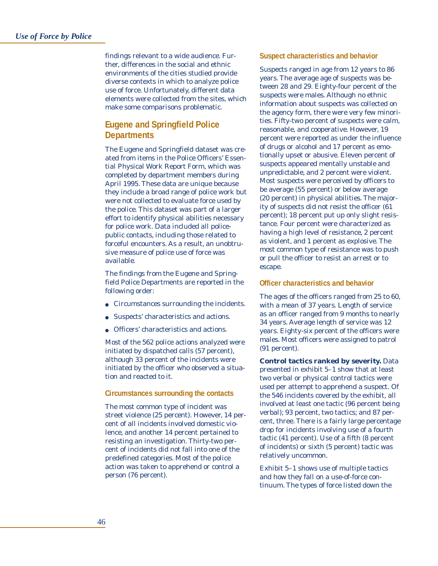findings relevant to a wide audience. Further, differences in the social and ethnic environments of the cities studied provide diverse contexts in which to analyze police use of force. Unfortunately, different data elements were collected from the sites, which make some comparisons problematic.

### **Eugene and Springfield Police Departments**

The Eugene and Springfield dataset was created from items in the Police Officers' Essential Physical Work Report Form, which was completed by department members during April 1995. These data are unique because they include a broad range of police work but were not collected to evaluate force used by the police. This dataset was part of a larger effort to identify physical abilities necessary for police work. Data included all policepublic contacts, including those related to forceful encounters. As a result, an unobtrusive measure of police use of force was available.

The findings from the Eugene and Springfield Police Departments are reported in the following order:

- Circumstances surrounding the incidents.
- Suspects' characteristics and actions.
- Officers' characteristics and actions.

Most of the 562 police actions analyzed were initiated by dispatched calls (57 percent), although 33 percent of the incidents were initiated by the officer who observed a situation and reacted to it.

### **Circumstances surrounding the contacts**

The most common type of incident was street violence (25 percent). However, 14 percent of all incidents involved domestic violence, and another 14 percent pertained to resisting an investigation. Thirty-two percent of incidents did not fall into one of the predefined categories. Most of the police action was taken to apprehend or control a person (76 percent).

### **Suspect characteristics and behavior**

Suspects ranged in age from 12 years to 86 years. The average age of suspects was between 28 and 29. Eighty-four percent of the suspects were males. Although no ethnic information about suspects was collected on the agency form, there were very few minorities. Fifty-two percent of suspects were calm, reasonable, and cooperative. However, 19 percent were reported as under the influence of drugs or alcohol and 17 percent as emotionally upset or abusive. Eleven percent of suspects appeared mentally unstable and unpredictable, and 2 percent were violent. Most suspects were perceived by officers to be average (55 percent) or below average (20 percent) in physical abilities. The majority of suspects did not resist the officer (61 percent); 18 percent put up only slight resistance. Four percent were characterized as having a high level of resistance, 2 percent as violent, and 1 percent as explosive. The most common type of resistance was to push or pull the officer to resist an arrest or to escape.

### **Officer characteristics and behavior**

The ages of the officers ranged from 25 to 60, with a mean of 37 years. Length of service as an officer ranged from 9 months to nearly 34 years. Average length of service was 12 years. Eighty-six percent of the officers were males. Most officers were assigned to patrol (91 percent).

**Control tactics ranked by severity.** Data presented in exhibit 5–1 show that at least two verbal or physical control tactics were used per attempt to apprehend a suspect. Of the 546 incidents covered by the exhibit, all involved at least one tactic (96 percent being verbal); 93 percent, two tactics; and 87 percent, three. There is a fairly large percentage drop for incidents involving use of a fourth tactic (41 percent). Use of a fifth (8 percent of incidents) or sixth (5 percent) tactic was relatively uncommon.

Exhibit 5–1 shows use of multiple tactics and how they fall on a use-of-force continuum. The types of force listed down the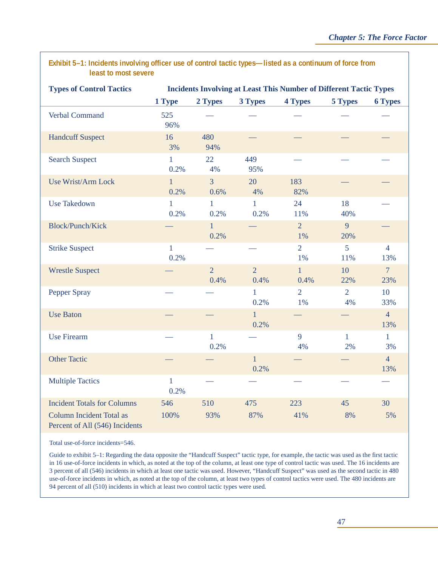**Exhibit 5–1: Incidents involving officer use of control tactic types—listed as a continuum of force from least to most severe**

| <b>Types of Control Tactics</b>                                   |                      |                        |                        | <b>Incidents Involving at Least This Number of Different Tactic Types</b> |                      |                       |
|-------------------------------------------------------------------|----------------------|------------------------|------------------------|---------------------------------------------------------------------------|----------------------|-----------------------|
|                                                                   | 1 Type               | 2 Types                | 3 Types                | <b>4 Types</b>                                                            | 5 Types              | <b>6 Types</b>        |
| Verbal Command                                                    | 525<br>96%           |                        |                        |                                                                           |                      |                       |
| <b>Handcuff Suspect</b>                                           | 16<br>3%             | 480<br>94%             |                        |                                                                           |                      |                       |
| <b>Search Suspect</b>                                             | $\mathbf{1}$<br>0.2% | 22<br>4%               | 449<br>95%             |                                                                           |                      |                       |
| <b>Use Wrist/Arm Lock</b>                                         | $\mathbf{1}$<br>0.2% | $\overline{3}$<br>0.6% | 20<br>4%               | 183<br>82%                                                                |                      |                       |
| <b>Use Takedown</b>                                               | $\mathbf{1}$<br>0.2% | $\mathbf{1}$<br>0.2%   | $\mathbf{1}$<br>0.2%   | 24<br>11%                                                                 | 18<br>40%            |                       |
| <b>Block/Punch/Kick</b>                                           |                      | $\mathbf{1}$<br>0.2%   |                        | $\overline{2}$<br>1%                                                      | 9<br>20%             |                       |
| <b>Strike Suspect</b>                                             | $\mathbf{1}$<br>0.2% |                        |                        | $\overline{2}$<br>1%                                                      | 5<br>11%             | $\overline{4}$<br>13% |
| <b>Wrestle Suspect</b>                                            |                      | $\overline{2}$<br>0.4% | $\overline{2}$<br>0.4% | $\mathbf{1}$<br>0.4%                                                      | 10<br>22%            | $\overline{7}$<br>23% |
| Pepper Spray                                                      |                      |                        | $\mathbf{1}$<br>0.2%   | $\overline{2}$<br>1%                                                      | $\overline{2}$<br>4% | 10<br>33%             |
| <b>Use Baton</b>                                                  |                      |                        | $\mathbf{1}$<br>0.2%   |                                                                           |                      | $\overline{4}$<br>13% |
| <b>Use Firearm</b>                                                |                      | $\mathbf{1}$<br>0.2%   |                        | 9<br>4%                                                                   | $\mathbf{1}$<br>2%   | $\mathbf{1}$<br>3%    |
| <b>Other Tactic</b>                                               |                      |                        | $\mathbf{1}$<br>0.2%   |                                                                           |                      | $\overline{4}$<br>13% |
| <b>Multiple Tactics</b>                                           | $\mathbf{1}$<br>0.2% |                        |                        |                                                                           |                      |                       |
| <b>Incident Totals for Columns</b>                                | 546                  | 510                    | 475                    | 223                                                                       | 45                   | 30                    |
| <b>Column Incident Total as</b><br>Percent of All (546) Incidents | 100%                 | 93%                    | 87%                    | 41%                                                                       | 8%                   | 5%                    |

Total use-of-force incidents=546.

Guide to exhibit 5–1: Regarding the data opposite the "Handcuff Suspect" tactic type, for example, the tactic was used as the first tactic in 16 use-of-force incidents in which, as noted at the top of the column, at least one type of control tactic was used. The 16 incidents are 3 percent of all (546) incidents in which at least one tactic was used. However, "Handcuff Suspect" was used as the second tactic in 480 use-of-force incidents in which, as noted at the top of the column, at least two types of control tactics were used. The 480 incidents are 94 percent of all (510) incidents in which at least two control tactic types were used.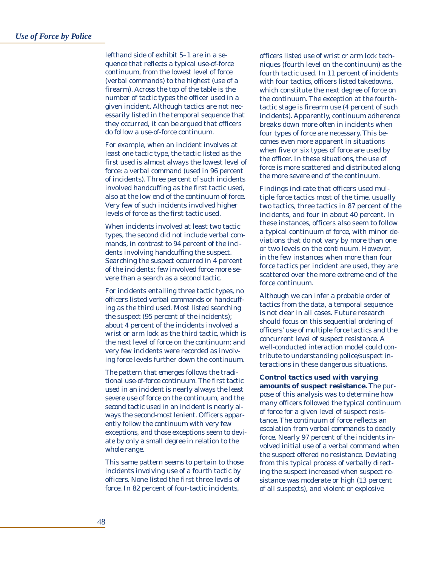lefthand side of exhibit 5–1 are in a sequence that reflects a typical use-of-force continuum, from the lowest level of force (verbal commands) to the highest (use of a firearm). Across the top of the table is the number of tactic types the officer used in a given incident. Although tactics are not necessarily listed in the temporal sequence that they occurred, it can be argued that officers do follow a use-of-force continuum.

For example, when an incident involves at least one tactic type, the tactic listed as the first used is almost always the lowest level of force: a verbal command (used in 96 percent of incidents). Three percent of such incidents involved handcuffing as the first tactic used, also at the low end of the continuum of force. Very few of such incidents involved higher levels of force as the first tactic used.

When incidents involved at least two tactic types, the second did not include verbal commands, in contrast to 94 percent of the incidents involving handcuffing the suspect. Searching the suspect occurred in 4 percent of the incidents; few involved force more severe than a search as a second tactic.

For incidents entailing three tactic types, no officers listed verbal commands or handcuffing as the third used. Most listed searching the suspect (95 percent of the incidents); about 4 percent of the incidents involved a wrist or arm lock as the third tactic, which is the next level of force on the continuum; and very few incidents were recorded as involving force levels further down the continuum.

The pattern that emerges follows the traditional use-of-force continuum. The first tactic used in an incident is nearly always the *least* severe use of force on the continuum, and the second tactic used in an incident is nearly always the second-most lenient. Officers apparently follow the continuum with very few exceptions, and those exceptions seem to deviate by only a small degree in relation to the whole range.

This same pattern seems to pertain to those incidents involving use of a fourth tactic by officers. None listed the first three levels of force. In 82 percent of four-tactic incidents,

officers listed use of wrist or arm lock techniques (fourth level on the continuum) as the fourth tactic used. In 11 percent of incidents with four tactics, officers listed takedowns, which constitute the next degree of force on the continuum. The exception at the fourthtactic stage is firearm use (4 percent of such incidents). Apparently, continuum adherence breaks down more often in incidents when four types of force are necessary. This becomes even more apparent in situations when five or six types of force are used by the officer. In these situations, the use of force is more scattered and distributed along the more severe end of the continuum.

Findings indicate that officers used multiple force tactics most of the time, usually two tactics, three tactics in 87 percent of the incidents, and four in about 40 percent. In these instances, officers also seem to follow a typical continuum of force, with minor deviations that do not vary by more than one or two levels on the continuum. However, in the few instances when more than four force tactics per incident are used, they are scattered over the more extreme end of the force continuum.

Although we can infer a probable order of tactics from the data, a temporal sequence is not clear in all cases. Future research should focus on this sequential ordering of officers' use of multiple force tactics and the concurrent level of suspect resistance. A well-conducted interaction model could contribute to understanding police/suspect interactions in these dangerous situations.

**Control tactics used with varying amounts of suspect resistance.** The purpose of this analysis was to determine how many officers followed the typical continuum of force for a given level of suspect resistance. The continuum of force reflects an escalation from verbal commands to deadly force. Nearly 97 percent of the incidents involved initial use of a verbal command when the suspect offered no resistance. Deviating from this typical process of verbally directing the suspect increased when suspect resistance was moderate or high (13 percent of all suspects), and violent or explosive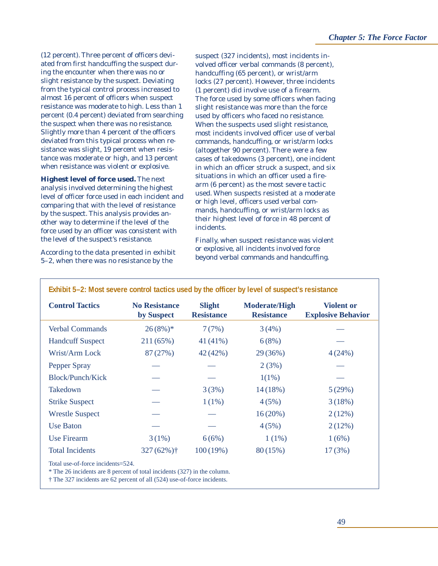(12 percent). Three percent of officers deviated from first handcuffing the suspect during the encounter when there was no or slight resistance by the suspect. Deviating from the typical control process increased to almost 16 percent of officers when suspect resistance was moderate to high. Less than 1 percent (0.4 percent) deviated from searching the suspect when there was no resistance. Slightly more than 4 percent of the officers deviated from this typical process when resistance was slight, 19 percent when resistance was moderate or high, and 13 percent when resistance was violent or explosive.

**Highest level of force used.** The next analysis involved determining the highest level of officer force used in each incident and comparing that with the level of resistance by the suspect. This analysis provides another way to determine if the level of the force used by an officer was consistent with the level of the suspect's resistance.

According to the data presented in exhibit 5–2, when there was no resistance by the

suspect (327 incidents), most incidents involved officer verbal commands (8 percent), handcuffing (65 percent), or wrist/arm locks (27 percent). However, three incidents (1 percent) did involve use of a firearm. The force used by some officers when facing slight resistance was more than the force used by officers who faced no resistance. When the suspects used slight resistance, most incidents involved officer use of verbal commands, handcuffing, or wrist/arm locks (altogether 90 percent). There were a few cases of takedowns (3 percent), one incident in which an officer struck a suspect, and six situations in which an officer used a firearm (6 percent) as the most severe tactic used. When suspects resisted at a moderate or high level, officers used verbal commands, handcuffing, or wrist/arm locks as their highest level of force in 48 percent of incidents.

Finally, when suspect resistance was violent or explosive, all incidents involved force beyond verbal commands and handcuffing.

| <b>Control Tactics</b>                                                                                       | <b>No Resistance</b><br>by Suspect | <b>Slight</b><br><b>Resistance</b> | <b>Moderate/High</b><br><b>Resistance</b> | <b>Violent or</b><br><b>Explosive Behavior</b> |
|--------------------------------------------------------------------------------------------------------------|------------------------------------|------------------------------------|-------------------------------------------|------------------------------------------------|
| <b>Verbal Commands</b>                                                                                       | $26(8\%)*$                         | 7(7%)                              | 3(4%)                                     |                                                |
| <b>Handcuff Suspect</b>                                                                                      | 211(65%)                           | $41(41\%)$                         | 6(8%)                                     |                                                |
| Wrist/Arm Lock                                                                                               | 87 (27%)                           | 42 (42%)                           | 29 (36%)                                  | 4(24%)                                         |
| Pepper Spray                                                                                                 |                                    |                                    | 2(3%)                                     |                                                |
| Block/Punch/Kick                                                                                             |                                    |                                    | $1(1\%)$                                  |                                                |
| <b>Takedown</b>                                                                                              |                                    | 3(3%)                              | 14 (18%)                                  | 5(29%)                                         |
| <b>Strike Suspect</b>                                                                                        |                                    | $1(1\%)$                           | 4(5%)                                     | 3(18%)                                         |
| <b>Wrestle Suspect</b>                                                                                       |                                    |                                    | 16(20%)                                   | 2(12%)                                         |
| <b>Use Baton</b>                                                                                             |                                    |                                    | 4(5%)                                     | 2(12%)                                         |
| <b>Use Firearm</b>                                                                                           | $3(1\%)$                           | 6(6%)                              | $1(1\%)$                                  | 1(6%)                                          |
| <b>Total Incidents</b>                                                                                       | $327(62%)$ †                       | 100(19%)                           | 80 (15%)                                  | 17(3%)                                         |
| Total use-of-force incidents=524.<br>* The 26 incidents are 8 percent of total incidents (327) in the column |                                    |                                    |                                           |                                                |

**Exhibit 5–2: Most severe control tactics used by the officer by level of suspect's resistance**

nts are 8 percent of total incidents (327) in the column.

† The 327 incidents are 62 percent of all (524) use-of-force incidents.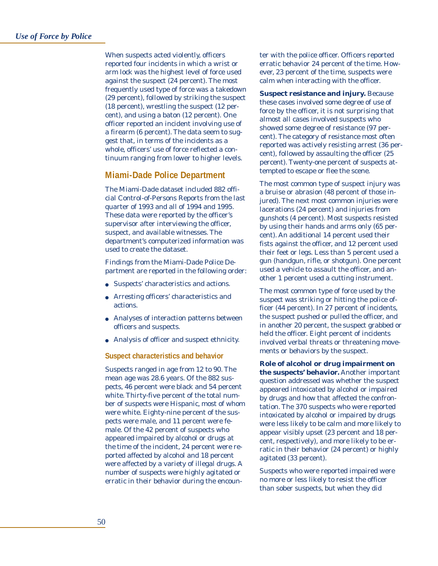When suspects acted violently, officers reported four incidents in which a wrist or arm lock was the highest level of force used against the suspect (24 percent). The most frequently used type of force was a takedown (29 percent), followed by striking the suspect (18 percent), wrestling the suspect (12 percent), and using a baton (12 percent). One officer reported an incident involving use of a firearm (6 percent). The data seem to suggest that, in terms of the incidents as a whole, officers' use of force reflected a continuum ranging from lower to higher levels.

### **Miami-Dade Police Department**

The Miami-Dade dataset included 882 official Control-of-Persons Reports from the last quarter of 1993 and all of 1994 and 1995. These data were reported by the officer's supervisor after interviewing the officer, suspect, and available witnesses. The department's computerized information was used to create the dataset.

Findings from the Miami-Dade Police Department are reported in the following order:

- Suspects' characteristics and actions.
- Arresting officers' characteristics and actions.
- Analyses of interaction patterns between officers and suspects.
- Analysis of officer and suspect ethnicity.

### **Suspect characteristics and behavior**

Suspects ranged in age from 12 to 90. The mean age was 28.6 years. Of the 882 suspects, 46 percent were black and 54 percent white. Thirty-five percent of the total number of suspects were Hispanic, most of whom were white. Eighty-nine percent of the suspects were male, and 11 percent were female. Of the 42 percent of suspects who appeared impaired by alcohol or drugs at the time of the incident, 24 percent were reported affected by alcohol and 18 percent were affected by a variety of illegal drugs. A number of suspects were highly agitated or erratic in their behavior during the encounter with the police officer. Officers reported erratic behavior 24 percent of the time. However, 23 percent of the time, suspects were calm when interacting with the officer.

**Suspect resistance and injury.** Because these cases involved some degree of use of force by the officer, it is not surprising that almost all cases involved suspects who showed some degree of resistance (97 percent). The category of resistance most often reported was actively resisting arrest (36 percent), followed by assaulting the officer (25 percent). Twenty-one percent of suspects attempted to escape or flee the scene.

The most common type of suspect injury was a bruise or abrasion (48 percent of those injured). The next most common injuries were lacerations (24 percent) and injuries from gunshots (4 percent). Most suspects resisted by using their hands and arms only (65 percent). An additional 14 percent used their fists against the officer, and 12 percent used their feet or legs. Less than 5 percent used a gun (handgun, rifle, or shotgun). One percent used a vehicle to assault the officer, and another 1 percent used a cutting instrument.

The most common type of force used by the suspect was striking or hitting the police officer (44 percent). In 27 percent of incidents, the suspect pushed or pulled the officer, and in another 20 percent, the suspect grabbed or held the officer. Eight percent of incidents involved verbal threats or threatening movements or behaviors by the suspect.

**Role of alcohol or drug impairment on the suspects' behavior.** Another important question addressed was whether the suspect appeared intoxicated by alcohol or impaired by drugs and how that affected the confrontation. The 370 suspects who were reported intoxicated by alcohol or impaired by drugs were less likely to be calm and more likely to appear visibly upset (23 percent and 18 percent, respectively), and more likely to be erratic in their behavior (24 percent) or highly agitated (33 percent).

Suspects who were reported impaired were no more or less likely to resist the officer than sober suspects, but when they did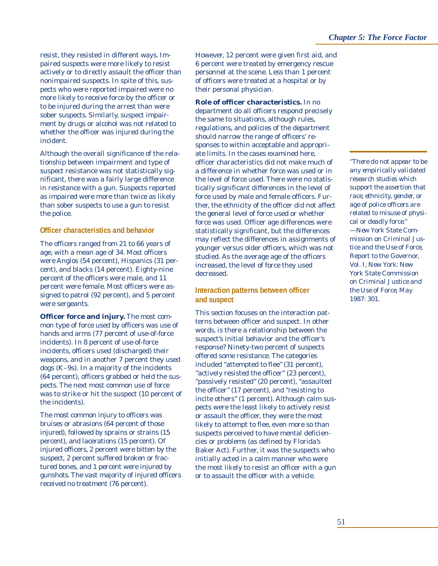resist, they resisted in different ways. Impaired suspects were more likely to resist actively or to directly assault the officer than nonimpaired suspects. In spite of this, suspects who were reported impaired were no more likely to receive force by the officer or to be injured during the arrest than were sober suspects. Similarly, suspect impairment by drugs or alcohol was not related to whether the officer was injured during the incident.

Although the overall significance of the relationship between impairment and type of suspect resistance was not statistically significant, there was a fairly large difference in resistance with a gun. Suspects reported as impaired were more than twice as likely than sober suspects to use a gun to resist the police.

### **Officer characteristics and behavior**

The officers ranged from 21 to 66 years of age, with a mean age of 34. Most officers were Anglos (54 percent), Hispanics (31 percent), and blacks (14 percent). Eighty-nine percent of the officers were male, and 11 percent were female. Most officers were assigned to patrol (92 percent), and 5 percent were sergeants.

**Officer force and injury.** The most common type of force used by officers was use of hands and arms (77 percent of use-of-force incidents). In 8 percent of use-of-force incidents, officers used (discharged) their weapons, and in another 7 percent they used dogs (K–9s). In a majority of the incidents (64 percent), officers grabbed or held the suspects. The next most common use of force was to strike or hit the suspect (10 percent of the incidents).

The most common injury to officers was bruises or abrasions (64 percent of those injured), followed by sprains or strains (15 percent), and lacerations (15 percent). Of injured officers, 2 percent were bitten by the suspect, 2 percent suffered broken or fractured bones, and 1 percent were injured by gunshots. The vast majority of injured officers received no treatment (76 percent).

However, 12 percent were given first aid, and 6 percent were treated by emergency rescue personnel at the scene. Less than 1 percent of officers were treated at a hospital or by their personal physician.

**Role of officer characteristics.** In no department do all officers respond precisely the same to situations, although rules, regulations, and policies of the department should narrow the range of officers' responses to within acceptable and appropriate limits. In the cases examined here, officer characteristics did not make much of a difference in whether force was used or in the level of force used. There were no statistically significant differences in the level of force used by male and female officers. Further, the ethnicity of the officer did not affect the general level of force used or whether force was used. Officer age differences were statistically significant, but the differences may reflect the differences in assignments of younger versus older officers, which was not studied. As the average age of the officers increased, the level of force they used decreased.

### **Interaction patterns between officer and suspect**

This section focuses on the interaction patterns between officer and suspect. In other words, is there a relationship between the suspect's initial behavior and the officer's response? Ninety-two percent of suspects offered some resistance. The categories included "attempted to flee" (31 percent), "actively resisted the officer" (23 percent), "passively resisted" (20 percent), "assaulted the officer" (17 percent), and "resisting to incite others" (1 percent). Although calm suspects were the least likely to actively resist or assault the officer, they were the *most* likely to attempt to flee, even more so than suspects perceived to have mental deficiencies or problems (as defined by Florida's Baker Act). Further, it was the suspects who initially acted in a calm manner who were the most likely to resist an officer with a gun or to assault the officer with a vehicle.

*"There do not appear to be any empirically validated research studies which support the assertion that race, ethnicity, gender, or age of police officers are related to misuse of physical or deadly force." —New York State Commission on Criminal Justice and the Use of Force,* Report to the Governor, *Vol. I, New York: New York State Commission on Criminal Justice and the Use of Force, May 1987: 301.*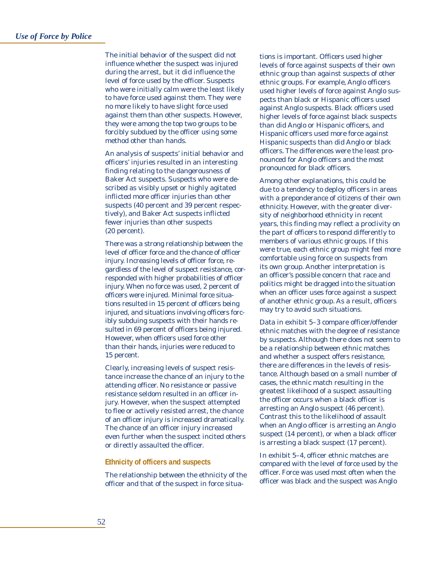The initial behavior of the suspect did not influence whether the suspect was injured during the arrest, but it did influence the level of force used by the officer. Suspects who were initially calm were the least likely to have force used against them. They were no more likely to have slight force used against them than other suspects. However, they were among the top two groups to be forcibly subdued by the officer using some method other than hands.

An analysis of suspects' initial behavior and officers' injuries resulted in an interesting finding relating to the dangerousness of Baker Act suspects. Suspects who were described as visibly upset or highly agitated inflicted more officer injuries than other suspects (40 percent and 39 percent respectively), and Baker Act suspects inflicted fewer injuries than other suspects (20 percent).

There was a strong relationship between the level of officer force and the chance of officer injury. Increasing levels of officer force, regardless of the level of suspect resistance, corresponded with higher probabilities of officer injury. When no force was used, 2 percent of officers were injured. Minimal force situations resulted in 15 percent of officers being injured, and situations involving officers forcibly subduing suspects with their hands resulted in 69 percent of officers being injured. However, when officers used force other than their hands, injuries were reduced to 15 percent.

Clearly, increasing levels of suspect resistance increase the chance of an injury to the attending officer. No resistance or passive resistance seldom resulted in an officer injury. However, when the suspect attempted to flee or actively resisted arrest, the chance of an officer injury is increased dramatically. The chance of an officer injury increased even further when the suspect incited others or directly assaulted the officer.

### **Ethnicity of officers and suspects**

The relationship between the ethnicity of the officer and that of the suspect in force situa-

tions is important. Officers used higher levels of force against suspects of their own ethnic group than against suspects of other ethnic groups. For example, Anglo officers used higher levels of force against Anglo suspects than black or Hispanic officers used against Anglo suspects. Black officers used higher levels of force against black suspects than did Anglo or Hispanic officers, and Hispanic officers used more force against Hispanic suspects than did Anglo or black officers. The differences were the least pronounced for Anglo officers and the most pronounced for black officers.

Among other explanations, this could be due to a tendency to deploy officers in areas with a preponderance of citizens of their own ethnicity. However, with the greater diversity of neighborhood ethnicity in recent years, this finding may reflect a proclivity on the part of officers to respond differently to members of various ethnic groups. If this were true, each ethnic group might feel more comfortable using force on suspects from its own group. Another interpretation is an officer's possible concern that race and politics might be dragged into the situation when an officer uses force against a suspect of another ethnic group. As a result, officers may try to avoid such situations.

Data in exhibit 5–3 compare officer/offender ethnic matches with the degree of resistance by suspects. Although there does not seem to be a relationship between ethnic matches and whether a suspect offers resistance, there are differences in the levels of resistance. Although based on a small number of cases, the ethnic match resulting in the greatest likelihood of a suspect assaulting the officer occurs when a black officer is arresting an Anglo suspect (46 percent). Contrast this to the likelihood of assault when an Anglo officer is arresting an Anglo suspect (14 percent), or when a black officer is arresting a black suspect (17 percent).

In exhibit 5–4, officer ethnic matches are compared with the level of force used by the officer. Force was used most often when the officer was black and the suspect was Anglo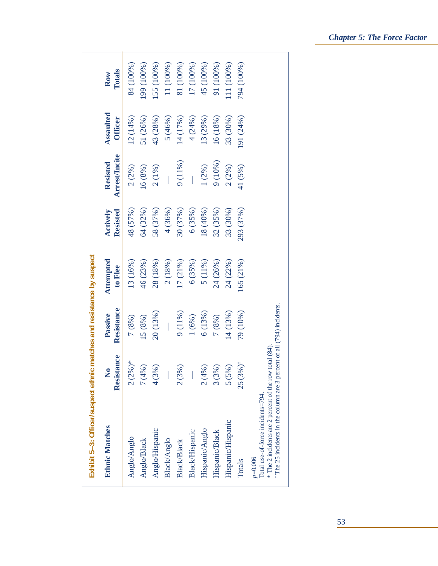| Exhibit 5-3: Officer/suspect ethnic matches and resistance by suspect                                    |                                |                       |                             |                      |                                         |                                    |                      |
|----------------------------------------------------------------------------------------------------------|--------------------------------|-----------------------|-----------------------------|----------------------|-----------------------------------------|------------------------------------|----------------------|
| <b>Ethnic Matches</b>                                                                                    | Resistance<br>ع                | Resistance<br>Passive | <b>Attempted</b><br>to Flee | Actively<br>Resisted | <b>Arrest/Incite</b><br><b>Resisted</b> | <b>Assaulted</b><br><b>Officer</b> | <b>Totals</b><br>Row |
| Anglo/Anglo                                                                                              | $2(2%)*$                       | 7 (8%)                | 13 (16%)                    | 48 (57%)             | 2(2%)                                   | 12 (14%)                           | 84 (100%)            |
| Anglo/Black                                                                                              | (96)<br>$\frac{1}{4}$          | 15 (8%)               | 46 (23%)                    | 64 (32%)             | 16 (8%)                                 | 51 (26%)                           | 199 (100%)           |
| Anglo/Hispanic                                                                                           | 4(3%)                          | 20 (13%)              | 28 (18%)                    | 58 (37%)             | 2(1%)                                   | 43 (28%)                           | 155 (100%)           |
| Black/Anglo                                                                                              | $\overline{\phantom{a}}$       |                       | 2(18%)                      | 4(36%)               |                                         | 5(46%)                             | 11 (100%)            |
| <b>Black/Black</b>                                                                                       | 2(3%)                          | 9 (11%)               | 17 (21%)                    | 30 (37%)             | 9(11%)                                  | 14 (17%)                           | 81 (100%)            |
| <b>Black/Hispanic</b>                                                                                    | $\begin{array}{c} \end{array}$ | 1(6%)                 | 6(35%)                      | 6(35%)               | $\overline{\phantom{a}}$                | 4(24%)                             | 17 (100%)            |
| Hispanic/Anglo                                                                                           | 2(4%)                          | 6(13%)                | 5 (11%)                     | 18 (40%)             | 1(2%)                                   | 13 (29%)                           | 45 (100%)            |
| Hispanic/Black                                                                                           | $\frac{6}{6}$<br>3(3)          | 7 (8%)                | 24 (26%)                    | 32 (35%)             | 9(10%)                                  | 16 (18%)                           | 91 (100%)            |
| Hispanic/Hispanic                                                                                        | (96)<br>515                    | 14 (13%)              | 24 (22%)                    | 33 (30%)             | 2(2%)                                   | 33 (30%)                           | 11(100%)             |
| Totals                                                                                                   | $3\%$ <sup>+</sup><br>25(3)    | 79 (10%)              | 165 (21%)                   | 293 (37%)            | 41 (5%)                                 | 191 (24%)                          | 794 (100%)           |
| * The 2 incidents are 2 percent of the row total (84).<br>Total use-of-force incidents=794.<br>$p=0.006$ |                                |                       |                             |                      |                                         |                                    |                      |

<sup>†</sup> The 25 incidents in the column are 3 percent of all (794) incidents. † The 25 incidents in the column are 3 percent of all (794) incidents.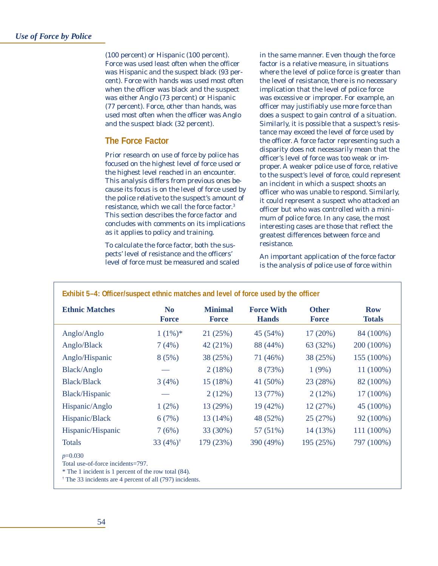(100 percent) or Hispanic (100 percent). Force was used least often when the officer was Hispanic and the suspect black (93 percent). Force with hands was used most often when the officer was black and the suspect was either Anglo (73 percent) or Hispanic (77 percent). Force, other than hands, was used most often when the officer was Anglo and the suspect black (32 percent).

### **The Force Factor**

Prior research on use of force by police has focused on the highest level of force used or the highest level reached in an encounter. This analysis differs from previous ones because its focus is on the level of force used by the police *relative* to the suspect's amount of resistance, which we call the force factor.3 This section describes the force factor and concludes with comments on its implications as it applies to policy and training.

To calculate the force factor, both the suspects' level of resistance and the officers' level of force must be measured and scaled in the same manner. Even though the force factor is a relative measure, in situations where the level of police force is greater than the level of resistance, there is no necessary implication that the level of police force was excessive or improper. For example, an officer may justifiably use more force than does a suspect to gain control of a situation. Similarly, it is possible that a suspect's resistance may exceed the level of force used by the officer. A force factor representing such a disparity does not necessarily mean that the officer's level of force was too weak or improper. A weaker police use of force, relative to the suspect's level of force, could represent an incident in which a suspect shoots an officer who was unable to respond. Similarly, it could represent a suspect who attacked an officer but who was controlled with a minimum of police force. In any case, the most interesting cases are those that reflect the greatest differences between force and resistance.

An important application of the force factor is the analysis of police use of force within

| <b>Ethnic Matches</b> | N <sub>o</sub><br><b>Force</b> | <b>Minimal</b><br><b>Force</b> | <b>Force With</b><br><b>Hands</b> | <b>Other</b><br><b>Force</b> | <b>Row</b><br><b>Totals</b> |
|-----------------------|--------------------------------|--------------------------------|-----------------------------------|------------------------------|-----------------------------|
| Anglo/Anglo           | $1(1\%)^*$                     | 21(25%)                        | 45 (54%)                          | 17 (20%)                     | 84 (100%)                   |
| Anglo/Black           | 7(4%)                          | 42 (21%)                       | 88 (44%)                          | 63 (32%)                     | 200 (100%)                  |
| Anglo/Hispanic        | 8(5%)                          | 38 (25%)                       | 71 (46%)                          | 38 (25%)                     | 155 (100%)                  |
| Black/Anglo           |                                | 2(18%)                         | 8 (73%)                           | $1(9\%)$                     | 11 (100%)                   |
| <b>Black/Black</b>    | 3(4%)                          | 15 (18%)                       | 41 (50%)                          | 23 (28%)                     | 82 (100%)                   |
| <b>Black/Hispanic</b> |                                | 2(12%)                         | 13 (77%)                          | 2(12%)                       | 17 (100%)                   |
| Hispanic/Anglo        | $1(2\%)$                       | 13 (29%)                       | 19 (42%)                          | 12(27%)                      | 45 (100%)                   |
| Hispanic/Black        | 6(7%)                          | 13 (14%)                       | 48 (52%)                          | 25(27%)                      | 92 (100%)                   |
| Hispanic/Hispanic     | 7(6%)                          | 33 (30%)                       | 57 (51%)                          | 14 (13%)                     | 111 (100%)                  |
| <b>Totals</b>         | 33 $(4\%)^{\dagger}$           | 179 (23%)                      | 390 (49%)                         | 195 (25%)                    | 797 (100%)                  |

**Exhibit 5–4: Officer/suspect ethnic matches and level of force used by the officer**

*p*=0.030

Total use-of-force incidents=797.

\* The 1 incident is 1 percent of the row total (84).

† The 33 incidents are 4 percent of all (797) incidents.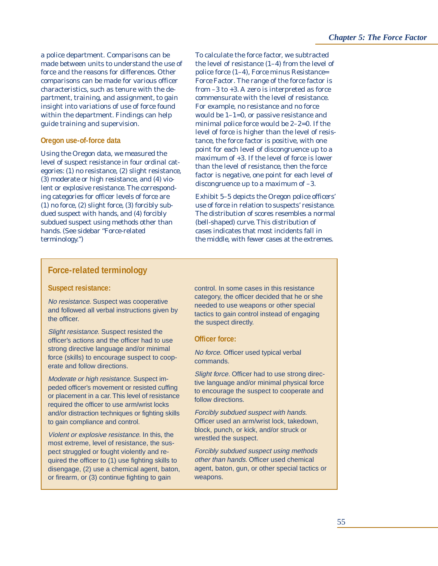a police department. Comparisons can be made between units to understand the use of force and the reasons for differences. Other comparisons can be made for various officer characteristics, such as tenure with the department, training, and assignment, to gain insight into variations of use of force found within the department. Findings can help guide training and supervision.

### **Oregon use-of-force data**

Using the Oregon data, we measured the level of suspect resistance in four ordinal categories: (1) no resistance, (2) slight resistance, (3) moderate or high resistance, and (4) violent or explosive resistance. The corresponding categories for officer levels of force are (1) no force, (2) slight force, (3) forcibly subdued suspect with hands, and (4) forcibly subdued suspect using methods other than hands. (See sidebar "Force-related terminology.")

To calculate the force factor, we subtracted the level of resistance (1–4) from the level of police force (1–4), *Force minus Resistance= Force Factor*. The range of the force factor is from –3 to +3. A zero is interpreted as force commensurate with the level of resistance. For example, no resistance and no force would be 1–1=0, or passive resistance and minimal police force would be 2–2=0. If the level of force is higher than the level of resistance, the force factor is positive, with one point for each level of discongruence up to a maximum of +3. If the level of force is lower than the level of resistance, then the force factor is negative, one point for each level of discongruence up to a maximum of –3.

Exhibit 5–5 depicts the Oregon police officers' use of force in relation to suspects' resistance. The distribution of scores resembles a normal (bell-shaped) curve. This distribution of cases indicates that most incidents fall in the middle, with fewer cases at the extremes.

### **Force-related terminology**

### **Suspect resistance:**

No resistance. Suspect was cooperative and followed all verbal instructions given by the officer.

Slight resistance. Suspect resisted the officer's actions and the officer had to use strong directive language and/or minimal force (skills) to encourage suspect to cooperate and follow directions.

Moderate or high resistance. Suspect impeded officer's movement or resisted cuffing or placement in a car. This level of resistance required the officer to use arm/wrist locks and/or distraction techniques or fighting skills to gain compliance and control.

Violent or explosive resistance. In this, the most extreme, level of resistance, the suspect struggled or fought violently and required the officer to (1) use fighting skills to disengage, (2) use a chemical agent, baton, or firearm, or (3) continue fighting to gain

control. In some cases in this resistance category, the officer decided that he or she needed to use weapons or other special tactics to gain control instead of engaging the suspect directly.

### **Officer force:**

No force. Officer used typical verbal commands.

Slight force. Officer had to use strong directive language and/or minimal physical force to encourage the suspect to cooperate and follow directions.

Forcibly subdued suspect with hands. Officer used an arm/wrist lock, takedown, block, punch, or kick, and/or struck or wrestled the suspect.

Forcibly subdued suspect using methods other than hands. Officer used chemical agent, baton, gun, or other special tactics or weapons.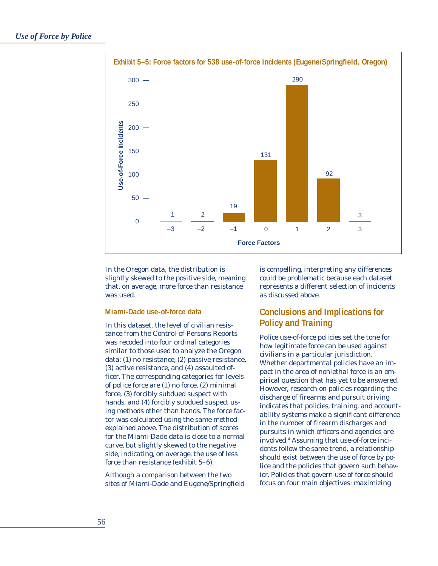![](_page_68_Figure_1.jpeg)

In the Oregon data, the distribution is slightly skewed to the positive side, meaning that, on average, more force than resistance was used.

### **Miami-Dade use-of-force data**

In this dataset, the level of civilian resistance from the Control-of-Persons Reports was recoded into four ordinal categories similar to those used to analyze the Oregon data: (1) no resistance, (2) passive resistance, (3) active resistance, and (4) assaulted officer. The corresponding categories for levels of police force are (1) no force, (2) minimal force, (3) forcibly subdued suspect with hands, and (4) forcibly subdued suspect using methods other than hands. The force factor was calculated using the same method explained above. The distribution of scores for the Miami-Dade data is close to a normal curve, but slightly skewed to the negative side, indicating, on average, the use of less force than resistance (exhibit 5–6).

Although a comparison between the two sites of Miami-Dade and Eugene/Springfield is compelling, interpreting any differences could be problematic because each dataset represents a different selection of incidents as discussed above.

### **Conclusions and Implications for Policy and Training**

Police use-of-force policies set the tone for how legitimate force can be used against civilians in a particular jurisdiction. Whether departmental policies have an impact in the area of nonlethal force is an empirical question that has yet to be answered. However, research on policies regarding the discharge of firearms and pursuit driving indicates that policies, training, and accountability systems make a significant difference in the number of firearm discharges and pursuits in which officers and agencies are involved.4 Assuming that use-of-force incidents follow the same trend, a relationship should exist between the use of force by police and the policies that govern such behavior. Policies that govern use of force should focus on four main objectives: maximizing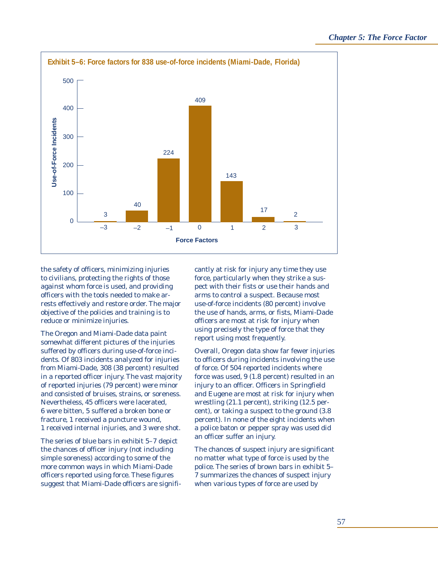![](_page_69_Figure_1.jpeg)

the safety of officers, minimizing injuries to civilians, protecting the rights of those against whom force is used, and providing officers with the tools needed to make arrests effectively and restore order. The major objective of the policies and training is to reduce or minimize injuries.

The Oregon and Miami-Dade data paint somewhat different pictures of the injuries suffered by officers during use-of-force incidents. Of 803 incidents analyzed for injuries from Miami-Dade, 308 (38 percent) resulted in a reported officer injury. The vast majority of reported injuries (79 percent) were minor and consisted of bruises, strains, or soreness. Nevertheless, 45 officers were lacerated, 6 were bitten, 5 suffered a broken bone or fracture, 1 received a puncture wound, 1 received internal injuries, and 3 were shot.

The series of blue bars in exhibit 5–7 depict the chances of officer injury (not including simple soreness) according to some of the more common ways in which Miami-Dade officers reported using force. These figures suggest that Miami-Dade officers are significantly at risk for injury any time they use force, particularly when they strike a suspect with their fists or use their hands and arms to control a suspect. Because most use-of-force incidents (80 percent) involve the use of hands, arms, or fists, Miami-Dade officers are most at risk for injury when using precisely the type of force that they report using most frequently.

Overall, Oregon data show far fewer injuries to officers during incidents involving the use of force. Of 504 reported incidents where force was used, 9 (1.8 percent) resulted in an injury to an officer. Officers in Springfield and Eugene are most at risk for injury when wrestling (21.1 percent), striking (12.5 percent), or taking a suspect to the ground (3.8 percent). In none of the eight incidents when a police baton or pepper spray was used did an officer suffer an injury.

The chances of suspect injury are significant no matter what type of force is used by the police. The series of brown bars in exhibit 5– 7 summarizes the chances of suspect injury when various types of force are used by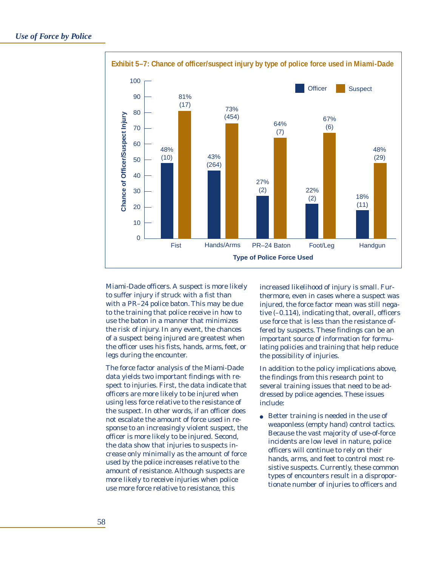![](_page_70_Figure_1.jpeg)

Miami-Dade officers. A suspect is more likely to suffer injury if struck with a fist than with a PR–24 police baton. This may be due to the training that police receive in how to use the baton in a manner that minimizes the risk of injury. In any event, the chances of a suspect being injured are greatest when the officer uses his fists, hands, arms, feet, or legs during the encounter.

The force factor analysis of the Miami-Dade data yields two important findings with respect to injuries. First, the data indicate that officers are more likely to be injured when using less force relative to the resistance of the suspect. In other words, if an officer does not escalate the amount of force used in response to an increasingly violent suspect, the officer is more likely to be injured. Second, the data show that injuries to suspects increase only minimally as the amount of force used by the police increases relative to the amount of resistance. Although suspects are more likely to receive injuries when police use more force relative to resistance, this

increased likelihood of injury is small. Furthermore, even in cases where a suspect was injured, the force factor mean was still negative (–0.114), indicating that, overall, officers use force that is less than the resistance offered by suspects. These findings can be an important source of information for formulating policies and training that help reduce the possibility of injuries.

In addition to the policy implications above, the findings from this research point to several training issues that need to be addressed by police agencies. These issues include:

● Better training is needed in the use of weaponless (empty hand) control tactics. Because the vast majority of use-of-force incidents are low level in nature, police officers will continue to rely on their hands, arms, and feet to control most resistive suspects. Currently, these common types of encounters result in a disproportionate number of injuries to officers and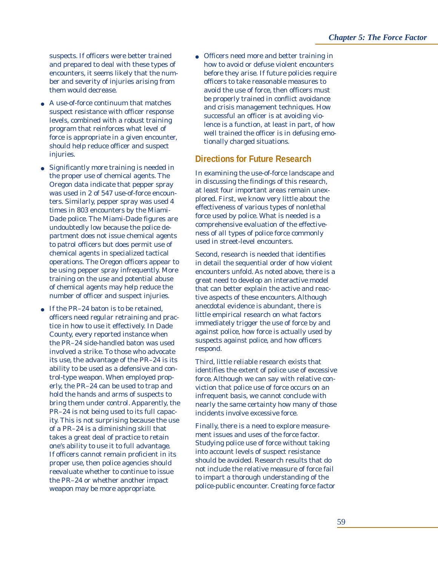suspects. If officers were better trained and prepared to deal with these types of encounters, it seems likely that the number and severity of injuries arising from them would decrease.

- A use-of-force continuum that matches suspect resistance with officer response levels, combined with a robust training program that reinforces what level of force is appropriate in a given encounter, should help reduce officer and suspect injuries.
- Significantly more training is needed in the proper use of chemical agents. The Oregon data indicate that pepper spray was used in 2 of 547 use-of-force encounters. Similarly, pepper spray was used 4 times in 803 encounters by the Miami-Dade police. The Miami-Dade figures are undoubtedly low because the police department does not issue chemical agents to patrol officers but does permit use of chemical agents in specialized tactical operations. The Oregon officers appear to be using pepper spray infrequently. More training on the use and potential abuse of chemical agents may help reduce the number of officer and suspect injuries.
- If the PR–24 baton is to be retained, officers need *regular* retraining and practice in how to use it effectively. In Dade County, every reported instance when the PR–24 side-handled baton was used involved a strike. To those who advocate its use, the advantage of the PR–24 is its ability to be used as a defensive and control-type weapon. When employed properly, the PR–24 can be used to trap and hold the hands and arms of suspects to bring them under control. Apparently, the PR–24 is not being used to its full capacity. This is not surprising because the use of a PR–24 is a diminishing skill that takes a great deal of practice to retain one's ability to use it to full advantage. If officers cannot remain proficient in its proper use, then police agencies should reevaluate whether to continue to issue the PR–24 or whether another impact weapon may be more appropriate.

● Officers need more and better training in how to avoid or defuse violent encounters before they arise. If future policies require officers to take reasonable measures to avoid the use of force, then officers must be properly trained in conflict avoidance and crisis management techniques. How successful an officer is at avoiding violence is a function, at least in part, of how well trained the officer is in defusing emotionally charged situations.

### **Directions for Future Research**

In examining the use-of-force landscape and in discussing the findings of this research, at least four important areas remain unexplored. First, we know very little about the effectiveness of various types of nonlethal force used by police. What is needed is a comprehensive evaluation of the effectiveness of all types of police force commonly used in street-level encounters.

Second, research is needed that identifies in detail the sequential order of how violent encounters unfold. As noted above, there is a great need to develop an interactive model that can better explain the active and reactive aspects of these encounters. Although anecdotal evidence is abundant, there is little empirical research on what factors immediately trigger the use of force by and against police, how force is actually used by suspects against police, and how officers respond.

Third, little reliable research exists that identifies the extent of police use of excessive force. Although we can say with relative conviction that police use of force occurs on an infrequent basis, we cannot conclude with nearly the same certainty how many of those incidents involve excessive force.

Finally, there is a need to explore measurement issues and uses of the force factor. Studying police use of force without taking into account levels of suspect resistance should be avoided. Research results that do not include the relative measure of force fail to impart a thorough understanding of the police-public encounter. Creating force factor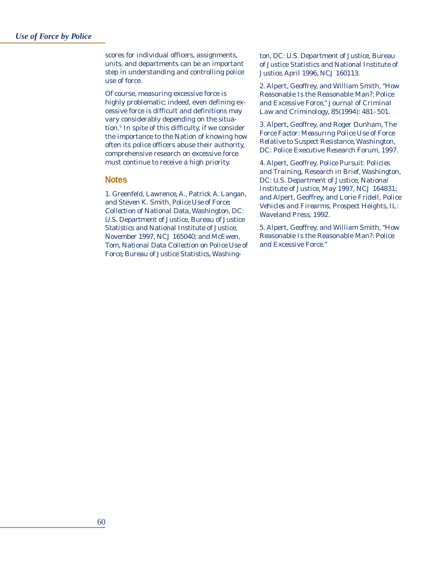scores for individual officers, assignments, units, and departments can be an important step in understanding and controlling police use of force.

Of course, measuring excessive force is highly problematic; indeed, even defining excessive force is difficult and definitions may vary considerably depending on the situation.5 In spite of this difficulty, if we consider the importance to the Nation of knowing how often its police officers abuse their authority, comprehensive research on excessive force must continue to receive a high priority.

#### **Notes**

1. Greenfeld, Lawrence, A., Patrick A. Langan, and Steven K. Smith, *Police Use of Force: Collection of National Data*, Washington, DC: U.S. Department of Justice, Bureau of Justice Statistics and National Institute of Justice, November 1997, NCJ 165040; and McEwen, Tom, *National Data Collection on Police Use of Force*, Bureau of Justice Statistics, Washing-

ton, DC: U.S. Department of Justice, Bureau of Justice Statistics and National Institute of Justice, April 1996, NCJ 160113.

2. Alpert, Geoffrey, and William Smith, "How Reasonable Is the Reasonable Man?: Police and Excessive Force," *Journal of Criminal Law and Criminology,* 85(1994): 481–501.

3. Alpert, Geoffrey, and Roger Dunham, *The Force Factor: Measuring Police Use of Force Relative to Suspect Resistance*, Washington, DC: Police Executive Research Forum, 1997.

4. Alpert, Geoffrey, *Police Pursuit: Policies and Training*, Research in Brief, Washington, DC: U.S. Department of Justice, National Institute of Justice, May 1997, NCJ 164831; and Alpert, Geoffrey, and Lorie Fridell, *Police Vehicles and Firearms*, Prospect Heights, IL: Waveland Press, 1992.

5. Alpert, Geoffrey, and William Smith, "How Reasonable Is the Reasonable Man?: Police and Excessive Force."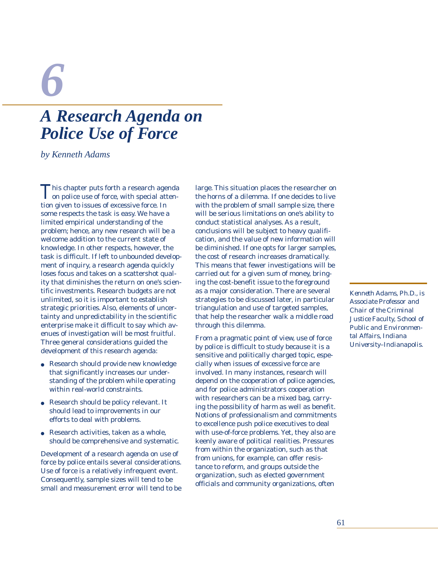# *6*

# *A Research Agenda on Police Use of Force*

*by Kenneth Adams*

This chapter puts forth a research agenda<br>on police use of force, with special attention given to issues of excessive force. In some respects the task is easy. We have a limited empirical understanding of the problem; hence, any new research will be a welcome addition to the current state of knowledge. In other respects, however, the task is difficult. If left to unbounded development of inquiry, a research agenda quickly loses focus and takes on a scattershot quality that diminishes the return on one's scientific investments. Research budgets are not unlimited, so it is important to establish strategic priorities. Also, elements of uncertainty and unpredictability in the scientific enterprise make it difficult to say which avenues of investigation will be most fruitful. Three general considerations guided the development of this research agenda:

- Research should provide new knowledge that significantly increases our understanding of the problem while operating within real-world constraints.
- Research should be policy relevant. It should lead to improvements in our efforts to deal with problems.
- Research activities, taken as a whole, should be comprehensive and systematic.

Development of a research agenda on use of force by police entails several considerations. Use of force is a relatively infrequent event. Consequently, sample sizes will tend to be small and measurement error will tend to be

large. This situation places the researcher on the horns of a dilemma. If one decides to live with the problem of small sample size, there will be serious limitations on one's ability to conduct statistical analyses. As a result, conclusions will be subject to heavy qualification, and the value of new information will be diminished. If one opts for larger samples, the cost of research increases dramatically. This means that fewer investigations will be carried out for a given sum of money, bringing the cost-benefit issue to the foreground as a major consideration. There are several strategies to be discussed later, in particular triangulation and use of targeted samples, that help the researcher walk a middle road through this dilemma.

From a pragmatic point of view, use of force by police is difficult to study because it is a sensitive and politically charged topic, especially when issues of excessive force are involved. In many instances, research will depend on the cooperation of police agencies, and for police administrators cooperation with researchers can be a mixed bag, carrying the possibility of harm as well as benefit. Notions of professionalism and commitments to excellence push police executives to deal with use-of-force problems. Yet, they also are keenly aware of political realities. Pressures from within the organization, such as that from unions, for example, can offer resistance to reform, and groups outside the organization, such as elected government officials and community organizations, often

*Kenneth Adams, Ph.D., is Associate Professor and Chair of the Criminal Justice Faculty, School of Public and Environmental Affairs, Indiana University–Indianapolis.*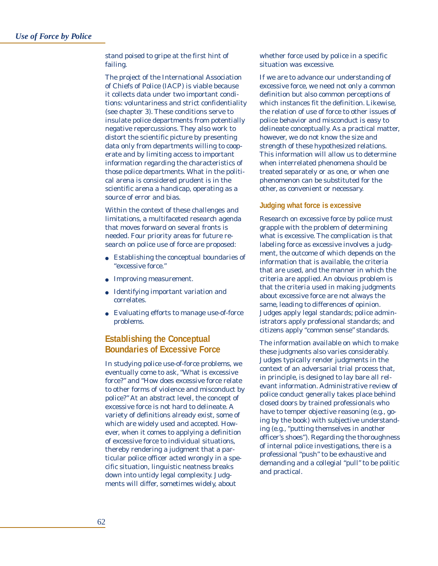stand poised to gripe at the first hint of failing.

The project of the International Association of Chiefs of Police (IACP) is viable because it collects data under two important conditions: voluntariness and strict confidentiality (see chapter 3). These conditions serve to insulate police departments from potentially negative repercussions. They also work to distort the scientific picture by presenting data only from departments willing to cooperate and by limiting access to important information regarding the characteristics of those police departments. What in the political arena is considered prudent is in the scientific arena a handicap, operating as a source of error and bias.

Within the context of these challenges and limitations, a multifaceted research agenda that moves forward on several fronts is needed. Four priority areas for future research on police use of force are proposed:

- Establishing the conceptual boundaries of "excessive force."
- Improving measurement.
- Identifying important variation and correlates.
- Evaluating efforts to manage use-of-force problems.

### **Establishing the Conceptual Boundaries of Excessive Force**

In studying police use-of-force problems, we eventually come to ask, "What is excessive force?" and "How does excessive force relate to other forms of violence and misconduct by police?" At an abstract level, the concept of excessive force is not hard to delineate. A variety of definitions already exist, some of which are widely used and accepted. However, when it comes to applying a definition of excessive force to individual situations, thereby rendering a judgment that a particular police officer acted wrongly in a specific situation, linguistic neatness breaks down into untidy legal complexity. Judgments will differ, sometimes widely, about

whether force used by police in a specific situation was excessive.

If we are to advance our understanding of excessive force, we need not only a common definition but also common perceptions of which instances fit the definition. Likewise, the relation of use of force to other issues of police behavior and misconduct is easy to delineate conceptually. As a practical matter, however, we do not know the size and strength of these hypothesized relations. This information will allow us to determine when interrelated phenomena should be treated separately or as one, or when one phenomenon can be substituted for the other, as convenient or necessary.

#### **Judging what force is excessive**

Research on excessive force by police must grapple with the problem of determining what is excessive. The complication is that labeling force as excessive involves a judgment, the outcome of which depends on the information that is available, the criteria that are used, and the manner in which the criteria are applied. An obvious problem is that the criteria used in making judgments about excessive force are not always the same, leading to differences of opinion. Judges apply legal standards; police administrators apply professional standards; and citizens apply "common sense" standards.

The information available on which to make these judgments also varies considerably. Judges typically render judgments in the context of an adversarial trial process that, in principle, is designed to lay bare all relevant information. Administrative review of police conduct generally takes place behind closed doors by trained professionals who have to temper objective reasoning (e.g., going by the book) with subjective understanding (e.g., "putting themselves in another officer's shoes"). Regarding the thoroughness of internal police investigations, there is a professional "push" to be exhaustive and demanding and a collegial "pull" to be politic and practical.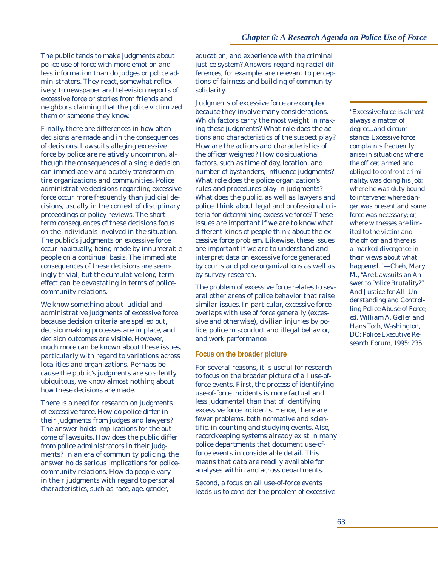The public tends to make judgments about police use of force with more emotion and less information than do judges or police administrators. They react, somewhat reflexively, to newspaper and television reports of excessive force or stories from friends and neighbors claiming that the police victimized them or someone they know.

Finally, there are differences in how often decisions are made and in the consequences of decisions. Lawsuits alleging excessive force by police are relatively uncommon, although the consequences of a single decision can immediately and acutely transform entire organizations and communities. Police administrative decisions regarding excessive force occur more frequently than judicial decisions, usually in the context of disciplinary proceedings or policy reviews. The shortterm consequences of these decisions focus on the individuals involved in the situation. The public's judgments on excessive force occur habitually, being made by innumerable people on a continual basis. The immediate consequences of these decisions are seemingly trivial, but the cumulative long-term effect can be devastating in terms of policecommunity relations.

We know something about judicial and administrative judgments of excessive force because decision criteria are spelled out, decisionmaking processes are in place, and decision outcomes are visible. However, much more can be known about these issues, particularly with regard to variations across localities and organizations. Perhaps because the public's judgments are so silently ubiquitous, we know almost nothing about how these decisions are made.

There is a need for research on judgments of excessive force. How do police differ in their judgments from judges and lawyers? The answer holds implications for the outcome of lawsuits. How does the public differ from police administrators in their judgments? In an era of community policing, the answer holds serious implications for policecommunity relations. How do people vary in their judgments with regard to personal characteristics, such as race, age, gender,

education, and experience with the criminal justice system? Answers regarding racial differences, for example, are relevant to perceptions of fairness and building of community solidarity.

Judgments of excessive force are complex because they involve many considerations. Which factors carry the most weight in making these judgments? What role does the actions and characteristics of the suspect play? How are the actions and characteristics of the officer weighed? How do situational factors, such as time of day, location, and number of bystanders, influence judgments? What role does the police organization's rules and procedures play in judgments? What does the public, as well as lawyers and police, think about legal and professional criteria for determining excessive force? These issues are important if we are to know what different kinds of people think about the excessive force problem. Likewise, these issues are important if we are to understand and interpret data on excessive force generated by courts and police organizations as well as by survey research.

The problem of excessive force relates to several other areas of police behavior that raise similar issues. In particular, excessive force overlaps with use of force generally (excessive and otherwise), civilian injuries by police, police misconduct and illegal behavior, and work performance.

#### **Focus on the broader picture**

For several reasons, it is useful for research to focus on the broader picture of all use-offorce events. First, the process of identifying use-of-force incidents is more factual and less judgmental than that of identifying excessive force incidents. Hence, there are fewer problems, both normative and scientific, in counting and studying events. Also, recordkeeping systems already exist in many police departments that document use-offorce events in considerable detail. This means that data are readily available for analyses within and across departments.

Second, a focus on all use-of-force events leads us to consider the problem of excessive

*"Excessive force is almost always a matter of degree...and circumstance. Excessive force complaints frequently arise in situations where the officer, armed and obliged to confront criminality, was doing his job; where he was duty-bound to intervene; where danger was present and some force was necessary; or, where witnesses are limited to the victim and the officer and there is a marked divergence in their views about what happened." —Cheh, Mary M., "Are Lawsuits an Answer to Police Brutality?"* And Justice for All: Understanding and Controlling Police Abuse of Force, *ed. William A. Geller and Hans Toch, Washington, DC: Police Executive Research Forum, 1995: 235.*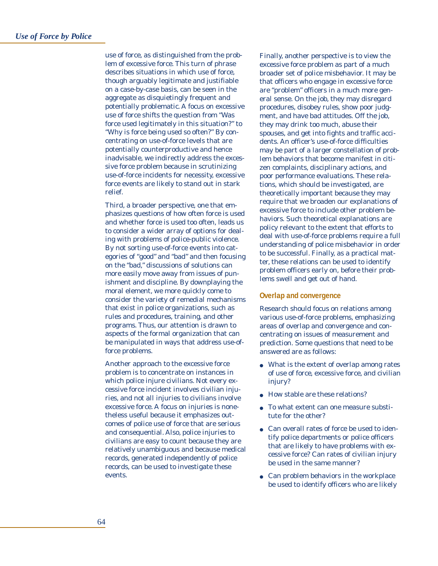use of force, as distinguished from the problem of excessive force. This turn of phrase describes situations in which use of force, though arguably legitimate and justifiable on a case-by-case basis, can be seen in the aggregate as disquietingly frequent and potentially problematic. A focus on excessive use of force shifts the question from "Was force used legitimately in this situation?" to "Why is force being used so often?" By concentrating on use-of-force levels that are potentially counterproductive and hence inadvisable, we indirectly address the excessive force problem because in scrutinizing use-of-force incidents for necessity, excessive force events are likely to stand out in stark relief.

Third, a broader perspective, one that emphasizes questions of how often force is used and whether force is used too often, leads us to consider a wider array of options for dealing with problems of police-public violence. By not sorting use-of-force events into categories of "good" and "bad" and then focusing on the "bad," discussions of solutions can more easily move away from issues of punishment and discipline. By downplaying the moral element, we more quickly come to consider the variety of remedial mechanisms that exist in police organizations, such as rules and procedures, training, and other programs. Thus, our attention is drawn to aspects of the formal organization that can be manipulated in ways that address use-offorce problems.

Another approach to the excessive force problem is to concentrate on instances in which police injure civilians. Not every excessive force incident involves civilian injuries, and not all injuries to civilians involve excessive force. A focus on injuries is nonetheless useful because it emphasizes outcomes of police use of force that are serious and consequential. Also, police injuries to civilians are easy to count because they are relatively unambiguous and because medical records, generated independently of police records, can be used to investigate these events.

Finally, another perspective is to view the excessive force problem as part of a much broader set of police misbehavior. It may be that officers who engage in excessive force are "problem" officers in a much more general sense. On the job, they may disregard procedures, disobey rules, show poor judgment, and have bad attitudes. Off the job, they may drink too much, abuse their spouses, and get into fights and traffic accidents. An officer's use-of-force difficulties may be part of a larger constellation of problem behaviors that become manifest in citizen complaints, disciplinary actions, and poor performance evaluations. These relations, which should be investigated, are theoretically important because they may require that we broaden our explanations of excessive force to include other problem behaviors. Such theoretical explanations are policy relevant to the extent that efforts to deal with use-of-force problems require a full understanding of police misbehavior in order to be successful. Finally, as a practical matter, these relations can be used to identify problem officers early on, before their problems swell and get out of hand.

#### **Overlap and convergence**

Research should focus on relations among various use-of-force problems, emphasizing areas of overlap and convergence and concentrating on issues of measurement and prediction. Some questions that need to be answered are as follows:

- What is the extent of overlap among rates of use of force, excessive force, and civilian injury?
- How stable are these relations?
- To what extent can one measure substitute for the other?
- Can overall rates of force be used to identify police departments or police officers that are likely to have problems with excessive force? Can rates of civilian injury be used in the same manner?
- Can problem behaviors in the workplace be used to identify officers who are likely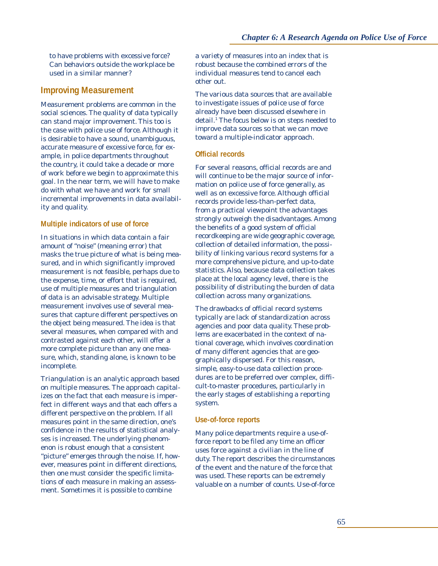to have problems with excessive force? Can behaviors outside the workplace be used in a similar manner?

#### **Improving Measurement**

Measurement problems are common in the social sciences. The quality of data typically can stand major improvement. This too is the case with police use of force. Although it is desirable to have a sound, unambiguous, accurate measure of excessive force, for example, in police departments throughout the country, it could take a decade or more of work before we begin to approximate this goal. In the near term, we will have to make do with what we have and work for small incremental improvements in data availability and quality.

#### **Multiple indicators of use of force**

In situations in which data contain a fair amount of "noise" (meaning error) that masks the true picture of what is being measured, and in which significantly improved measurement is not feasible, perhaps due to the expense, time, or effort that is required, use of multiple measures and triangulation of data is an advisable strategy. Multiple measurement involves use of several measures that capture different perspectives on the object being measured. The idea is that several measures, when compared with and contrasted against each other, will offer a more complete picture than any one measure, which, standing alone, is known to be incomplete.

Triangulation is an analytic approach based on multiple measures. The approach capitalizes on the fact that each measure is imperfect in different ways and that each offers a different perspective on the problem. If all measures point in the same direction, one's confidence in the results of statistical analyses is increased. The underlying phenomenon is robust enough that a consistent "picture" emerges through the noise. If, however, measures point in different directions, then one must consider the specific limitations of each measure in making an assessment. Sometimes it is possible to combine

a variety of measures into an index that is robust because the combined errors of the individual measures tend to cancel each other out.

The various data sources that are available to investigate issues of police use of force already have been discussed elsewhere in detail.<sup>1</sup> The focus below is on steps needed to improve data sources so that we can move toward a multiple-indicator approach.

#### **Official records**

For several reasons, official records are and will continue to be the major source of information on police use of force generally, as well as on excessive force. Although official records provide less-than-perfect data, from a practical viewpoint the advantages strongly outweigh the disadvantages. Among the benefits of a good system of official recordkeeping are wide geographic coverage, collection of detailed information, the possibility of linking various record systems for a more comprehensive picture, and up-to-date statistics. Also, because data collection takes place at the local agency level, there is the possibility of distributing the burden of data collection across many organizations.

The drawbacks of official record systems typically are lack of standardization across agencies and poor data quality. These problems are exacerbated in the context of national coverage, which involves coordination of many different agencies that are geographically dispersed. For this reason, simple, easy-to-use data collection procedures are to be preferred over complex, difficult-to-master procedures, particularly in the early stages of establishing a reporting system.

#### **Use-of-force reports**

Many police departments require a use-offorce report to be filed any time an officer uses force against a civilian in the line of duty. The report describes the circumstances of the event and the nature of the force that was used. These reports can be extremely valuable on a number of counts. Use-of-force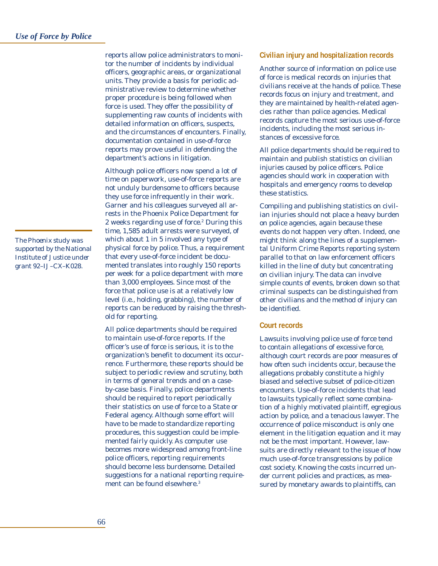*The Phoenix study was supported by the National Institute of Justice under grant 92–IJ–CX–K028.*

reports allow police administrators to monitor the number of incidents by individual officers, geographic areas, or organizational units. They provide a basis for periodic administrative review to determine whether proper procedure is being followed when force is used. They offer the possibility of supplementing raw counts of incidents with detailed information on officers, suspects, and the circumstances of encounters. Finally, documentation contained in use-of-force reports may prove useful in defending the department's actions in litigation.

Although police officers now spend a lot of time on paperwork, use-of-force reports are not unduly burdensome to officers because they use force infrequently in their work. Garner and his colleagues surveyed all arrests in the Phoenix Police Department for 2 weeks regarding use of force.2 During this time, 1,585 adult arrests were surveyed, of which about 1 in 5 involved any type of physical force by police. Thus, a requirement that every use-of-force incident be documented translates into roughly 150 reports per week for a police department with more than 3,000 employees. Since most of the force that police use is at a relatively low level (i.e., holding, grabbing), the number of reports can be reduced by raising the threshold for reporting.

All police departments should be required to maintain use-of-force reports. If the officer's use of force is serious, it is to the organization's benefit to document its occurrence. Furthermore, these reports should be subject to periodic review and scrutiny, both in terms of general trends and on a caseby-case basis. Finally, police departments should be required to report periodically their statistics on use of force to a State or Federal agency. Although some effort will have to be made to standardize reporting procedures, this suggestion could be implemented fairly quickly. As computer use becomes more widespread among front-line police officers, reporting requirements should become less burdensome. Detailed suggestions for a national reporting requirement can be found elsewhere.<sup>3</sup>

#### **Civilian injury and hospitalization records**

Another source of information on police use of force is medical records on injuries that civilians receive at the hands of police. These records focus on injury and treatment, and they are maintained by health-related agencies rather than police agencies. Medical records capture the most serious use-of-force incidents, including the most serious instances of excessive force.

All police departments should be required to maintain and publish statistics on civilian injuries caused by police officers. Police agencies should work in cooperation with hospitals and emergency rooms to develop these statistics.

Compiling and publishing statistics on civilian injuries should not place a heavy burden on police agencies, again because these events do not happen very often. Indeed, one might think along the lines of a supplemental Uniform Crime Reports reporting system parallel to that on law enforcement officers killed in the line of duty but concentrating on civilian injury. The data can involve simple counts of events, broken down so that criminal suspects can be distinguished from other civilians and the method of injury can be identified.

#### **Court records**

Lawsuits involving police use of force tend to contain allegations of excessive force, although court records are poor measures of how often such incidents occur, because the allegations probably constitute a highly biased and selective subset of police-citizen encounters. Use-of-force incidents that lead to lawsuits typically reflect some combination of a highly motivated plaintiff, egregious action by police, and a tenacious lawyer. The occurrence of police misconduct is only one element in the litigation equation and it may not be the most important. However, lawsuits are directly relevant to the issue of how much use-of-force transgressions by police cost society. Knowing the costs incurred under current policies and practices, as measured by monetary awards to plaintiffs, can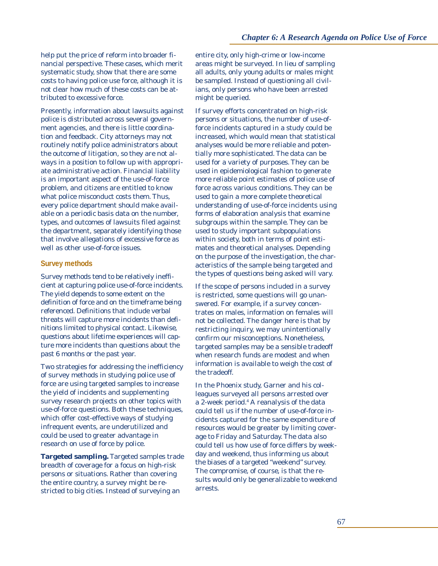help put the price of reform into broader financial perspective. These cases, which merit systematic study, show that there are some costs to having police use force, although it is not clear how much of these costs can be attributed to excessive force.

Presently, information about lawsuits against police is distributed across several government agencies, and there is little coordination and feedback. City attorneys may not routinely notify police administrators about the outcome of litigation, so they are not always in a position to follow up with appropriate administrative action. Financial liability is an important aspect of the use-of-force problem, and citizens are entitled to know what police misconduct costs them. Thus, every police department should make available on a periodic basis data on the number, types, and outcomes of lawsuits filed against the department, separately identifying those that involve allegations of excessive force as well as other use-of-force issues.

#### **Survey methods**

Survey methods tend to be relatively inefficient at capturing police use-of-force incidents. The yield depends to some extent on the definition of force and on the timeframe being referenced. Definitions that include verbal threats will capture more incidents than definitions limited to physical contact. Likewise, questions about lifetime experiences will capture more incidents than questions about the past 6 months or the past year.

Two strategies for addressing the inefficiency of survey methods in studying police use of force are using targeted samples to increase the yield of incidents and supplementing survey research projects on other topics with use-of-force questions. Both these techniques, which offer cost-effective ways of studying infrequent events, are underutilized and could be used to greater advantage in research on use of force by police.

**Targeted sampling.** Targeted samples trade breadth of coverage for a focus on high-risk persons or situations. Rather than covering the entire country, a survey might be restricted to big cities. Instead of surveying an

entire city, only high-crime or low-income areas might be surveyed. In lieu of sampling all adults, only young adults or males might be sampled. Instead of questioning all civilians, only persons who have been arrested might be queried.

If survey efforts concentrated on high-risk persons or situations, the number of use-offorce incidents captured in a study could be increased, which would mean that statistical analyses would be more reliable and potentially more sophisticated. The data can be used for a variety of purposes. They can be used in epidemiological fashion to generate more reliable point estimates of police use of force across various conditions. They can be used to gain a more complete theoretical understanding of use-of-force incidents using forms of elaboration analysis that examine subgroups within the sample. They can be used to study important subpopulations within society, both in terms of point estimates and theoretical analyses. Depending on the purpose of the investigation, the characteristics of the sample being targeted and the types of questions being asked will vary.

If the scope of persons included in a survey is restricted, some questions will go unanswered. For example, if a survey concentrates on males, information on females will not be collected. The danger here is that by restricting inquiry, we may unintentionally confirm our misconceptions. Nonetheless, targeted samples may be a sensible tradeoff when research funds are modest and when information is available to weigh the cost of the tradeoff.

In the Phoenix study, Garner and his colleagues surveyed all persons arrested over a 2-week period.4 A reanalysis of the data could tell us if the number of use-of-force incidents captured for the same expenditure of resources would be greater by limiting coverage to Friday and Saturday. The data also could tell us how use of force differs by weekday and weekend, thus informing us about the biases of a targeted "weekend" survey. The compromise, of course, is that the results would only be generalizable to weekend arrests.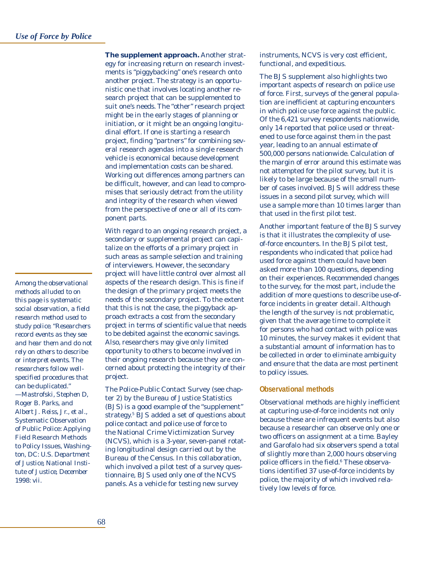*Among the observational methods alluded to on this page is systematic social observation, a field research method used to study police. "Researchers record events as they see and hear them and do not rely on others to describe or interpret events. The researchers follow wellspecified procedures that can be duplicated." —Mastrofski, Stephen D, Roger B. Parks, and Albert J. Reiss, Jr., et al.,* Systematic Observation of Public Police: Applying Field Research Methods to Policy Issues, *Washington, DC: U.S. Department of Justice, National Institute of Justice, December 1998: vii.*

**The supplement approach.** Another strategy for increasing return on research investments is "piggybacking" one's research onto another project. The strategy is an opportunistic one that involves locating another research project that can be supplemented to suit one's needs. The "other" research project might be in the early stages of planning or initiation, or it might be an ongoing longitudinal effort. If one is starting a research project, finding "partners" for combining several research agendas into a single research vehicle is economical because development and implementation costs can be shared. Working out differences among partners can be difficult, however, and can lead to compromises that seriously detract from the utility and integrity of the research when viewed from the perspective of one or all of its component parts.

With regard to an ongoing research project, a secondary or supplemental project can capitalize on the efforts of a primary project in such areas as sample selection and training of interviewers. However, the secondary project will have little control over almost all aspects of the research design. This is fine if the design of the primary project meets the needs of the secondary project. To the extent that this is not the case, the piggyback approach extracts a cost from the secondary project in terms of scientific value that needs to be debited against the economic savings. Also, researchers may give only limited opportunity to others to become involved in their ongoing research because they are concerned about protecting the integrity of their project.

The Police-Public Contact Survey (see chapter 2) by the Bureau of Justice Statistics (BJS) is a good example of the "supplement" strategy.5 BJS added a set of questions about police contact and police use of force to the National Crime Victimization Survey (NCVS), which is a 3-year, seven-panel rotating longitudinal design carried out by the Bureau of the Census. In this collaboration, which involved a pilot test of a survey questionnaire, BJS used only one of the NCVS panels. As a vehicle for testing new survey

instruments, NCVS is very cost efficient, functional, and expeditious.

The BJS supplement also highlights two important aspects of research on police use of force. First, surveys of the general population are inefficient at capturing encounters in which police use force against the public. Of the 6,421 survey respondents nationwide, only 14 reported that police used or threatened to use force against them in the past year, leading to an annual estimate of 500,000 persons nationwide. Calculation of the margin of error around this estimate was not attempted for the pilot survey, but it is likely to be large because of the small number of cases involved. BJS will address these issues in a second pilot survey, which will use a sample more than 10 times larger than that used in the first pilot test.

Another important feature of the BJS survey is that it illustrates the complexity of useof-force encounters. In the BJS pilot test, respondents who indicated that police had used force against them could have been asked more than 100 questions, depending on their experiences. Recommended changes to the survey, for the most part, include the addition of more questions to describe use-offorce incidents in greater detail. Although the length of the survey is not problematic, given that the average time to complete it for persons who had contact with police was 10 minutes, the survey makes it evident that a substantial amount of information has to be collected in order to eliminate ambiguity and ensure that the data are most pertinent to policy issues.

#### **Observational methods**

Observational methods are highly inefficient at capturing use-of-force incidents not only because these are infrequent events but also because a researcher can observe only one or two officers on assignment at a time. Bayley and Garofalo had six observers spend a total of slightly more than 2,000 hours observing police officers in the field.<sup>6</sup> These observations identified 37 use-of-force incidents by police, the majority of which involved relatively low levels of force.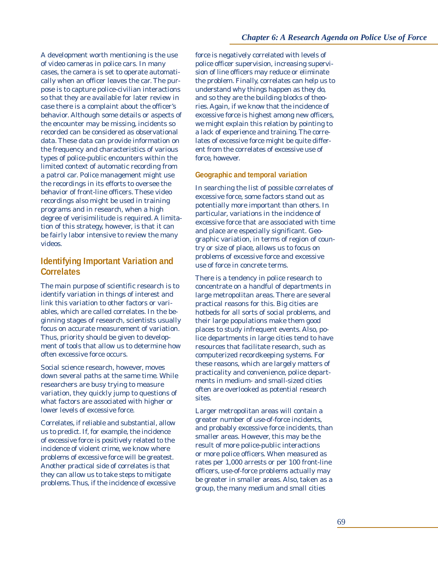A development worth mentioning is the use of video cameras in police cars. In many cases, the camera is set to operate automatically when an officer leaves the car. The purpose is to capture police-civilian interactions so that they are available for later review in case there is a complaint about the officer's behavior. Although some details or aspects of the encounter may be missing, incidents so recorded can be considered as observational data. These data can provide information on the frequency and characteristics of various types of police-public encounters within the limited context of automatic recording from a patrol car. Police management might use the recordings in its efforts to oversee the behavior of front-line officers. These video recordings also might be used in training programs and in research, when a high degree of verisimilitude is required. A limitation of this strategy, however, is that it can be fairly labor intensive to review the many videos.

## **Identifying Important Variation and Correlates**

The main purpose of scientific research is to identify variation in things of interest and link this variation to other factors or variables, which are called correlates. In the beginning stages of research, scientists usually focus on accurate measurement of variation. Thus, priority should be given to development of tools that allow us to determine how often excessive force occurs.

Social science research, however, moves down several paths at the same time. While researchers are busy trying to measure variation, they quickly jump to questions of what factors are associated with higher or lower levels of excessive force.

Correlates, if reliable and substantial, allow us to predict. If, for example, the incidence of excessive force is positively related to the incidence of violent crime, we know where problems of excessive force will be greatest. Another practical side of correlates is that they can allow us to take steps to mitigate problems. Thus, if the incidence of excessive

force is negatively correlated with levels of police officer supervision, increasing supervision of line officers may reduce or eliminate the problem. Finally, correlates can help us to understand why things happen as they do, and so they are the building blocks of theories. Again, if we know that the incidence of excessive force is highest among new officers, we might explain this relation by pointing to a lack of experience and training. The correlates of excessive force might be quite different from the correlates of excessive use of force, however.

#### **Geographic and temporal variation**

In searching the list of possible correlates of excessive force, some factors stand out as potentially more important than others. In particular, variations in the incidence of excessive force that are associated with time and place are especially significant. Geographic variation, in terms of region of country or size of place, allows us to focus on problems of excessive force and excessive use of force in concrete terms.

There is a tendency in police research to concentrate on a handful of departments in large metropolitan areas. There are several practical reasons for this. Big cities are hotbeds for all sorts of social problems, and their large populations make them good places to study infrequent events. Also, police departments in large cities tend to have resources that facilitate research, such as computerized recordkeeping systems. For these reasons, which are largely matters of practicality and convenience, police departments in medium- and small-sized cities often are overlooked as potential research sites.

Larger metropolitan areas will contain a greater number of use-of-force incidents, and probably excessive force incidents, than smaller areas. However, this may be the result of more police-public interactions or more police officers. When measured as rates per 1,000 arrests or per 100 front-line officers, use-of-force problems actually may be greater in smaller areas. Also, taken as a group, the many medium and small cities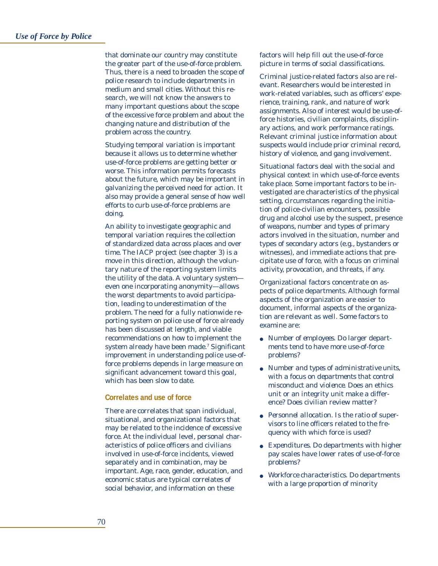that dominate our country may constitute the greater part of the use-of-force problem. Thus, there is a need to broaden the scope of police research to include departments in medium and small cities. Without this research, we will not know the answers to many important questions about the scope of the excessive force problem and about the changing nature and distribution of the problem across the country.

Studying temporal variation is important because it allows us to determine whether use-of-force problems are getting better or worse. This information permits forecasts about the future, which may be important in galvanizing the perceived need for action. It also may provide a general sense of how well efforts to curb use-of-force problems are doing.

An ability to investigate geographic and temporal variation requires the collection of standardized data across places and over time. The IACP project (see chapter 3) is a move in this direction, although the voluntary nature of the reporting system limits the utility of the data. A voluntary system even one incorporating anonymity—allows the worst departments to avoid participation, leading to underestimation of the problem. The need for a fully nationwide reporting system on police use of force already has been discussed at length, and viable recommendations on how to implement the system already have been made.7 Significant improvement in understanding police use-offorce problems depends in large measure on significant advancement toward this goal, which has been slow to date.

#### **Correlates and use of force**

There are correlates that span individual, situational, and organizational factors that may be related to the incidence of excessive force. At the individual level, personal characteristics of police officers and civilians involved in use-of-force incidents, viewed separately and in combination, may be important. Age, race, gender, education, and economic status are typical correlates of social behavior, and information on these

factors will help fill out the use-of-force picture in terms of social classifications.

Criminal justice-related factors also are relevant. Researchers would be interested in work-related variables, such as officers' experience, training, rank, and nature of work assignments. Also of interest would be use-offorce histories, civilian complaints, disciplinary actions, and work performance ratings. Relevant criminal justice information about suspects would include prior criminal record, history of violence, and gang involvement.

Situational factors deal with the social and physical context in which use-of-force events take place. Some important factors to be investigated are characteristics of the physical setting, circumstances regarding the initiation of police-civilian encounters, possible drug and alcohol use by the suspect, presence of weapons, number and types of primary actors involved in the situation, number and types of secondary actors (e.g., bystanders or witnesses), and immediate actions that precipitate use of force, with a focus on criminal activity, provocation, and threats, if any.

Organizational factors concentrate on aspects of police departments. Although formal aspects of the organization are easier to document, informal aspects of the organization are relevant as well. Some factors to examine are:

- *Number of employees.* Do larger departments tend to have more use-of-force problems?
- *Number and types of administrative units, with a focus on departments that control misconduct and violence.* Does an ethics unit or an integrity unit make a difference? Does civilian review matter?
- *Personnel allocation.* Is the ratio of supervisors to line officers related to the frequency with which force is used?
- *Expenditures.* Do departments with higher pay scales have lower rates of use-of-force problems?
- *Workforce characteristics.* Do departments with a large proportion of minority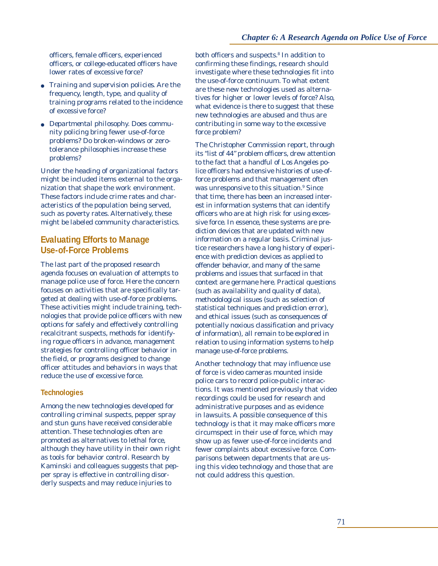officers, female officers, experienced officers, or college-educated officers have lower rates of excessive force?

- *Training and supervision policies.* Are the frequency, length, type, and quality of training programs related to the incidence of excessive force?
- *Departmental philosophy.* Does community policing bring fewer use-of-force problems? Do broken-windows or zerotolerance philosophies increase these problems?

Under the heading of organizational factors might be included items external to the organization that shape the work environment. These factors include crime rates and characteristics of the population being served, such as poverty rates. Alternatively, these might be labeled community characteristics.

## **Evaluating Efforts to Manage Use-of-Force Problems**

The last part of the proposed research agenda focuses on evaluation of attempts to manage police use of force. Here the concern focuses on activities that are specifically targeted at dealing with use-of-force problems. These activities might include training, technologies that provide police officers with new options for safely and effectively controlling recalcitrant suspects, methods for identifying rogue officers in advance, management strategies for controlling officer behavior in the field, or programs designed to change officer attitudes and behaviors in ways that reduce the use of excessive force.

#### **Technologies**

Among the new technologies developed for controlling criminal suspects, pepper spray and stun guns have received considerable attention. These technologies often are promoted as alternatives to lethal force, although they have utility in their own right as tools for behavior control. Research by Kaminski and colleagues suggests that pepper spray is effective in controlling disorderly suspects and may reduce injuries to

both officers and suspects.<sup>8</sup> In addition to confirming these findings, research should investigate where these technologies fit into the use-of-force continuum. To what extent are these new technologies used as alternatives for higher or lower levels of force? Also, what evidence is there to suggest that these new technologies are abused and thus are contributing in some way to the excessive force problem?

The Christopher Commission report, through its "list of 44" problem officers, drew attention to the fact that a handful of Los Angeles police officers had extensive histories of use-offorce problems and that management often was unresponsive to this situation.<sup>9</sup> Since that time, there has been an increased interest in information systems that can identify officers who are at high risk for using excessive force. In essence, these systems are prediction devices that are updated with new information on a regular basis. Criminal justice researchers have a long history of experience with prediction devices as applied to offender behavior, and many of the same problems and issues that surfaced in that context are germane here. Practical questions (such as availability and quality of data), methodological issues (such as selection of statistical techniques and prediction error), and ethical issues (such as consequences of potentially noxious classification and privacy of information), all remain to be explored in relation to using information systems to help manage use-of-force problems.

Another technology that may influence use of force is video cameras mounted inside police cars to record police-public interactions. It was mentioned previously that video recordings could be used for research and administrative purposes and as evidence in lawsuits. A possible consequence of this technology is that it may make officers more circumspect in their use of force, which may show up as fewer use-of-force incidents and fewer complaints about excessive force. Comparisons between departments that are using this video technology and those that are not could address this question.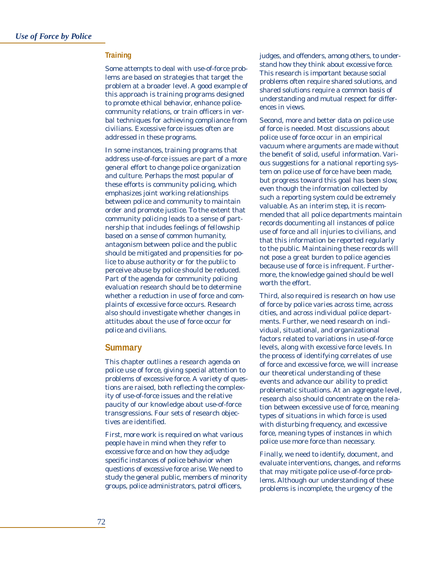#### **Training**

Some attempts to deal with use-of-force problems are based on strategies that target the problem at a broader level. A good example of this approach is training programs designed to promote ethical behavior, enhance policecommunity relations, or train officers in verbal techniques for achieving compliance from civilians. Excessive force issues often are addressed in these programs.

In some instances, training programs that address use-of-force issues are part of a more general effort to change police organization and culture. Perhaps the most popular of these efforts is community policing, which emphasizes joint working relationships between police and community to maintain order and promote justice. To the extent that community policing leads to a sense of partnership that includes feelings of fellowship based on a sense of common humanity, antagonism between police and the public should be mitigated and propensities for police to abuse authority or for the public to perceive abuse by police should be reduced. Part of the agenda for community policing evaluation research should be to determine whether a reduction in use of force and complaints of excessive force occurs. Research also should investigate whether changes in attitudes about the use of force occur for police and civilians.

#### **Summary**

This chapter outlines a research agenda on police use of force, giving special attention to problems of excessive force. A variety of questions are raised, both reflecting the complexity of use-of-force issues and the relative paucity of our knowledge about use-of-force transgressions. Four sets of research objectives are identified.

First, more work is required on what various people have in mind when they refer to excessive force and on how they adjudge specific instances of police behavior when questions of excessive force arise. We need to study the general public, members of minority groups, police administrators, patrol officers,

judges, and offenders, among others, to understand how they think about excessive force. This research is important because social problems often require shared solutions, and shared solutions require a common basis of understanding and mutual respect for differences in views.

Second, more and better data on police use of force is needed. Most discussions about police use of force occur in an empirical vacuum where arguments are made without the benefit of solid, useful information. Various suggestions for a national reporting system on police use of force have been made, but progress toward this goal has been slow, even though the information collected by such a reporting system could be extremely valuable. As an interim step, it is recommended that all police departments maintain records documenting all instances of police use of force and all injuries to civilians, and that this information be reported regularly to the public. Maintaining these records will not pose a great burden to police agencies because use of force is infrequent. Furthermore, the knowledge gained should be well worth the effort.

Third, also required is research on how use of force by police varies across time, across cities, and across individual police departments. Further, we need research on individual, situational, and organizational factors related to variations in use-of-force levels, along with excessive force levels. In the process of identifying correlates of use of force and excessive force, we will increase our theoretical understanding of these events and advance our ability to predict problematic situations. At an aggregate level, research also should concentrate on the relation between excessive use of force, meaning types of situations in which force is used with disturbing frequency, and excessive force, meaning types of instances in which police use more force than necessary.

Finally, we need to identify, document, and evaluate interventions, changes, and reforms that may mitigate police use-of-force problems. Although our understanding of these problems is incomplete, the urgency of the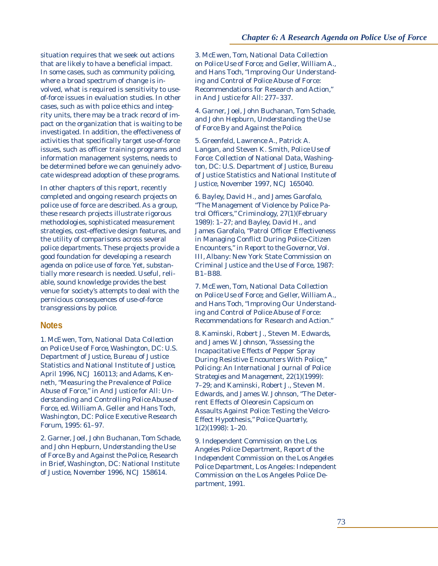situation requires that we seek out actions that are likely to have a beneficial impact. In some cases, such as community policing, where a broad spectrum of change is involved, what is required is sensitivity to useof-force issues in evaluation studies. In other cases, such as with police ethics and integrity units, there may be a track record of impact on the organization that is waiting to be investigated. In addition, the effectiveness of activities that specifically target use-of-force issues, such as officer training programs and information management systems, needs to be determined before we can genuinely advocate widespread adoption of these programs.

In other chapters of this report, recently completed and ongoing research projects on police use of force are described. As a group, these research projects illustrate rigorous methodologies, sophisticated measurement strategies, cost-effective design features, and the utility of comparisons across several police departments. These projects provide a good foundation for developing a research agenda on police use of force. Yet, substantially more research is needed. Useful, reliable, sound knowledge provides the best venue for society's attempts to deal with the pernicious consequences of use-of-force transgressions by police.

#### **Notes**

1. McEwen, Tom, *National Data Collection on Police Use of Force*, Washington, DC: U.S. Department of Justice, Bureau of Justice Statistics and National Institute of Justice, April 1996, NCJ 160113; and Adams, Kenneth, "Measuring the Prevalence of Police Abuse of Force," in *And Justice for All: Understanding and Controlling Police Abuse of Force*, ed. William A. Geller and Hans Toch, Washington, DC: Police Executive Research Forum, 1995: 61–97.

2. Garner, Joel, John Buchanan, Tom Schade, and John Hepburn, *Understanding the Use of Force By and Against the Police*, Research in Brief, Washington, DC: National Institute of Justice, November 1996, NCJ 158614.

3. McEwen, Tom, *National Data Collection on Police Use of Force*; and Geller, William A., and Hans Toch, "Improving Our Understanding and Control of Police Abuse of Force: Recommendations for Research and Action," in *And Justice for All*: 277–337.

4. Garner, Joel, John Buchanan, Tom Schade, and John Hepburn, *Understanding the Use of Force By and Against the Police*.

5. Greenfeld, Lawrence A., Patrick A. Langan, and Steven K. Smith, *Police Use of Force: Collection of National Data*, Washington, DC: U.S. Department of Justice, Bureau of Justice Statistics and National Institute of Justice, November 1997, NCJ 165040.

6. Bayley, David H., and James Garofalo, "The Management of Violence by Police Patrol Officers," *Criminology,* 27(1)(February 1989): 1–27; and Bayley, David H., and James Garofalo, "Patrol Officer Effectiveness in Managing Conflict During Police-Citizen Encounters," in *Report to the Governor, Vol. III*, Albany: New York State Commission on Criminal Justice and the Use of Force, 1987: B1–B88.

7. McEwen, Tom, *National Data Collection on Police Use of Force*; and Geller, William A., and Hans Toch, "Improving Our Understanding and Control of Police Abuse of Force: Recommendations for Research and Action."

8. Kaminski, Robert J., Steven M. Edwards, and James W. Johnson, "Assessing the Incapacitative Effects of Pepper Spray During Resistive Encounters With Police," *Policing: An International Journal of Police Strategies and Management,* 22(1)(1999): 7–29; and Kaminski, Robert J., Steven M. Edwards, and James W. Johnson, "The Deterrent Effects of Oleoresin Capsicum on Assaults Against Police: Testing the Velcro-Effect Hypothesis," *Police Quarterly,* 1(2)(1998): 1–20.

9. Independent Commission on the Los Angeles Police Department, *Report of the Independent Commission on the Los Angeles Police Department*, Los Angeles: Independent Commission on the Los Angeles Police Department, 1991.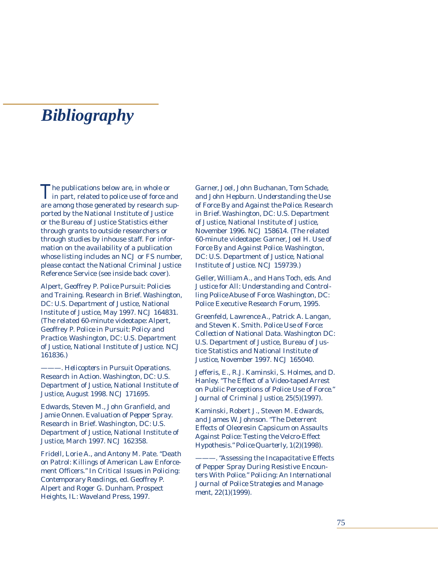# *Bibliography*

The publications below are, in whole or in part, related to police use of force and are among those generated by research supported by the National Institute of Justice or the Bureau of Justice Statistics either through grants to outside researchers or through studies by inhouse staff. For information on the availability of a publication whose listing includes an NCJ or FS number, please contact the National Criminal Justice Reference Service (see inside back cover).

Alpert, Geoffrey P. *Police Pursuit: Policies and Training*. Research in Brief. Washington, DC: U.S. Department of Justice, National Institute of Justice, May 1997. NCJ 164831. (The related 60-minute videotape: Alpert, Geoffrey P. *Police in Pursuit: Policy and Practice*. Washington, DC: U.S. Department of Justice, National Institute of Justice. NCJ 161836.)

———. *Helicopters in Pursuit Operations*. Research in Action. Washington, DC: U.S. Department of Justice, National Institute of Justice, August 1998. NCJ 171695.

Edwards, Steven M., John Granfield, and Jamie Onnen. *Evaluation of Pepper Spray*. Research in Brief. Washington, DC: U.S. Department of Justice, National Institute of Justice, March 1997. NCJ 162358.

Fridell, Lorie A., and Antony M. Pate. "Death on Patrol: Killings of American Law Enforcement Officers." In *Critical Issues in Policing: Contemporary Readings*, ed. Geoffrey P. Alpert and Roger G. Dunham. Prospect Heights, IL: Waveland Press, 1997.

Garner, Joel, John Buchanan, Tom Schade, and John Hepburn. *Understanding the Use of Force By and Against the Police*. Research in Brief. Washington, DC: U.S. Department of Justice, National Institute of Justice, November 1996. NCJ 158614. (The related 60-minute videotape: Garner, Joel H. *Use of Force By and Against Police*. Washington, DC: U.S. Department of Justice, National Institute of Justice. NCJ 159739.)

Geller, William A., and Hans Toch, eds. *And Justice for All: Understanding and Controlling Police Abuse of Force*. Washington, DC: Police Executive Research Forum, 1995.

Greenfeld, Lawrence A., Patrick A. Langan, and Steven K. Smith. *Police Use of Force: Collection of National Data*. Washington DC: U.S. Department of Justice, Bureau of Justice Statistics and National Institute of Justice, November 1997. NCJ 165040.

Jefferis, E., R.J. Kaminski, S. Holmes, and D. Hanley. "The Effect of a Video-taped Arrest on Public Perceptions of Police Use of Force." *Journal of Criminal Justice*, 25(5)(1997).

Kaminski, Robert J., Steven M. Edwards, and James W. Johnson. "The Deterrent Effects of Oleoresin Capsicum on Assaults Against Police: Testing the Velcro-Effect Hypothesis." *Police Quarterly*, 1(2)(1998).

———. "Assessing the Incapacitative Effects of Pepper Spray During Resistive Encounters With Police." *Policing: An International Journal of Police Strategies and Management*, 22(1)(1999).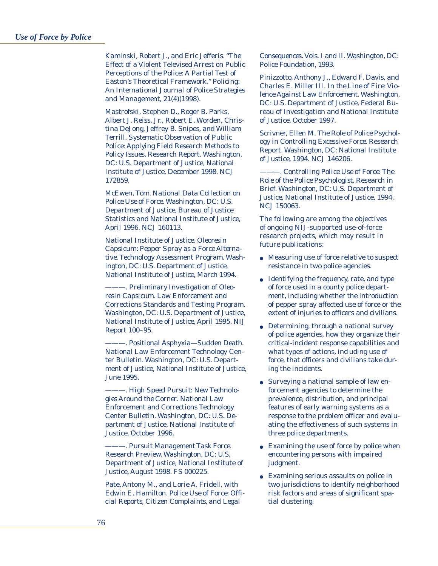Kaminski, Robert J., and Eric Jefferis. "The Effect of a Violent Televised Arrest on Public Perceptions of the Police: A Partial Test of Easton's Theoretical Framework." *Policing: An International Journal of Police Strategies and Management*, 21(4)(1998).

Mastrofski, Stephen D., Roger B. Parks, Albert J. Reiss, Jr., Robert E. Worden, Christina DeJong, Jeffrey B. Snipes, and William Terrill. *Systematic Observation of Public Police: Applying Field Research Methods to Policy Issues*. Research Report. Washington, DC: U.S. Department of Justice, National Institute of Justice, December 1998. NCJ 172859.

McEwen, Tom. *National Data Collection on Police Use of Force*. Washington, DC: U.S. Department of Justice, Bureau of Justice Statistics and National Institute of Justice, April 1996. NCJ 160113.

National Institute of Justice. *Oleoresin Capsicum: Pepper Spray as a Force Alternative*. Technology Assessment Program. Washington, DC: U.S. Department of Justice, National Institute of Justice, March 1994.

———. *Preliminary Investigation of Oleoresin Capsicum*. Law Enforcement and Corrections Standards and Testing Program. Washington, DC: U.S. Department of Justice, National Institute of Justice, April 1995. NIJ Report 100–95.

———. *Positional Asphyxia—Sudden Death*. National Law Enforcement Technology Center Bulletin. Washington, DC: U.S. Department of Justice, National Institute of Justice, June 1995.

———. *High Speed Pursuit: New Technologies Around the Corner*. National Law Enforcement and Corrections Technology Center Bulletin. Washington, DC: U.S. Department of Justice, National Institute of Justice, October 1996.

———. *Pursuit Management Task Force*. Research Preview. Washington, DC: U.S. Department of Justice, National Institute of Justice, August 1998. FS 000225.

Pate, Antony M., and Lorie A. Fridell, with Edwin E. Hamilton. *Police Use of Force: Official Reports, Citizen Complaints, and Legal*

*Consequences*. Vols. I and II. Washington, DC: Police Foundation, 1993.

Pinizzotto, Anthony J., Edward F. Davis, and Charles E. Miller III. *In the Line of Fire: Violence Against Law Enforcement*. Washington, DC: U.S. Department of Justice, Federal Bureau of Investigation and National Institute of Justice, October 1997.

Scrivner, Ellen M. *The Role of Police Psychology in Controlling Excessive Force*. Research Report. Washington, DC: National Institute of Justice, 1994. NCJ 146206.

———. *Controlling Police Use of Force: The Role of the Police Psychologist*. Research in Brief. Washington, DC: U.S. Department of Justice, National Institute of Justice, 1994. NCJ 150063.

The following are among the objectives of ongoing NIJ-supported use-of-force research projects, which may result in future publications:

- Measuring use of force relative to suspect resistance in two police agencies.
- Identifying the frequency, rate, and type of force used in a county police department, including whether the introduction of pepper spray affected use of force or the extent of injuries to officers and civilians.
- Determining, through a national survey of police agencies, how they organize their critical-incident response capabilities and what types of actions, including use of force, that officers and civilians take during the incidents.
- Surveying a national sample of law enforcement agencies to determine the prevalence, distribution, and principal features of early warning systems as a response to the problem officer and evaluating the effectiveness of such systems in three police departments.
- Examining the use of force by police when encountering persons with impaired judgment.
- Examining serious assaults on police in two jurisdictions to identify neighborhood risk factors and areas of significant spatial clustering.